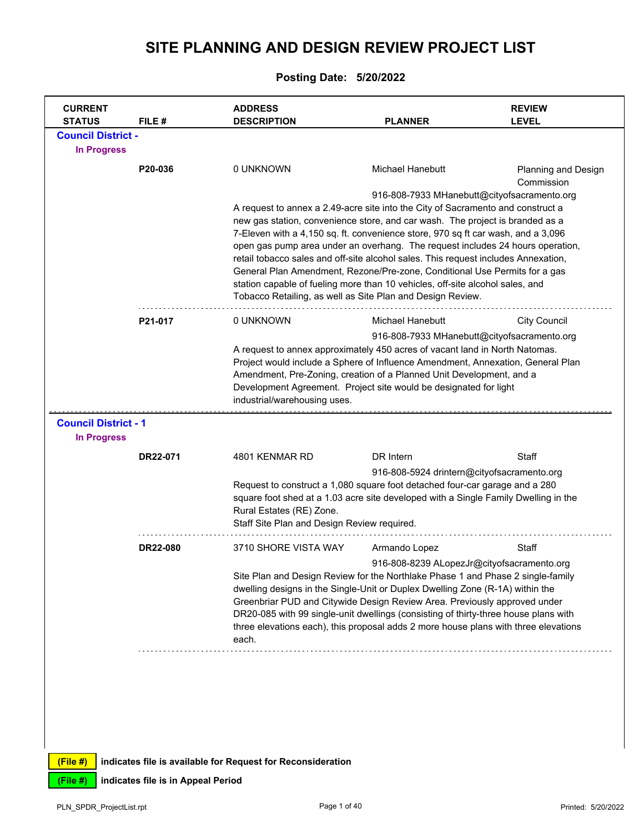## **SITE PLANNING AND DESIGN REVIEW PROJECT LIST**

## **Posting Date: 5/20/2022**

|                                                   |          | <b>ADDRESS</b>                                                                                                                                                                                                                                                                                                                                                                                                                                                                                                                                                                                                                                            |                                            | <b>REVIEW</b>                               |
|---------------------------------------------------|----------|-----------------------------------------------------------------------------------------------------------------------------------------------------------------------------------------------------------------------------------------------------------------------------------------------------------------------------------------------------------------------------------------------------------------------------------------------------------------------------------------------------------------------------------------------------------------------------------------------------------------------------------------------------------|--------------------------------------------|---------------------------------------------|
| <b>STATUS</b><br><b>Council District -</b>        | FILE#    | <b>DESCRIPTION</b>                                                                                                                                                                                                                                                                                                                                                                                                                                                                                                                                                                                                                                        | <b>PLANNER</b>                             | <b>LEVEL</b>                                |
| <b>In Progress</b>                                |          |                                                                                                                                                                                                                                                                                                                                                                                                                                                                                                                                                                                                                                                           |                                            |                                             |
|                                                   | P20-036  | 0 UNKNOWN                                                                                                                                                                                                                                                                                                                                                                                                                                                                                                                                                                                                                                                 | Michael Hanebutt                           | <b>Planning and Design</b><br>Commission    |
|                                                   |          | A request to annex a 2.49-acre site into the City of Sacramento and construct a<br>new gas station, convenience store, and car wash. The project is branded as a<br>7-Eleven with a 4,150 sq. ft. convenience store, 970 sq ft car wash, and a 3,096<br>open gas pump area under an overhang. The request includes 24 hours operation,<br>retail tobacco sales and off-site alcohol sales. This request includes Annexation,<br>General Plan Amendment, Rezone/Pre-zone, Conditional Use Permits for a gas<br>station capable of fueling more than 10 vehicles, off-site alcohol sales, and<br>Tobacco Retailing, as well as Site Plan and Design Review. |                                            | 916-808-7933 MHanebutt@cityofsacramento.org |
|                                                   | P21-017  | 0 UNKNOWN                                                                                                                                                                                                                                                                                                                                                                                                                                                                                                                                                                                                                                                 | <b>Michael Hanebutt</b>                    | <b>City Council</b>                         |
|                                                   |          | A request to annex approximately 450 acres of vacant land in North Natomas.<br>Project would include a Sphere of Influence Amendment, Annexation, General Plan<br>Amendment, Pre-Zoning, creation of a Planned Unit Development, and a                                                                                                                                                                                                                                                                                                                                                                                                                    |                                            | 916-808-7933 MHanebutt@cityofsacramento.org |
|                                                   |          | Development Agreement. Project site would be designated for light<br>industrial/warehousing uses.                                                                                                                                                                                                                                                                                                                                                                                                                                                                                                                                                         |                                            |                                             |
| <b>Council District - 1</b><br><b>In Progress</b> |          |                                                                                                                                                                                                                                                                                                                                                                                                                                                                                                                                                                                                                                                           |                                            |                                             |
|                                                   | DR22-071 | 4801 KENMAR RD                                                                                                                                                                                                                                                                                                                                                                                                                                                                                                                                                                                                                                            | DR Intern                                  | Staff                                       |
|                                                   |          | Request to construct a 1,080 square foot detached four-car garage and a 280<br>square foot shed at a 1.03 acre site developed with a Single Family Dwelling in the<br>Rural Estates (RE) Zone.<br>Staff Site Plan and Design Review required.                                                                                                                                                                                                                                                                                                                                                                                                             | 916-808-5924 drintern@cityofsacramento.org |                                             |
|                                                   | DR22-080 | 3710 SHORE VISTA WAY                                                                                                                                                                                                                                                                                                                                                                                                                                                                                                                                                                                                                                      | Armando Lopez                              | Staff                                       |

**(File #) indicates file is available for Request for Reconsideration**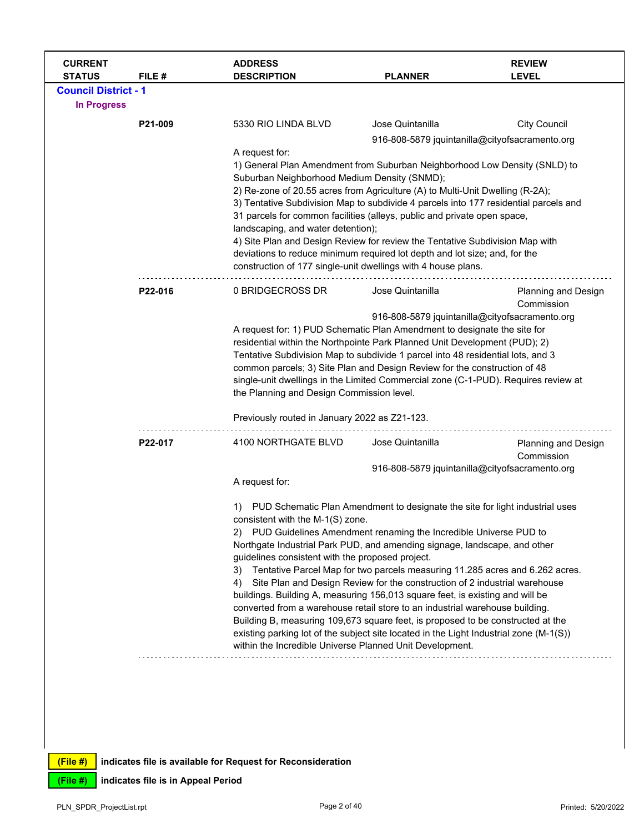| <b>CURRENT</b><br><b>STATUS</b> | FILE#   | <b>ADDRESS</b><br><b>DESCRIPTION</b>                                                                                                                                  | <b>PLANNER</b>                                                                                                                                                                                                                                     | <b>REVIEW</b><br><b>LEVEL</b>            |  |  |
|---------------------------------|---------|-----------------------------------------------------------------------------------------------------------------------------------------------------------------------|----------------------------------------------------------------------------------------------------------------------------------------------------------------------------------------------------------------------------------------------------|------------------------------------------|--|--|
| <b>Council District - 1</b>     |         |                                                                                                                                                                       |                                                                                                                                                                                                                                                    |                                          |  |  |
| <b>In Progress</b>              |         |                                                                                                                                                                       |                                                                                                                                                                                                                                                    |                                          |  |  |
|                                 | P21-009 | 5330 RIO LINDA BLVD                                                                                                                                                   | Jose Quintanilla                                                                                                                                                                                                                                   | <b>City Council</b>                      |  |  |
|                                 |         |                                                                                                                                                                       | 916-808-5879 jquintanilla@cityofsacramento.org                                                                                                                                                                                                     |                                          |  |  |
|                                 |         | A request for:                                                                                                                                                        |                                                                                                                                                                                                                                                    |                                          |  |  |
|                                 |         | 1) General Plan Amendment from Suburban Neighborhood Low Density (SNLD) to                                                                                            |                                                                                                                                                                                                                                                    |                                          |  |  |
|                                 |         | Suburban Neighborhood Medium Density (SNMD);                                                                                                                          |                                                                                                                                                                                                                                                    |                                          |  |  |
|                                 |         | 2) Re-zone of 20.55 acres from Agriculture (A) to Multi-Unit Dwelling (R-2A);<br>3) Tentative Subdivision Map to subdivide 4 parcels into 177 residential parcels and |                                                                                                                                                                                                                                                    |                                          |  |  |
|                                 |         | 31 parcels for common facilities (alleys, public and private open space,                                                                                              |                                                                                                                                                                                                                                                    |                                          |  |  |
|                                 |         | landscaping, and water detention);                                                                                                                                    |                                                                                                                                                                                                                                                    |                                          |  |  |
|                                 |         |                                                                                                                                                                       | 4) Site Plan and Design Review for review the Tentative Subdivision Map with<br>deviations to reduce minimum required lot depth and lot size; and, for the                                                                                         |                                          |  |  |
|                                 |         | construction of 177 single-unit dwellings with 4 house plans.                                                                                                         |                                                                                                                                                                                                                                                    |                                          |  |  |
|                                 |         |                                                                                                                                                                       |                                                                                                                                                                                                                                                    |                                          |  |  |
|                                 | P22-016 | 0 BRIDGECROSS DR                                                                                                                                                      | Jose Quintanilla                                                                                                                                                                                                                                   | <b>Planning and Design</b><br>Commission |  |  |
|                                 |         | 916-808-5879 jquintanilla@cityofsacramento.org                                                                                                                        |                                                                                                                                                                                                                                                    |                                          |  |  |
|                                 |         |                                                                                                                                                                       | A request for: 1) PUD Schematic Plan Amendment to designate the site for                                                                                                                                                                           |                                          |  |  |
|                                 |         |                                                                                                                                                                       | residential within the Northpointe Park Planned Unit Development (PUD); 2)                                                                                                                                                                         |                                          |  |  |
|                                 |         |                                                                                                                                                                       | Tentative Subdivision Map to subdivide 1 parcel into 48 residential lots, and 3<br>common parcels; 3) Site Plan and Design Review for the construction of 48<br>single-unit dwellings in the Limited Commercial zone (C-1-PUD). Requires review at |                                          |  |  |
|                                 |         |                                                                                                                                                                       |                                                                                                                                                                                                                                                    |                                          |  |  |
|                                 |         | the Planning and Design Commission level.                                                                                                                             |                                                                                                                                                                                                                                                    |                                          |  |  |
|                                 |         |                                                                                                                                                                       | Previously routed in January 2022 as Z21-123.                                                                                                                                                                                                      |                                          |  |  |
|                                 | P22-017 | 4100 NORTHGATE BLVD                                                                                                                                                   | Jose Quintanilla                                                                                                                                                                                                                                   | Planning and Design<br>Commission        |  |  |
|                                 |         |                                                                                                                                                                       | 916-808-5879 jquintanilla@cityofsacramento.org                                                                                                                                                                                                     |                                          |  |  |
|                                 |         | A request for:                                                                                                                                                        |                                                                                                                                                                                                                                                    |                                          |  |  |
|                                 |         |                                                                                                                                                                       | PUD Schematic Plan Amendment to designate the site for light industrial uses                                                                                                                                                                       |                                          |  |  |
|                                 |         | consistent with the M-1(S) zone.                                                                                                                                      |                                                                                                                                                                                                                                                    |                                          |  |  |
|                                 |         | 2)                                                                                                                                                                    | PUD Guidelines Amendment renaming the Incredible Universe PUD to<br>Northgate Industrial Park PUD, and amending signage, landscape, and other                                                                                                      |                                          |  |  |
|                                 |         | guidelines consistent with the proposed project.                                                                                                                      |                                                                                                                                                                                                                                                    |                                          |  |  |
|                                 |         | 3)                                                                                                                                                                    | Tentative Parcel Map for two parcels measuring 11.285 acres and 6.262 acres.                                                                                                                                                                       |                                          |  |  |
|                                 |         | 4)                                                                                                                                                                    | Site Plan and Design Review for the construction of 2 industrial warehouse                                                                                                                                                                         |                                          |  |  |
|                                 |         | buildings. Building A, measuring 156,013 square feet, is existing and will be<br>converted from a warehouse retail store to an industrial warehouse building.         |                                                                                                                                                                                                                                                    |                                          |  |  |
|                                 |         | Building B, measuring 109,673 square feet, is proposed to be constructed at the                                                                                       |                                                                                                                                                                                                                                                    |                                          |  |  |
|                                 |         | existing parking lot of the subject site located in the Light Industrial zone (M-1(S))                                                                                |                                                                                                                                                                                                                                                    |                                          |  |  |
|                                 |         | within the Incredible Universe Planned Unit Development.                                                                                                              |                                                                                                                                                                                                                                                    |                                          |  |  |
|                                 |         |                                                                                                                                                                       |                                                                                                                                                                                                                                                    |                                          |  |  |
|                                 |         |                                                                                                                                                                       |                                                                                                                                                                                                                                                    |                                          |  |  |
|                                 |         |                                                                                                                                                                       |                                                                                                                                                                                                                                                    |                                          |  |  |
|                                 |         |                                                                                                                                                                       |                                                                                                                                                                                                                                                    |                                          |  |  |
|                                 |         |                                                                                                                                                                       |                                                                                                                                                                                                                                                    |                                          |  |  |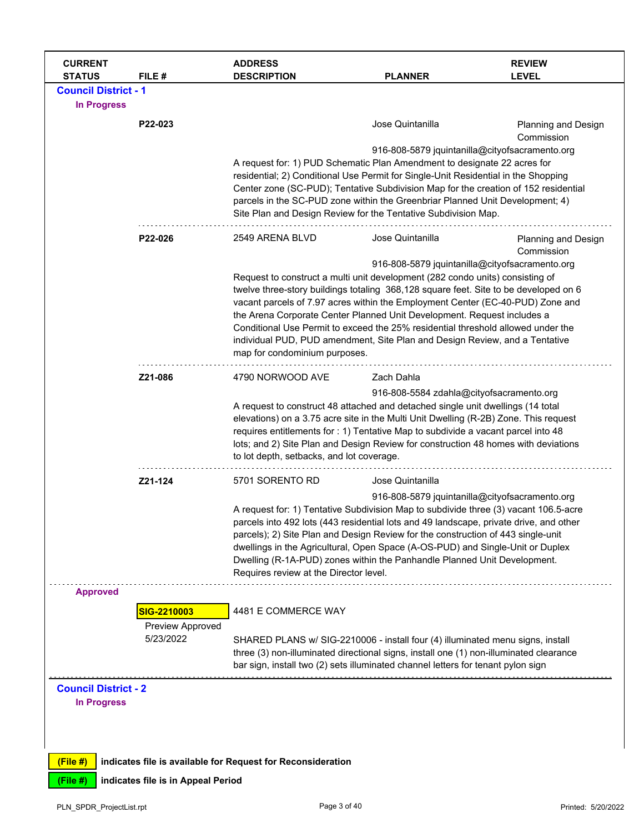| <b>CURRENT</b><br><b>STATUS</b>                                             | FILE #                                       | <b>ADDRESS</b><br><b>DESCRIPTION</b>                                                                                                                                                                                                                                                                                                                                                                                                                                                                                                                      | <b>PLANNER</b>                                                     | <b>REVIEW</b><br><b>LEVEL</b>     |
|-----------------------------------------------------------------------------|----------------------------------------------|-----------------------------------------------------------------------------------------------------------------------------------------------------------------------------------------------------------------------------------------------------------------------------------------------------------------------------------------------------------------------------------------------------------------------------------------------------------------------------------------------------------------------------------------------------------|--------------------------------------------------------------------|-----------------------------------|
| <b>Council District - 1</b><br><b>In Progress</b>                           |                                              |                                                                                                                                                                                                                                                                                                                                                                                                                                                                                                                                                           |                                                                    |                                   |
|                                                                             | P22-023                                      | A request for: 1) PUD Schematic Plan Amendment to designate 22 acres for<br>residential; 2) Conditional Use Permit for Single-Unit Residential in the Shopping<br>Center zone (SC-PUD); Tentative Subdivision Map for the creation of 152 residential<br>parcels in the SC-PUD zone within the Greenbriar Planned Unit Development; 4)<br>Site Plan and Design Review for the Tentative Subdivision Map.                                                                                                                                                  | Jose Quintanilla<br>916-808-5879 jquintanilla@cityofsacramento.org | Planning and Design<br>Commission |
|                                                                             | P22-026                                      | 2549 ARENA BLVD<br>Request to construct a multi unit development (282 condo units) consisting of<br>twelve three-story buildings totaling 368,128 square feet. Site to be developed on 6<br>vacant parcels of 7.97 acres within the Employment Center (EC-40-PUD) Zone and<br>the Arena Corporate Center Planned Unit Development. Request includes a<br>Conditional Use Permit to exceed the 25% residential threshold allowed under the<br>individual PUD, PUD amendment, Site Plan and Design Review, and a Tentative<br>map for condominium purposes. | Jose Quintanilla<br>916-808-5879 jquintanilla@cityofsacramento.org | Planning and Design<br>Commission |
|                                                                             | Z21-086                                      | 4790 NORWOOD AVE<br>A request to construct 48 attached and detached single unit dwellings (14 total<br>elevations) on a 3.75 acre site in the Multi Unit Dwelling (R-2B) Zone. This request<br>requires entitlements for : 1) Tentative Map to subdivide a vacant parcel into 48<br>lots; and 2) Site Plan and Design Review for construction 48 homes with deviations<br>to lot depth, setbacks, and lot coverage.                                                                                                                                       | Zach Dahla<br>916-808-5584 zdahla@cityofsacramento.org             |                                   |
|                                                                             | Z21-124                                      | 5701 SORENTO RD<br>A request for: 1) Tentative Subdivision Map to subdivide three (3) vacant 106.5-acre<br>parcels into 492 lots (443 residential lots and 49 landscape, private drive, and other<br>parcels); 2) Site Plan and Design Review for the construction of 443 single-unit<br>dwellings in the Agricultural, Open Space (A-OS-PUD) and Single-Unit or Duplex<br>Dwelling (R-1A-PUD) zones within the Panhandle Planned Unit Development.<br>Requires review at the Director level.                                                             | Jose Quintanilla<br>916-808-5879 jquintanilla@cityofsacramento.org |                                   |
| <b>Approved</b>                                                             | SIG-2210003<br>Preview Approved<br>5/23/2022 | 4481 E COMMERCE WAY<br>SHARED PLANS w/ SIG-2210006 - install four (4) illuminated menu signs, install<br>three (3) non-illuminated directional signs, install one (1) non-illuminated clearance<br>bar sign, install two (2) sets illuminated channel letters for tenant pylon sign                                                                                                                                                                                                                                                                       |                                                                    |                                   |
| <b>Council District - 2</b><br><b>In Progress</b><br>$(File$ #)<br>(File #) | indicates file is in Appeal Period           | indicates file is available for Request for Reconsideration                                                                                                                                                                                                                                                                                                                                                                                                                                                                                               |                                                                    |                                   |
| PLN_SPDR_ProjectList.rpt                                                    |                                              | Page 3 of 40                                                                                                                                                                                                                                                                                                                                                                                                                                                                                                                                              |                                                                    | Printed: 5/20/2022                |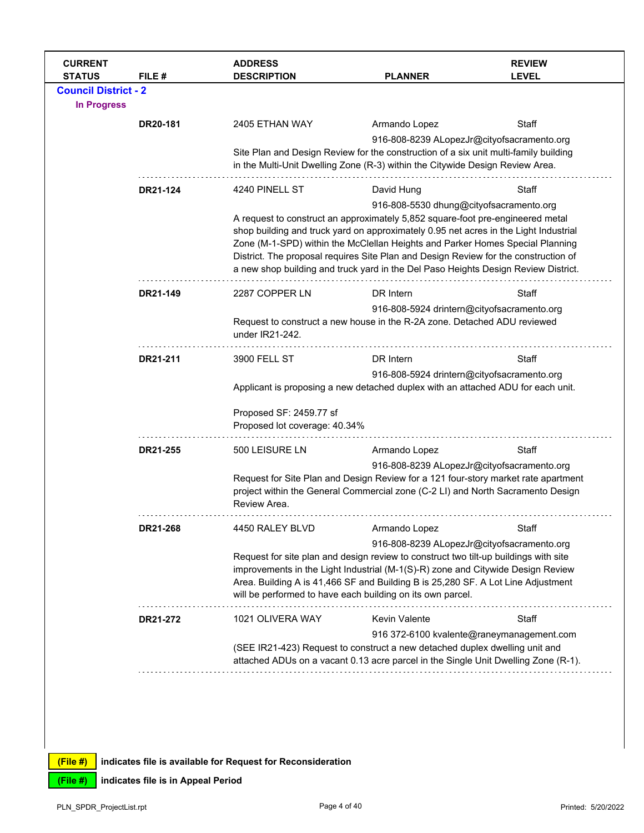| <b>CURRENT</b><br><b>STATUS</b> | FILE#    | <b>ADDRESS</b><br><b>DESCRIPTION</b>                                                                                                                                    | <b>PLANNER</b>                                                                                                                                                            | <b>REVIEW</b><br><b>LEVEL</b>             |  |  |
|---------------------------------|----------|-------------------------------------------------------------------------------------------------------------------------------------------------------------------------|---------------------------------------------------------------------------------------------------------------------------------------------------------------------------|-------------------------------------------|--|--|
| <b>Council District - 2</b>     |          |                                                                                                                                                                         |                                                                                                                                                                           |                                           |  |  |
| <b>In Progress</b>              |          |                                                                                                                                                                         |                                                                                                                                                                           |                                           |  |  |
|                                 | DR20-181 | 2405 ETHAN WAY                                                                                                                                                          | Armando Lopez                                                                                                                                                             | Staff                                     |  |  |
|                                 |          |                                                                                                                                                                         | 916-808-8239 ALopezJr@cityofsacramento.org                                                                                                                                |                                           |  |  |
|                                 |          |                                                                                                                                                                         | Site Plan and Design Review for the construction of a six unit multi-family building<br>in the Multi-Unit Dwelling Zone (R-3) within the Citywide Design Review Area.     |                                           |  |  |
|                                 |          |                                                                                                                                                                         |                                                                                                                                                                           |                                           |  |  |
|                                 | DR21-124 | 4240 PINELL ST                                                                                                                                                          | David Hung                                                                                                                                                                | Staff                                     |  |  |
|                                 |          | 916-808-5530 dhung@cityofsacramento.org<br>A request to construct an approximately 5,852 square-foot pre-engineered metal                                               |                                                                                                                                                                           |                                           |  |  |
|                                 |          |                                                                                                                                                                         | shop building and truck yard on approximately 0.95 net acres in the Light Industrial                                                                                      |                                           |  |  |
|                                 |          | Zone (M-1-SPD) within the McClellan Heights and Parker Homes Special Planning                                                                                           |                                                                                                                                                                           |                                           |  |  |
|                                 |          |                                                                                                                                                                         | District. The proposal requires Site Plan and Design Review for the construction of<br>a new shop building and truck yard in the Del Paso Heights Design Review District. |                                           |  |  |
|                                 | DR21-149 | 2287 COPPER LN                                                                                                                                                          | DR Intern                                                                                                                                                                 | Staff                                     |  |  |
|                                 |          |                                                                                                                                                                         |                                                                                                                                                                           |                                           |  |  |
|                                 |          | 916-808-5924 drintern@cityofsacramento.org<br>Request to construct a new house in the R-2A zone. Detached ADU reviewed                                                  |                                                                                                                                                                           |                                           |  |  |
|                                 |          | under IR21-242.                                                                                                                                                         |                                                                                                                                                                           |                                           |  |  |
|                                 | DR21-211 | 3900 FELL ST                                                                                                                                                            | DR Intern                                                                                                                                                                 | Staff                                     |  |  |
|                                 |          |                                                                                                                                                                         | 916-808-5924 drintern@cityofsacramento.org                                                                                                                                |                                           |  |  |
|                                 |          | Applicant is proposing a new detached duplex with an attached ADU for each unit.                                                                                        |                                                                                                                                                                           |                                           |  |  |
|                                 |          | Proposed SF: 2459.77 sf                                                                                                                                                 |                                                                                                                                                                           |                                           |  |  |
|                                 |          | Proposed lot coverage: 40.34%                                                                                                                                           |                                                                                                                                                                           |                                           |  |  |
|                                 | DR21-255 | 500 LEISURE LN                                                                                                                                                          | Armando Lopez                                                                                                                                                             | Staff                                     |  |  |
|                                 |          |                                                                                                                                                                         | 916-808-8239 ALopezJr@cityofsacramento.org                                                                                                                                |                                           |  |  |
|                                 |          |                                                                                                                                                                         | Request for Site Plan and Design Review for a 121 four-story market rate apartment<br>project within the General Commercial zone (C-2 LI) and North Sacramento Design     |                                           |  |  |
|                                 |          | Review Area.                                                                                                                                                            |                                                                                                                                                                           |                                           |  |  |
|                                 | DR21-268 | 4450 RALEY BLVD                                                                                                                                                         | Armando Lopez                                                                                                                                                             | Staff                                     |  |  |
|                                 |          | 916-808-8239 ALopezJr@cityofsacramento.org                                                                                                                              |                                                                                                                                                                           |                                           |  |  |
|                                 |          | Request for site plan and design review to construct two tilt-up buildings with site<br>improvements in the Light Industrial (M-1(S)-R) zone and Citywide Design Review |                                                                                                                                                                           |                                           |  |  |
|                                 |          |                                                                                                                                                                         |                                                                                                                                                                           |                                           |  |  |
|                                 |          | Area. Building A is 41,466 SF and Building B is 25,280 SF. A Lot Line Adjustment<br>will be performed to have each building on its own parcel.                          |                                                                                                                                                                           |                                           |  |  |
|                                 | DR21-272 | 1021 OLIVERA WAY                                                                                                                                                        | <b>Kevin Valente</b>                                                                                                                                                      | Staff                                     |  |  |
|                                 |          |                                                                                                                                                                         |                                                                                                                                                                           | 916 372-6100 kvalente@raneymanagement.com |  |  |
|                                 |          |                                                                                                                                                                         | (SEE IR21-423) Request to construct a new detached duplex dwelling unit and                                                                                               |                                           |  |  |
|                                 |          |                                                                                                                                                                         | attached ADUs on a vacant 0.13 acre parcel in the Single Unit Dwelling Zone (R-1).                                                                                        |                                           |  |  |
|                                 |          |                                                                                                                                                                         |                                                                                                                                                                           |                                           |  |  |
|                                 |          |                                                                                                                                                                         |                                                                                                                                                                           |                                           |  |  |
|                                 |          |                                                                                                                                                                         |                                                                                                                                                                           |                                           |  |  |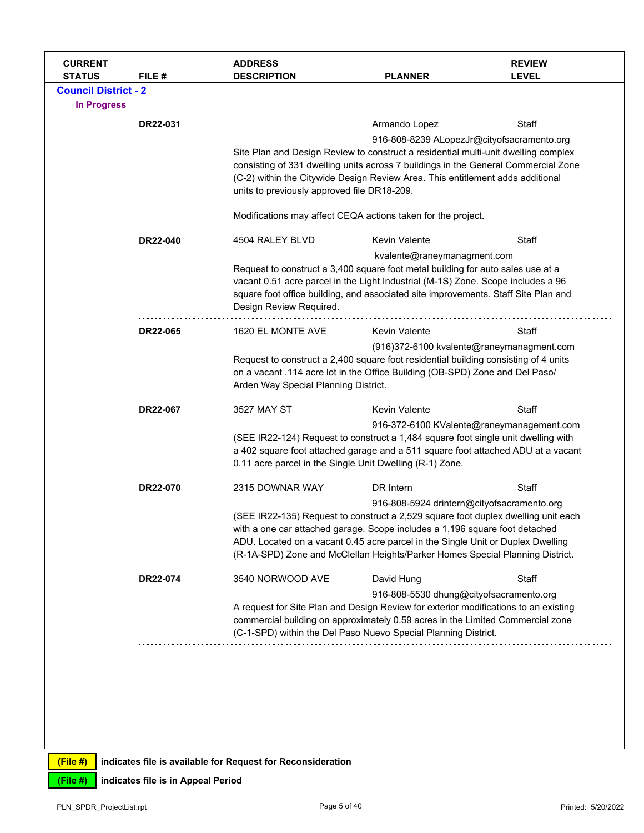| <b>CURRENT</b><br><b>STATUS</b>                                                                                                                                                                                                                                                      | FILE#                                                                                                                                                                                                                             | <b>ADDRESS</b><br><b>DESCRIPTION</b>                                                                                                                                                                                                                                                                                                                                               | <b>PLANNER</b>                                                                                                                                                                                                   | <b>REVIEW</b><br><b>LEVEL</b>             |  |
|--------------------------------------------------------------------------------------------------------------------------------------------------------------------------------------------------------------------------------------------------------------------------------------|-----------------------------------------------------------------------------------------------------------------------------------------------------------------------------------------------------------------------------------|------------------------------------------------------------------------------------------------------------------------------------------------------------------------------------------------------------------------------------------------------------------------------------------------------------------------------------------------------------------------------------|------------------------------------------------------------------------------------------------------------------------------------------------------------------------------------------------------------------|-------------------------------------------|--|
| <b>Council District - 2</b>                                                                                                                                                                                                                                                          |                                                                                                                                                                                                                                   |                                                                                                                                                                                                                                                                                                                                                                                    |                                                                                                                                                                                                                  |                                           |  |
| <b>In Progress</b>                                                                                                                                                                                                                                                                   |                                                                                                                                                                                                                                   |                                                                                                                                                                                                                                                                                                                                                                                    |                                                                                                                                                                                                                  |                                           |  |
|                                                                                                                                                                                                                                                                                      | DR22-031                                                                                                                                                                                                                          |                                                                                                                                                                                                                                                                                                                                                                                    | Armando Lopez                                                                                                                                                                                                    | Staff                                     |  |
|                                                                                                                                                                                                                                                                                      |                                                                                                                                                                                                                                   |                                                                                                                                                                                                                                                                                                                                                                                    | 916-808-8239 ALopezJr@cityofsacramento.org                                                                                                                                                                       |                                           |  |
|                                                                                                                                                                                                                                                                                      |                                                                                                                                                                                                                                   | Site Plan and Design Review to construct a residential multi-unit dwelling complex<br>consisting of 331 dwelling units across 7 buildings in the General Commercial Zone<br>(C-2) within the Citywide Design Review Area. This entitlement adds additional<br>units to previously approved file DR18-209.                                                                          |                                                                                                                                                                                                                  |                                           |  |
|                                                                                                                                                                                                                                                                                      |                                                                                                                                                                                                                                   |                                                                                                                                                                                                                                                                                                                                                                                    | Modifications may affect CEQA actions taken for the project.                                                                                                                                                     |                                           |  |
|                                                                                                                                                                                                                                                                                      | DR22-040                                                                                                                                                                                                                          | 4504 RALEY BLVD                                                                                                                                                                                                                                                                                                                                                                    | <b>Kevin Valente</b>                                                                                                                                                                                             | Staff                                     |  |
| Request to construct a 3,400 square foot metal building for auto sales use at a<br>vacant 0.51 acre parcel in the Light Industrial (M-1S) Zone. Scope includes a 96<br>square foot office building, and associated site improvements. Staff Site Plan and<br>Design Review Required. |                                                                                                                                                                                                                                   | kvalente@raneymanagment.com                                                                                                                                                                                                                                                                                                                                                        |                                                                                                                                                                                                                  |                                           |  |
|                                                                                                                                                                                                                                                                                      | DR22-065                                                                                                                                                                                                                          | 1620 EL MONTE AVE                                                                                                                                                                                                                                                                                                                                                                  | <b>Kevin Valente</b>                                                                                                                                                                                             | Staff                                     |  |
|                                                                                                                                                                                                                                                                                      | Arden Way Special Planning District.                                                                                                                                                                                              |                                                                                                                                                                                                                                                                                                                                                                                    | (916)372-6100 kvalente@raneymanagment.com<br>Request to construct a 2,400 square foot residential building consisting of 4 units<br>on a vacant .114 acre lot in the Office Building (OB-SPD) Zone and Del Paso/ |                                           |  |
|                                                                                                                                                                                                                                                                                      | DR22-067                                                                                                                                                                                                                          | 3527 MAY ST                                                                                                                                                                                                                                                                                                                                                                        | <b>Kevin Valente</b>                                                                                                                                                                                             | Staff                                     |  |
|                                                                                                                                                                                                                                                                                      | (SEE IR22-124) Request to construct a 1,484 square foot single unit dwelling with<br>a 402 square foot attached garage and a 511 square foot attached ADU at a vacant<br>0.11 acre parcel in the Single Unit Dwelling (R-1) Zone. |                                                                                                                                                                                                                                                                                                                                                                                    |                                                                                                                                                                                                                  | 916-372-6100 KValente@raneymanagement.com |  |
|                                                                                                                                                                                                                                                                                      | DR22-070                                                                                                                                                                                                                          | 2315 DOWNAR WAY                                                                                                                                                                                                                                                                                                                                                                    | DR Intern                                                                                                                                                                                                        | Staff                                     |  |
|                                                                                                                                                                                                                                                                                      |                                                                                                                                                                                                                                   | 916-808-5924 drintern@cityofsacramento.org<br>(SEE IR22-135) Request to construct a 2,529 square foot duplex dwelling unit each<br>with a one car attached garage. Scope includes a 1,196 square foot detached<br>ADU. Located on a vacant 0.45 acre parcel in the Single Unit or Duplex Dwelling<br>(R-1A-SPD) Zone and McClellan Heights/Parker Homes Special Planning District. |                                                                                                                                                                                                                  |                                           |  |
|                                                                                                                                                                                                                                                                                      | DR22-074                                                                                                                                                                                                                          | 3540 NORWOOD AVE                                                                                                                                                                                                                                                                                                                                                                   | David Hung                                                                                                                                                                                                       | Staff                                     |  |
| A request for Site Plan and Design Review for exterior modifications to an existing<br>commercial building on approximately 0.59 acres in the Limited Commercial zone<br>(C-1-SPD) within the Del Paso Nuevo Special Planning District.                                              |                                                                                                                                                                                                                                   | 916-808-5530 dhung@cityofsacramento.org                                                                                                                                                                                                                                                                                                                                            |                                                                                                                                                                                                                  |                                           |  |
|                                                                                                                                                                                                                                                                                      |                                                                                                                                                                                                                                   |                                                                                                                                                                                                                                                                                                                                                                                    |                                                                                                                                                                                                                  |                                           |  |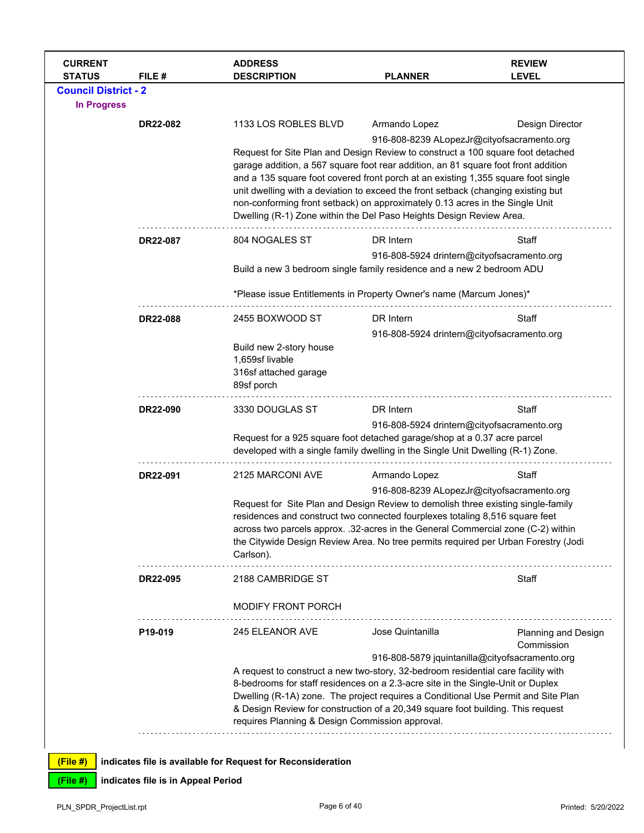| <b>CURRENT</b><br><b>STATUS</b> | FILE #                             | <b>ADDRESS</b><br><b>DESCRIPTION</b>                                                                                                                                                                                                                                                                                                                                                                                                                                                                   | <b>PLANNER</b>                                                                                                                                                                                                                                                                                                                                                                                               | <b>REVIEW</b><br><b>LEVEL</b> |  |
|---------------------------------|------------------------------------|--------------------------------------------------------------------------------------------------------------------------------------------------------------------------------------------------------------------------------------------------------------------------------------------------------------------------------------------------------------------------------------------------------------------------------------------------------------------------------------------------------|--------------------------------------------------------------------------------------------------------------------------------------------------------------------------------------------------------------------------------------------------------------------------------------------------------------------------------------------------------------------------------------------------------------|-------------------------------|--|
| <b>Council District - 2</b>     |                                    |                                                                                                                                                                                                                                                                                                                                                                                                                                                                                                        |                                                                                                                                                                                                                                                                                                                                                                                                              |                               |  |
| <b>In Progress</b>              |                                    |                                                                                                                                                                                                                                                                                                                                                                                                                                                                                                        |                                                                                                                                                                                                                                                                                                                                                                                                              |                               |  |
|                                 | DR22-082                           | 1133 LOS ROBLES BLVD                                                                                                                                                                                                                                                                                                                                                                                                                                                                                   | Armando Lopez                                                                                                                                                                                                                                                                                                                                                                                                | Design Director               |  |
|                                 |                                    | Request for Site Plan and Design Review to construct a 100 square foot detached<br>garage addition, a 567 square foot rear addition, an 81 square foot front addition<br>and a 135 square foot covered front porch at an existing 1,355 square foot single<br>unit dwelling with a deviation to exceed the front setback (changing existing but<br>non-conforming front setback) on approximately 0.13 acres in the Single Unit<br>Dwelling (R-1) Zone within the Del Paso Heights Design Review Area. | 916-808-8239 ALopezJr@cityofsacramento.org                                                                                                                                                                                                                                                                                                                                                                   |                               |  |
|                                 | DR22-087                           | 804 NOGALES ST                                                                                                                                                                                                                                                                                                                                                                                                                                                                                         | DR Intern                                                                                                                                                                                                                                                                                                                                                                                                    | Staff                         |  |
|                                 |                                    | Build a new 3 bedroom single family residence and a new 2 bedroom ADU                                                                                                                                                                                                                                                                                                                                                                                                                                  | 916-808-5924 drintern@cityofsacramento.org                                                                                                                                                                                                                                                                                                                                                                   |                               |  |
|                                 |                                    | *Please issue Entitlements in Property Owner's name (Marcum Jones)*                                                                                                                                                                                                                                                                                                                                                                                                                                    |                                                                                                                                                                                                                                                                                                                                                                                                              |                               |  |
|                                 | <b>DR22-088</b>                    | 2455 BOXWOOD ST                                                                                                                                                                                                                                                                                                                                                                                                                                                                                        | DR Intern                                                                                                                                                                                                                                                                                                                                                                                                    | Staff                         |  |
|                                 |                                    |                                                                                                                                                                                                                                                                                                                                                                                                                                                                                                        | 916-808-5924 drintern@cityofsacramento.org                                                                                                                                                                                                                                                                                                                                                                   |                               |  |
|                                 |                                    | Build new 2-story house<br>1,659sf livable<br>316sf attached garage<br>89sf porch                                                                                                                                                                                                                                                                                                                                                                                                                      |                                                                                                                                                                                                                                                                                                                                                                                                              |                               |  |
|                                 | DR22-090                           | 3330 DOUGLAS ST                                                                                                                                                                                                                                                                                                                                                                                                                                                                                        | DR Intern                                                                                                                                                                                                                                                                                                                                                                                                    | Staff                         |  |
|                                 |                                    | Request for a 925 square foot detached garage/shop at a 0.37 acre parcel<br>developed with a single family dwelling in the Single Unit Dwelling (R-1) Zone.                                                                                                                                                                                                                                                                                                                                            | 916-808-5924 drintern@cityofsacramento.org                                                                                                                                                                                                                                                                                                                                                                   |                               |  |
|                                 |                                    |                                                                                                                                                                                                                                                                                                                                                                                                                                                                                                        |                                                                                                                                                                                                                                                                                                                                                                                                              |                               |  |
|                                 | DR22-091                           | 2125 MARCONI AVE                                                                                                                                                                                                                                                                                                                                                                                                                                                                                       | Armando Lopez<br>916-808-8239 ALopezJr@cityofsacramento.org                                                                                                                                                                                                                                                                                                                                                  | Staff                         |  |
|                                 |                                    | Request for Site Plan and Design Review to demolish three existing single-family<br>residences and construct two connected fourplexes totaling 8,516 square feet<br>across two parcels approx. .32-acres in the General Commercial zone (C-2) within<br>the Citywide Design Review Area. No tree permits required per Urban Forestry (Jodi<br>Carlson).                                                                                                                                                |                                                                                                                                                                                                                                                                                                                                                                                                              |                               |  |
|                                 | DR22-095                           | 2188 CAMBRIDGE ST                                                                                                                                                                                                                                                                                                                                                                                                                                                                                      |                                                                                                                                                                                                                                                                                                                                                                                                              |                               |  |
|                                 |                                    | MODIFY FRONT PORCH                                                                                                                                                                                                                                                                                                                                                                                                                                                                                     |                                                                                                                                                                                                                                                                                                                                                                                                              | Staff                         |  |
|                                 | P19-019                            | 245 ELEANOR AVE                                                                                                                                                                                                                                                                                                                                                                                                                                                                                        | Jose Quintanilla                                                                                                                                                                                                                                                                                                                                                                                             | Planning and Design           |  |
|                                 |                                    | requires Planning & Design Commission approval.                                                                                                                                                                                                                                                                                                                                                                                                                                                        | Commission<br>916-808-5879 jquintanilla@cityofsacramento.org<br>A request to construct a new two-story, 32-bedroom residential care facility with<br>8-bedrooms for staff residences on a 2.3-acre site in the Single-Unit or Duplex<br>Dwelling (R-1A) zone. The project requires a Conditional Use Permit and Site Plan<br>& Design Review for construction of a 20,349 square foot building. This request |                               |  |
| (File #)                        |                                    | indicates file is available for Request for Reconsideration                                                                                                                                                                                                                                                                                                                                                                                                                                            |                                                                                                                                                                                                                                                                                                                                                                                                              |                               |  |
| (File #)                        | indicates file is in Appeal Period |                                                                                                                                                                                                                                                                                                                                                                                                                                                                                                        |                                                                                                                                                                                                                                                                                                                                                                                                              |                               |  |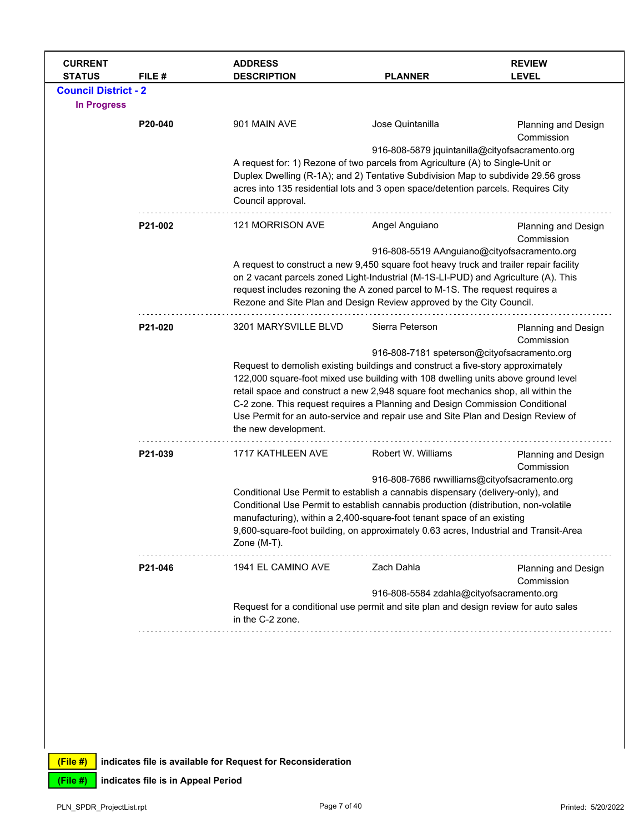| <b>CURRENT</b><br><b>STATUS</b> | FILE#   | <b>ADDRESS</b><br><b>DESCRIPTION</b>                                                                                                                                                                                                                                          | <b>PLANNER</b>                                                                      | <b>REVIEW</b><br><b>LEVEL</b>            |  |  |
|---------------------------------|---------|-------------------------------------------------------------------------------------------------------------------------------------------------------------------------------------------------------------------------------------------------------------------------------|-------------------------------------------------------------------------------------|------------------------------------------|--|--|
| <b>Council District - 2</b>     |         |                                                                                                                                                                                                                                                                               |                                                                                     |                                          |  |  |
| <b>In Progress</b>              |         |                                                                                                                                                                                                                                                                               |                                                                                     |                                          |  |  |
|                                 | P20-040 | 901 MAIN AVE                                                                                                                                                                                                                                                                  | Jose Quintanilla                                                                    | Planning and Design<br>Commission        |  |  |
|                                 |         |                                                                                                                                                                                                                                                                               | 916-808-5879 jquintanilla@cityofsacramento.org                                      |                                          |  |  |
|                                 |         | A request for: 1) Rezone of two parcels from Agriculture (A) to Single-Unit or<br>Duplex Dwelling (R-1A); and 2) Tentative Subdivision Map to subdivide 29.56 gross<br>acres into 135 residential lots and 3 open space/detention parcels. Requires City<br>Council approval. |                                                                                     |                                          |  |  |
|                                 |         |                                                                                                                                                                                                                                                                               |                                                                                     |                                          |  |  |
|                                 | P21-002 | 121 MORRISON AVE                                                                                                                                                                                                                                                              | Angel Anguiano                                                                      | <b>Planning and Design</b><br>Commission |  |  |
|                                 |         |                                                                                                                                                                                                                                                                               | 916-808-5519 AAnguiano@cityofsacramento.org                                         |                                          |  |  |
|                                 |         | A request to construct a new 9,450 square foot heavy truck and trailer repair facility                                                                                                                                                                                        |                                                                                     |                                          |  |  |
|                                 |         | on 2 vacant parcels zoned Light-Industrial (M-1S-LI-PUD) and Agriculture (A). This<br>request includes rezoning the A zoned parcel to M-1S. The request requires a                                                                                                            |                                                                                     |                                          |  |  |
|                                 |         | Rezone and Site Plan and Design Review approved by the City Council.                                                                                                                                                                                                          |                                                                                     |                                          |  |  |
|                                 |         |                                                                                                                                                                                                                                                                               |                                                                                     |                                          |  |  |
|                                 | P21-020 | 3201 MARYSVILLE BLVD                                                                                                                                                                                                                                                          | Sierra Peterson                                                                     | Planning and Design<br>Commission        |  |  |
|                                 |         |                                                                                                                                                                                                                                                                               | 916-808-7181 speterson@cityofsacramento.org                                         |                                          |  |  |
|                                 |         | Request to demolish existing buildings and construct a five-story approximately                                                                                                                                                                                               |                                                                                     |                                          |  |  |
|                                 |         | 122,000 square-foot mixed use building with 108 dwelling units above ground level                                                                                                                                                                                             |                                                                                     |                                          |  |  |
|                                 |         | retail space and construct a new 2,948 square foot mechanics shop, all within the<br>C-2 zone. This request requires a Planning and Design Commission Conditional                                                                                                             |                                                                                     |                                          |  |  |
|                                 |         | Use Permit for an auto-service and repair use and Site Plan and Design Review of                                                                                                                                                                                              |                                                                                     |                                          |  |  |
|                                 |         | the new development.                                                                                                                                                                                                                                                          |                                                                                     |                                          |  |  |
|                                 | P21-039 | 1717 KATHLEEN AVE                                                                                                                                                                                                                                                             | Robert W. Williams                                                                  | Planning and Design<br>Commission        |  |  |
|                                 |         |                                                                                                                                                                                                                                                                               | 916-808-7686 rwwilliams@cityofsacramento.org                                        |                                          |  |  |
|                                 |         | Conditional Use Permit to establish a cannabis dispensary (delivery-only), and                                                                                                                                                                                                |                                                                                     |                                          |  |  |
|                                 |         |                                                                                                                                                                                                                                                                               | Conditional Use Permit to establish cannabis production (distribution, non-volatile |                                          |  |  |
|                                 |         | manufacturing), within a 2,400-square-foot tenant space of an existing<br>9,600-square-foot building, on approximately 0.63 acres, Industrial and Transit-Area                                                                                                                |                                                                                     |                                          |  |  |
|                                 |         | Zone (M-T).                                                                                                                                                                                                                                                                   |                                                                                     |                                          |  |  |
|                                 | P21-046 | 1941 EL CAMINO AVE                                                                                                                                                                                                                                                            | Zach Dahla                                                                          | Planning and Design                      |  |  |
|                                 |         |                                                                                                                                                                                                                                                                               |                                                                                     | Commission                               |  |  |
|                                 |         | Request for a conditional use permit and site plan and design review for auto sales<br>in the C-2 zone.                                                                                                                                                                       | 916-808-5584 zdahla@cityofsacramento.org                                            |                                          |  |  |
|                                 |         |                                                                                                                                                                                                                                                                               |                                                                                     |                                          |  |  |
|                                 |         |                                                                                                                                                                                                                                                                               |                                                                                     |                                          |  |  |
|                                 |         |                                                                                                                                                                                                                                                                               |                                                                                     |                                          |  |  |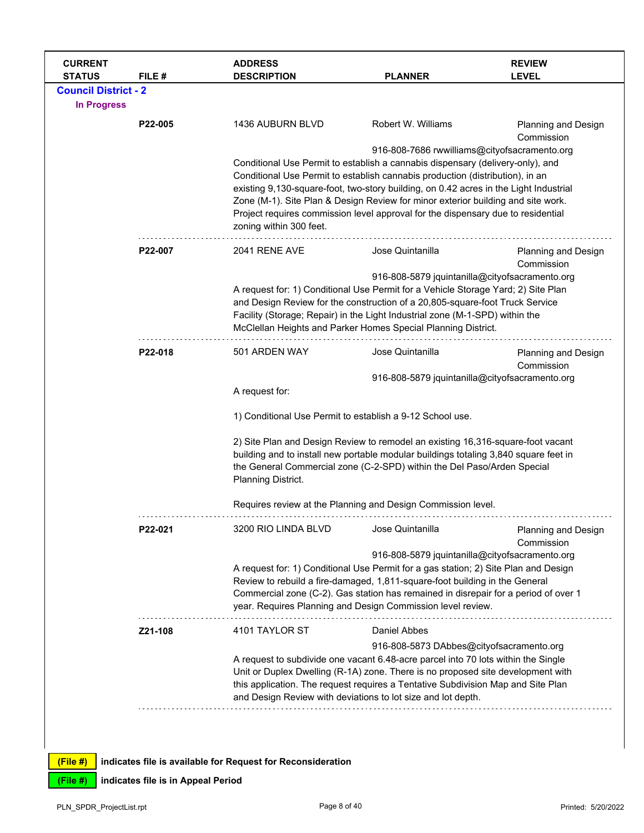| <b>CURRENT</b><br><b>STATUS</b> | FILE #  | <b>ADDRESS</b><br><b>DESCRIPTION</b>                                                                                                                                                                                                                                                                                                                                               | <b>PLANNER</b>                                                                                                                                                                                                                                                                                                                                                             | <b>REVIEW</b><br><b>LEVEL</b>            |  |  |
|---------------------------------|---------|------------------------------------------------------------------------------------------------------------------------------------------------------------------------------------------------------------------------------------------------------------------------------------------------------------------------------------------------------------------------------------|----------------------------------------------------------------------------------------------------------------------------------------------------------------------------------------------------------------------------------------------------------------------------------------------------------------------------------------------------------------------------|------------------------------------------|--|--|
| <b>Council District - 2</b>     |         |                                                                                                                                                                                                                                                                                                                                                                                    |                                                                                                                                                                                                                                                                                                                                                                            |                                          |  |  |
| <b>In Progress</b>              |         |                                                                                                                                                                                                                                                                                                                                                                                    |                                                                                                                                                                                                                                                                                                                                                                            |                                          |  |  |
|                                 | P22-005 | 1436 AUBURN BLVD                                                                                                                                                                                                                                                                                                                                                                   | Robert W. Williams                                                                                                                                                                                                                                                                                                                                                         | <b>Planning and Design</b><br>Commission |  |  |
|                                 |         |                                                                                                                                                                                                                                                                                                                                                                                    | 916-808-7686 rwwilliams@cityofsacramento.org                                                                                                                                                                                                                                                                                                                               |                                          |  |  |
|                                 |         |                                                                                                                                                                                                                                                                                                                                                                                    | Conditional Use Permit to establish a cannabis dispensary (delivery-only), and                                                                                                                                                                                                                                                                                             |                                          |  |  |
|                                 |         | Conditional Use Permit to establish cannabis production (distribution), in an<br>existing 9,130-square-foot, two-story building, on 0.42 acres in the Light Industrial<br>Zone (M-1). Site Plan & Design Review for minor exterior building and site work.<br>Project requires commission level approval for the dispensary due to residential<br>zoning within 300 feet.          |                                                                                                                                                                                                                                                                                                                                                                            |                                          |  |  |
|                                 | P22-007 | 2041 RENE AVE                                                                                                                                                                                                                                                                                                                                                                      | Jose Quintanilla                                                                                                                                                                                                                                                                                                                                                           | <b>Planning and Design</b>               |  |  |
|                                 |         | Commission<br>916-808-5879 jquintanilla@cityofsacramento.org<br>A request for: 1) Conditional Use Permit for a Vehicle Storage Yard; 2) Site Plan<br>and Design Review for the construction of a 20,805-square-foot Truck Service<br>Facility (Storage; Repair) in the Light Industrial zone (M-1-SPD) within the<br>McClellan Heights and Parker Homes Special Planning District. |                                                                                                                                                                                                                                                                                                                                                                            |                                          |  |  |
|                                 | P22-018 | 501 ARDEN WAY                                                                                                                                                                                                                                                                                                                                                                      | Jose Quintanilla                                                                                                                                                                                                                                                                                                                                                           | <b>Planning and Design</b><br>Commission |  |  |
|                                 |         |                                                                                                                                                                                                                                                                                                                                                                                    | 916-808-5879 jquintanilla@cityofsacramento.org                                                                                                                                                                                                                                                                                                                             |                                          |  |  |
|                                 |         | A request for:                                                                                                                                                                                                                                                                                                                                                                     |                                                                                                                                                                                                                                                                                                                                                                            |                                          |  |  |
|                                 |         | 1) Conditional Use Permit to establish a 9-12 School use.                                                                                                                                                                                                                                                                                                                          |                                                                                                                                                                                                                                                                                                                                                                            |                                          |  |  |
|                                 |         | Planning District.                                                                                                                                                                                                                                                                                                                                                                 | 2) Site Plan and Design Review to remodel an existing 16,316-square-foot vacant<br>building and to install new portable modular buildings totaling 3,840 square feet in<br>the General Commercial zone (C-2-SPD) within the Del Paso/Arden Special                                                                                                                         |                                          |  |  |
|                                 |         |                                                                                                                                                                                                                                                                                                                                                                                    | Requires review at the Planning and Design Commission level.                                                                                                                                                                                                                                                                                                               |                                          |  |  |
|                                 | P22-021 | 3200 RIO LINDA BLVD                                                                                                                                                                                                                                                                                                                                                                | Jose Quintanilla                                                                                                                                                                                                                                                                                                                                                           | <b>Planning and Design</b><br>Commission |  |  |
|                                 |         |                                                                                                                                                                                                                                                                                                                                                                                    | 916-808-5879 jquintanilla@cityofsacramento.org<br>A request for: 1) Conditional Use Permit for a gas station; 2) Site Plan and Design<br>Review to rebuild a fire-damaged, 1,811-square-foot building in the General<br>Commercial zone (C-2). Gas station has remained in disrepair for a period of over 1<br>year. Requires Planning and Design Commission level review. |                                          |  |  |
|                                 | Z21-108 | 4101 TAYLOR ST                                                                                                                                                                                                                                                                                                                                                                     | <b>Daniel Abbes</b>                                                                                                                                                                                                                                                                                                                                                        |                                          |  |  |
|                                 |         | 916-808-5873 DAbbes@cityofsacramento.org<br>A request to subdivide one vacant 6.48-acre parcel into 70 lots within the Single<br>Unit or Duplex Dwelling (R-1A) zone. There is no proposed site development with<br>this application. The request requires a Tentative Subdivision Map and Site Plan<br>and Design Review with deviations to lot size and lot depth.               |                                                                                                                                                                                                                                                                                                                                                                            |                                          |  |  |
|                                 |         |                                                                                                                                                                                                                                                                                                                                                                                    |                                                                                                                                                                                                                                                                                                                                                                            |                                          |  |  |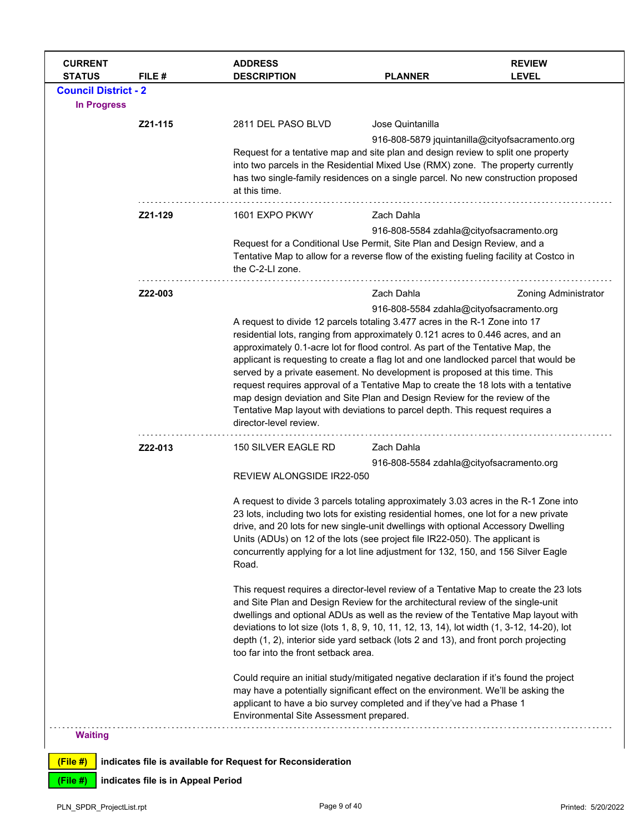| <b>CURRENT</b><br><b>STATUS</b>                   | FILE #                             | <b>ADDRESS</b><br><b>DESCRIPTION</b>                                                                                                                                                                                                                                                                                                                                                                                                                                                                                                                                                                                                                                                                                                                                                              | <b>PLANNER</b>                                                                                                                                                                                                                                                                                                                                                                                                                                                                                                                                                                                                                                                                                                                                                                                                                                                                                                                                                                                                                                                                                                                                                                                                       | <b>REVIEW</b><br><b>LEVEL</b>            |  |
|---------------------------------------------------|------------------------------------|---------------------------------------------------------------------------------------------------------------------------------------------------------------------------------------------------------------------------------------------------------------------------------------------------------------------------------------------------------------------------------------------------------------------------------------------------------------------------------------------------------------------------------------------------------------------------------------------------------------------------------------------------------------------------------------------------------------------------------------------------------------------------------------------------|----------------------------------------------------------------------------------------------------------------------------------------------------------------------------------------------------------------------------------------------------------------------------------------------------------------------------------------------------------------------------------------------------------------------------------------------------------------------------------------------------------------------------------------------------------------------------------------------------------------------------------------------------------------------------------------------------------------------------------------------------------------------------------------------------------------------------------------------------------------------------------------------------------------------------------------------------------------------------------------------------------------------------------------------------------------------------------------------------------------------------------------------------------------------------------------------------------------------|------------------------------------------|--|
| <b>Council District - 2</b><br><b>In Progress</b> |                                    |                                                                                                                                                                                                                                                                                                                                                                                                                                                                                                                                                                                                                                                                                                                                                                                                   |                                                                                                                                                                                                                                                                                                                                                                                                                                                                                                                                                                                                                                                                                                                                                                                                                                                                                                                                                                                                                                                                                                                                                                                                                      |                                          |  |
|                                                   | Z21-115                            | Jose Quintanilla<br>2811 DEL PASO BLVD<br>916-808-5879 jquintanilla@cityofsacramento.org<br>Request for a tentative map and site plan and design review to split one property<br>into two parcels in the Residential Mixed Use (RMX) zone. The property currently<br>has two single-family residences on a single parcel. No new construction proposed<br>at this time.                                                                                                                                                                                                                                                                                                                                                                                                                           |                                                                                                                                                                                                                                                                                                                                                                                                                                                                                                                                                                                                                                                                                                                                                                                                                                                                                                                                                                                                                                                                                                                                                                                                                      |                                          |  |
|                                                   | Z21-129                            | 1601 EXPO PKWY<br>Request for a Conditional Use Permit, Site Plan and Design Review, and a<br>Tentative Map to allow for a reverse flow of the existing fueling facility at Costco in<br>the C-2-LI zone.                                                                                                                                                                                                                                                                                                                                                                                                                                                                                                                                                                                         | Zach Dahla                                                                                                                                                                                                                                                                                                                                                                                                                                                                                                                                                                                                                                                                                                                                                                                                                                                                                                                                                                                                                                                                                                                                                                                                           | 916-808-5584 zdahla@cityofsacramento.org |  |
|                                                   | Z22-003                            | Zach Dahla<br><b>Zoning Administrator</b><br>916-808-5584 zdahla@cityofsacramento.org<br>A request to divide 12 parcels totaling 3.477 acres in the R-1 Zone into 17<br>residential lots, ranging from approximately 0.121 acres to 0.446 acres, and an<br>approximately 0.1-acre lot for flood control. As part of the Tentative Map, the<br>applicant is requesting to create a flag lot and one landlocked parcel that would be<br>served by a private easement. No development is proposed at this time. This<br>request requires approval of a Tentative Map to create the 18 lots with a tentative<br>map design deviation and Site Plan and Design Review for the review of the<br>Tentative Map layout with deviations to parcel depth. This request requires a<br>director-level review. |                                                                                                                                                                                                                                                                                                                                                                                                                                                                                                                                                                                                                                                                                                                                                                                                                                                                                                                                                                                                                                                                                                                                                                                                                      |                                          |  |
|                                                   | Z22-013                            | 150 SILVER EAGLE RD<br>REVIEW ALONGSIDE IR22-050<br>Road.<br>too far into the front setback area.<br>Environmental Site Assessment prepared.                                                                                                                                                                                                                                                                                                                                                                                                                                                                                                                                                                                                                                                      | Zach Dahla<br>916-808-5584 zdahla@cityofsacramento.org<br>A request to divide 3 parcels totaling approximately 3.03 acres in the R-1 Zone into<br>23 lots, including two lots for existing residential homes, one lot for a new private<br>drive, and 20 lots for new single-unit dwellings with optional Accessory Dwelling<br>Units (ADUs) on 12 of the lots (see project file IR22-050). The applicant is<br>concurrently applying for a lot line adjustment for 132, 150, and 156 Silver Eagle<br>This request requires a director-level review of a Tentative Map to create the 23 lots<br>and Site Plan and Design Review for the architectural review of the single-unit<br>dwellings and optional ADUs as well as the review of the Tentative Map layout with<br>deviations to lot size (lots 1, 8, 9, 10, 11, 12, 13, 14), lot width (1, 3-12, 14-20), lot<br>depth (1, 2), interior side yard setback (lots 2 and 13), and front porch projecting<br>Could require an initial study/mitigated negative declaration if it's found the project<br>may have a potentially significant effect on the environment. We'll be asking the<br>applicant to have a bio survey completed and if they've had a Phase 1 |                                          |  |
| <b>Waiting</b>                                    |                                    |                                                                                                                                                                                                                                                                                                                                                                                                                                                                                                                                                                                                                                                                                                                                                                                                   |                                                                                                                                                                                                                                                                                                                                                                                                                                                                                                                                                                                                                                                                                                                                                                                                                                                                                                                                                                                                                                                                                                                                                                                                                      |                                          |  |
| $(File$ #)                                        |                                    | indicates file is available for Request for Reconsideration                                                                                                                                                                                                                                                                                                                                                                                                                                                                                                                                                                                                                                                                                                                                       |                                                                                                                                                                                                                                                                                                                                                                                                                                                                                                                                                                                                                                                                                                                                                                                                                                                                                                                                                                                                                                                                                                                                                                                                                      |                                          |  |
| (File #)                                          | indicates file is in Appeal Period |                                                                                                                                                                                                                                                                                                                                                                                                                                                                                                                                                                                                                                                                                                                                                                                                   |                                                                                                                                                                                                                                                                                                                                                                                                                                                                                                                                                                                                                                                                                                                                                                                                                                                                                                                                                                                                                                                                                                                                                                                                                      |                                          |  |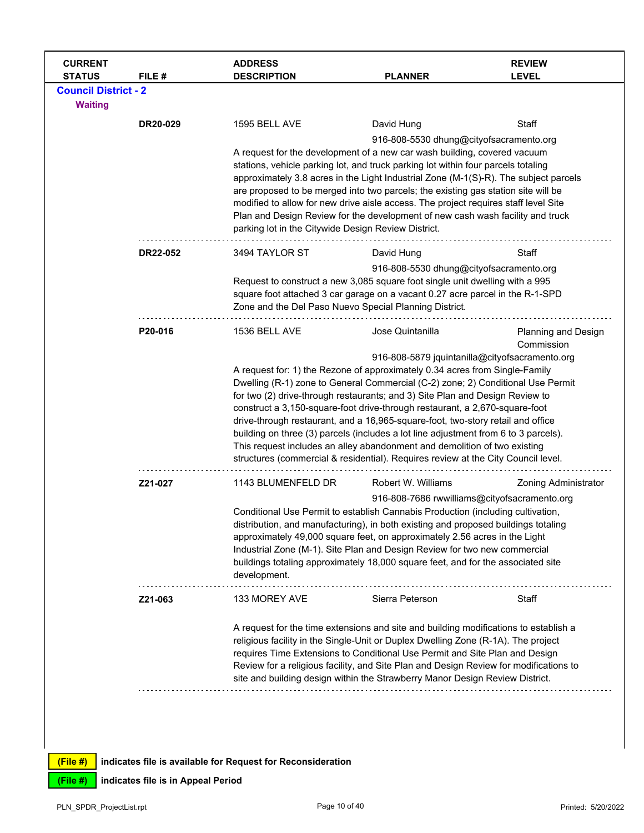| 1595 BELL AVE<br>DR20-029<br>3494 TAYLOR ST<br>DR22-052<br>1536 BELL AVE<br>P20-016 | David Hung<br>A request for the development of a new car wash building, covered vacuum<br>stations, vehicle parking lot, and truck parking lot within four parcels totaling<br>approximately 3.8 acres in the Light Industrial Zone (M-1(S)-R). The subject parcels<br>are proposed to be merged into two parcels; the existing gas station site will be<br>modified to allow for new drive aisle access. The project requires staff level Site<br>Plan and Design Review for the development of new cash wash facility and truck<br>parking lot in the Citywide Design Review District.<br>David Hung<br>Request to construct a new 3,085 square foot single unit dwelling with a 995<br>square foot attached 3 car garage on a vacant 0.27 acre parcel in the R-1-SPD<br>Zone and the Del Paso Nuevo Special Planning District.<br>Jose Quintanilla<br>A request for: 1) the Rezone of approximately 0.34 acres from Single-Family<br>Dwelling (R-1) zone to General Commercial (C-2) zone; 2) Conditional Use Permit<br>for two (2) drive-through restaurants; and 3) Site Plan and Design Review to<br>construct a 3,150-square-foot drive-through restaurant, a 2,670-square-foot | Staff<br>916-808-5530 dhung@cityofsacramento.org<br>Staff<br>916-808-5530 dhung@cityofsacramento.org<br><b>Planning and Design</b><br>Commission<br>916-808-5879 jquintanilla@cityofsacramento.org                                                                                                                                                                                                                                                                                                                                     |
|-------------------------------------------------------------------------------------|----------------------------------------------------------------------------------------------------------------------------------------------------------------------------------------------------------------------------------------------------------------------------------------------------------------------------------------------------------------------------------------------------------------------------------------------------------------------------------------------------------------------------------------------------------------------------------------------------------------------------------------------------------------------------------------------------------------------------------------------------------------------------------------------------------------------------------------------------------------------------------------------------------------------------------------------------------------------------------------------------------------------------------------------------------------------------------------------------------------------------------------------------------------------------------------|----------------------------------------------------------------------------------------------------------------------------------------------------------------------------------------------------------------------------------------------------------------------------------------------------------------------------------------------------------------------------------------------------------------------------------------------------------------------------------------------------------------------------------------|
|                                                                                     |                                                                                                                                                                                                                                                                                                                                                                                                                                                                                                                                                                                                                                                                                                                                                                                                                                                                                                                                                                                                                                                                                                                                                                                        |                                                                                                                                                                                                                                                                                                                                                                                                                                                                                                                                        |
|                                                                                     |                                                                                                                                                                                                                                                                                                                                                                                                                                                                                                                                                                                                                                                                                                                                                                                                                                                                                                                                                                                                                                                                                                                                                                                        |                                                                                                                                                                                                                                                                                                                                                                                                                                                                                                                                        |
|                                                                                     |                                                                                                                                                                                                                                                                                                                                                                                                                                                                                                                                                                                                                                                                                                                                                                                                                                                                                                                                                                                                                                                                                                                                                                                        |                                                                                                                                                                                                                                                                                                                                                                                                                                                                                                                                        |
|                                                                                     |                                                                                                                                                                                                                                                                                                                                                                                                                                                                                                                                                                                                                                                                                                                                                                                                                                                                                                                                                                                                                                                                                                                                                                                        |                                                                                                                                                                                                                                                                                                                                                                                                                                                                                                                                        |
|                                                                                     |                                                                                                                                                                                                                                                                                                                                                                                                                                                                                                                                                                                                                                                                                                                                                                                                                                                                                                                                                                                                                                                                                                                                                                                        |                                                                                                                                                                                                                                                                                                                                                                                                                                                                                                                                        |
|                                                                                     |                                                                                                                                                                                                                                                                                                                                                                                                                                                                                                                                                                                                                                                                                                                                                                                                                                                                                                                                                                                                                                                                                                                                                                                        |                                                                                                                                                                                                                                                                                                                                                                                                                                                                                                                                        |
|                                                                                     | building on three (3) parcels (includes a lot line adjustment from 6 to 3 parcels).<br>This request includes an alley abandonment and demolition of two existing<br>structures (commercial & residential). Requires review at the City Council level.                                                                                                                                                                                                                                                                                                                                                                                                                                                                                                                                                                                                                                                                                                                                                                                                                                                                                                                                  | drive-through restaurant, and a 16,965-square-foot, two-story retail and office                                                                                                                                                                                                                                                                                                                                                                                                                                                        |
| Z21-027<br>1143 BLUMENFELD DR                                                       | Robert W. Williams                                                                                                                                                                                                                                                                                                                                                                                                                                                                                                                                                                                                                                                                                                                                                                                                                                                                                                                                                                                                                                                                                                                                                                     | <b>Zoning Administrator</b>                                                                                                                                                                                                                                                                                                                                                                                                                                                                                                            |
| development.                                                                        | Conditional Use Permit to establish Cannabis Production (including cultivation,<br>distribution, and manufacturing), in both existing and proposed buildings totaling<br>approximately 49,000 square feet, on approximately 2.56 acres in the Light<br>Industrial Zone (M-1). Site Plan and Design Review for two new commercial                                                                                                                                                                                                                                                                                                                                                                                                                                                                                                                                                                                                                                                                                                                                                                                                                                                       | 916-808-7686 rwwilliams@cityofsacramento.org                                                                                                                                                                                                                                                                                                                                                                                                                                                                                           |
|                                                                                     | Sierra Peterson                                                                                                                                                                                                                                                                                                                                                                                                                                                                                                                                                                                                                                                                                                                                                                                                                                                                                                                                                                                                                                                                                                                                                                        | Staff                                                                                                                                                                                                                                                                                                                                                                                                                                                                                                                                  |
|                                                                                     |                                                                                                                                                                                                                                                                                                                                                                                                                                                                                                                                                                                                                                                                                                                                                                                                                                                                                                                                                                                                                                                                                                                                                                                        |                                                                                                                                                                                                                                                                                                                                                                                                                                                                                                                                        |
|                                                                                     | Z21-063                                                                                                                                                                                                                                                                                                                                                                                                                                                                                                                                                                                                                                                                                                                                                                                                                                                                                                                                                                                                                                                                                                                                                                                | buildings totaling approximately 18,000 square feet, and for the associated site<br>133 MOREY AVE<br>A request for the time extensions and site and building modifications to establish a<br>religious facility in the Single-Unit or Duplex Dwelling Zone (R-1A). The project<br>requires Time Extensions to Conditional Use Permit and Site Plan and Design<br>Review for a religious facility, and Site Plan and Design Review for modifications to<br>site and building design within the Strawberry Manor Design Review District. |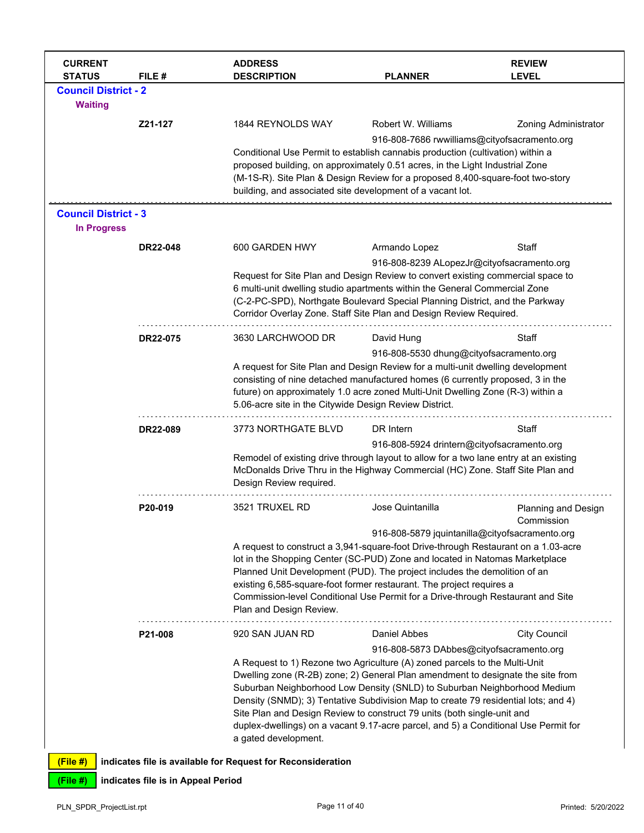| <b>CURRENT</b><br><b>STATUS</b>                   | FILE#                              | <b>ADDRESS</b><br><b>DESCRIPTION</b>                                                                                                                                                                                                                                                                                                                                                                                                                                                                                      | <b>PLANNER</b>                                                                                                                                                                                                                                                                                  | <b>REVIEW</b><br><b>LEVEL</b>     |  |
|---------------------------------------------------|------------------------------------|---------------------------------------------------------------------------------------------------------------------------------------------------------------------------------------------------------------------------------------------------------------------------------------------------------------------------------------------------------------------------------------------------------------------------------------------------------------------------------------------------------------------------|-------------------------------------------------------------------------------------------------------------------------------------------------------------------------------------------------------------------------------------------------------------------------------------------------|-----------------------------------|--|
| <b>Council District - 2</b><br><b>Waiting</b>     |                                    |                                                                                                                                                                                                                                                                                                                                                                                                                                                                                                                           |                                                                                                                                                                                                                                                                                                 |                                   |  |
|                                                   | Z21-127                            | 1844 REYNOLDS WAY                                                                                                                                                                                                                                                                                                                                                                                                                                                                                                         | Robert W. Williams<br>916-808-7686 rwwilliams@cityofsacramento.org                                                                                                                                                                                                                              | <b>Zoning Administrator</b>       |  |
|                                                   |                                    | Conditional Use Permit to establish cannabis production (cultivation) within a<br>proposed building, on approximately 0.51 acres, in the Light Industrial Zone<br>(M-1S-R). Site Plan & Design Review for a proposed 8,400-square-foot two-story<br>building, and associated site development of a vacant lot.                                                                                                                                                                                                            |                                                                                                                                                                                                                                                                                                 |                                   |  |
| <b>Council District - 3</b><br><b>In Progress</b> |                                    |                                                                                                                                                                                                                                                                                                                                                                                                                                                                                                                           |                                                                                                                                                                                                                                                                                                 |                                   |  |
|                                                   | DR22-048                           | 600 GARDEN HWY                                                                                                                                                                                                                                                                                                                                                                                                                                                                                                            | Armando Lopez                                                                                                                                                                                                                                                                                   | Staff                             |  |
|                                                   |                                    | Request for Site Plan and Design Review to convert existing commercial space to<br>6 multi-unit dwelling studio apartments within the General Commercial Zone<br>(C-2-PC-SPD), Northgate Boulevard Special Planning District, and the Parkway<br>Corridor Overlay Zone. Staff Site Plan and Design Review Required.                                                                                                                                                                                                       | 916-808-8239 ALopezJr@cityofsacramento.org                                                                                                                                                                                                                                                      |                                   |  |
|                                                   | DR22-075                           | 3630 LARCHWOOD DR                                                                                                                                                                                                                                                                                                                                                                                                                                                                                                         | David Hung                                                                                                                                                                                                                                                                                      | Staff                             |  |
|                                                   |                                    | 5.06-acre site in the Citywide Design Review District.                                                                                                                                                                                                                                                                                                                                                                                                                                                                    | 916-808-5530 dhung@cityofsacramento.org<br>A request for Site Plan and Design Review for a multi-unit dwelling development<br>consisting of nine detached manufactured homes (6 currently proposed, 3 in the<br>future) on approximately 1.0 acre zoned Multi-Unit Dwelling Zone (R-3) within a |                                   |  |
|                                                   | DR22-089                           | 3773 NORTHGATE BLVD                                                                                                                                                                                                                                                                                                                                                                                                                                                                                                       | DR Intern                                                                                                                                                                                                                                                                                       | Staff                             |  |
|                                                   |                                    | Remodel of existing drive through layout to allow for a two lane entry at an existing<br>McDonalds Drive Thru in the Highway Commercial (HC) Zone. Staff Site Plan and<br>Design Review required.                                                                                                                                                                                                                                                                                                                         | 916-808-5924 drintern@cityofsacramento.org                                                                                                                                                                                                                                                      |                                   |  |
|                                                   | P20-019                            | 3521 TRUXEL RD                                                                                                                                                                                                                                                                                                                                                                                                                                                                                                            | Jose Quintanilla                                                                                                                                                                                                                                                                                | Planning and Design<br>Commission |  |
|                                                   |                                    | A request to construct a 3,941-square-foot Drive-through Restaurant on a 1.03-acre<br>lot in the Shopping Center (SC-PUD) Zone and located in Natomas Marketplace<br>Planned Unit Development (PUD). The project includes the demolition of an<br>existing 6,585-square-foot former restaurant. The project requires a<br>Commission-level Conditional Use Permit for a Drive-through Restaurant and Site<br>Plan and Design Review.                                                                                      | 916-808-5879 jquintanilla@cityofsacramento.org                                                                                                                                                                                                                                                  |                                   |  |
|                                                   | P21-008                            | 920 SAN JUAN RD                                                                                                                                                                                                                                                                                                                                                                                                                                                                                                           | Daniel Abbes                                                                                                                                                                                                                                                                                    | <b>City Council</b>               |  |
|                                                   |                                    | A Request to 1) Rezone two Agriculture (A) zoned parcels to the Multi-Unit<br>Dwelling zone (R-2B) zone; 2) General Plan amendment to designate the site from<br>Suburban Neighborhood Low Density (SNLD) to Suburban Neighborhood Medium<br>Density (SNMD); 3) Tentative Subdivision Map to create 79 residential lots; and 4)<br>Site Plan and Design Review to construct 79 units (both single-unit and<br>duplex-dwellings) on a vacant 9.17-acre parcel, and 5) a Conditional Use Permit for<br>a gated development. | 916-808-5873 DAbbes@cityofsacramento.org                                                                                                                                                                                                                                                        |                                   |  |
| (File#)                                           |                                    | indicates file is available for Request for Reconsideration                                                                                                                                                                                                                                                                                                                                                                                                                                                               |                                                                                                                                                                                                                                                                                                 |                                   |  |
| (File #)                                          | indicates file is in Appeal Period |                                                                                                                                                                                                                                                                                                                                                                                                                                                                                                                           |                                                                                                                                                                                                                                                                                                 |                                   |  |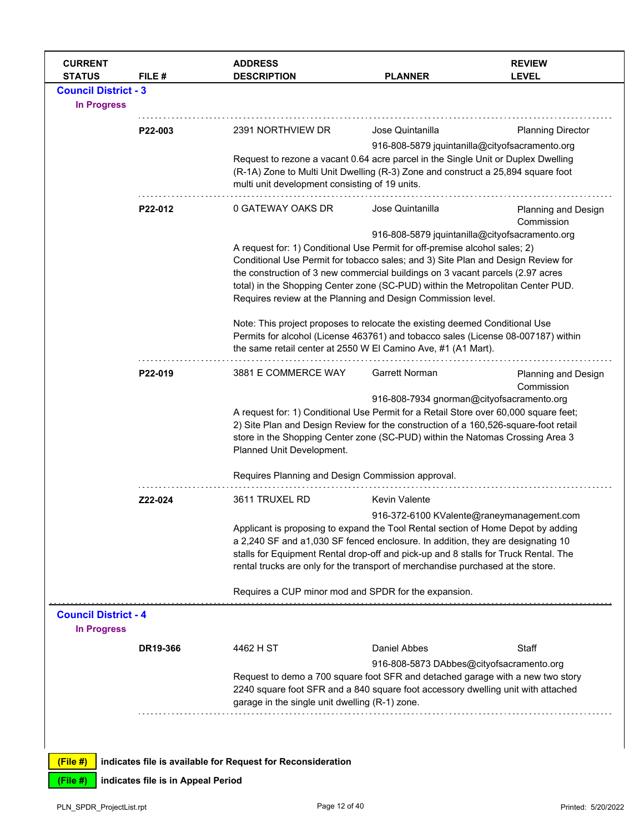| <b>CURRENT</b><br><b>STATUS</b>                   | FILE #                             | <b>ADDRESS</b><br><b>DESCRIPTION</b>                                                                                                                                                                                                                                                                                                                                                                                                                  | <b>PLANNER</b>                                                                                                                                                                                                                                                                                                                                | <b>REVIEW</b><br><b>LEVEL</b>             |  |  |
|---------------------------------------------------|------------------------------------|-------------------------------------------------------------------------------------------------------------------------------------------------------------------------------------------------------------------------------------------------------------------------------------------------------------------------------------------------------------------------------------------------------------------------------------------------------|-----------------------------------------------------------------------------------------------------------------------------------------------------------------------------------------------------------------------------------------------------------------------------------------------------------------------------------------------|-------------------------------------------|--|--|
| <b>Council District - 3</b><br><b>In Progress</b> |                                    |                                                                                                                                                                                                                                                                                                                                                                                                                                                       |                                                                                                                                                                                                                                                                                                                                               |                                           |  |  |
|                                                   | P22-003                            | 2391 NORTHVIEW DR                                                                                                                                                                                                                                                                                                                                                                                                                                     | Jose Quintanilla                                                                                                                                                                                                                                                                                                                              | <b>Planning Director</b>                  |  |  |
|                                                   |                                    | 916-808-5879 jquintanilla@cityofsacramento.org<br>Request to rezone a vacant 0.64 acre parcel in the Single Unit or Duplex Dwelling<br>(R-1A) Zone to Multi Unit Dwelling (R-3) Zone and construct a 25,894 square foot<br>multi unit development consisting of 19 units.                                                                                                                                                                             |                                                                                                                                                                                                                                                                                                                                               |                                           |  |  |
|                                                   | P22-012                            | 0 GATEWAY OAKS DR                                                                                                                                                                                                                                                                                                                                                                                                                                     | Jose Quintanilla                                                                                                                                                                                                                                                                                                                              | Planning and Design<br>Commission         |  |  |
|                                                   |                                    | 916-808-5879 jquintanilla@cityofsacramento.org<br>A request for: 1) Conditional Use Permit for off-premise alcohol sales; 2)<br>Conditional Use Permit for tobacco sales; and 3) Site Plan and Design Review for<br>the construction of 3 new commercial buildings on 3 vacant parcels (2.97 acres<br>total) in the Shopping Center zone (SC-PUD) within the Metropolitan Center PUD.<br>Requires review at the Planning and Design Commission level. |                                                                                                                                                                                                                                                                                                                                               |                                           |  |  |
|                                                   |                                    | Note: This project proposes to relocate the existing deemed Conditional Use<br>Permits for alcohol (License 463761) and tobacco sales (License 08-007187) within<br>the same retail center at 2550 W El Camino Ave, #1 (A1 Mart).                                                                                                                                                                                                                     |                                                                                                                                                                                                                                                                                                                                               |                                           |  |  |
|                                                   | P22-019                            | 3881 E COMMERCE WAY                                                                                                                                                                                                                                                                                                                                                                                                                                   | <b>Garrett Norman</b>                                                                                                                                                                                                                                                                                                                         | Planning and Design<br>Commission         |  |  |
|                                                   |                                    | 916-808-7934 gnorman@cityofsacramento.org<br>A request for: 1) Conditional Use Permit for a Retail Store over 60,000 square feet;<br>2) Site Plan and Design Review for the construction of a 160,526-square-foot retail<br>store in the Shopping Center zone (SC-PUD) within the Natomas Crossing Area 3<br>Planned Unit Development.                                                                                                                |                                                                                                                                                                                                                                                                                                                                               |                                           |  |  |
|                                                   |                                    | Requires Planning and Design Commission approval.                                                                                                                                                                                                                                                                                                                                                                                                     |                                                                                                                                                                                                                                                                                                                                               |                                           |  |  |
|                                                   | Z22-024                            | 3611 TRUXEL RD                                                                                                                                                                                                                                                                                                                                                                                                                                        | <b>Kevin Valente</b>                                                                                                                                                                                                                                                                                                                          | 916-372-6100 KValente@raneymanagement.com |  |  |
|                                                   |                                    |                                                                                                                                                                                                                                                                                                                                                                                                                                                       | Applicant is proposing to expand the Tool Rental section of Home Depot by adding<br>a 2,240 SF and a1,030 SF fenced enclosure. In addition, they are designating 10<br>stalls for Equipment Rental drop-off and pick-up and 8 stalls for Truck Rental. The<br>rental trucks are only for the transport of merchandise purchased at the store. |                                           |  |  |
|                                                   |                                    | Requires a CUP minor mod and SPDR for the expansion.                                                                                                                                                                                                                                                                                                                                                                                                  |                                                                                                                                                                                                                                                                                                                                               |                                           |  |  |
| <b>Council District - 4</b><br><b>In Progress</b> |                                    |                                                                                                                                                                                                                                                                                                                                                                                                                                                       |                                                                                                                                                                                                                                                                                                                                               |                                           |  |  |
|                                                   | DR19-366                           | 4462 H ST                                                                                                                                                                                                                                                                                                                                                                                                                                             | Daniel Abbes                                                                                                                                                                                                                                                                                                                                  | Staff                                     |  |  |
|                                                   |                                    | garage in the single unit dwelling (R-1) zone.                                                                                                                                                                                                                                                                                                                                                                                                        | 916-808-5873 DAbbes@cityofsacramento.org<br>Request to demo a 700 square foot SFR and detached garage with a new two story<br>2240 square foot SFR and a 840 square foot accessory dwelling unit with attached                                                                                                                                |                                           |  |  |
|                                                   |                                    |                                                                                                                                                                                                                                                                                                                                                                                                                                                       |                                                                                                                                                                                                                                                                                                                                               |                                           |  |  |
| (File#)                                           |                                    | indicates file is available for Request for Reconsideration                                                                                                                                                                                                                                                                                                                                                                                           |                                                                                                                                                                                                                                                                                                                                               |                                           |  |  |
| (File #)                                          | indicates file is in Appeal Period |                                                                                                                                                                                                                                                                                                                                                                                                                                                       |                                                                                                                                                                                                                                                                                                                                               |                                           |  |  |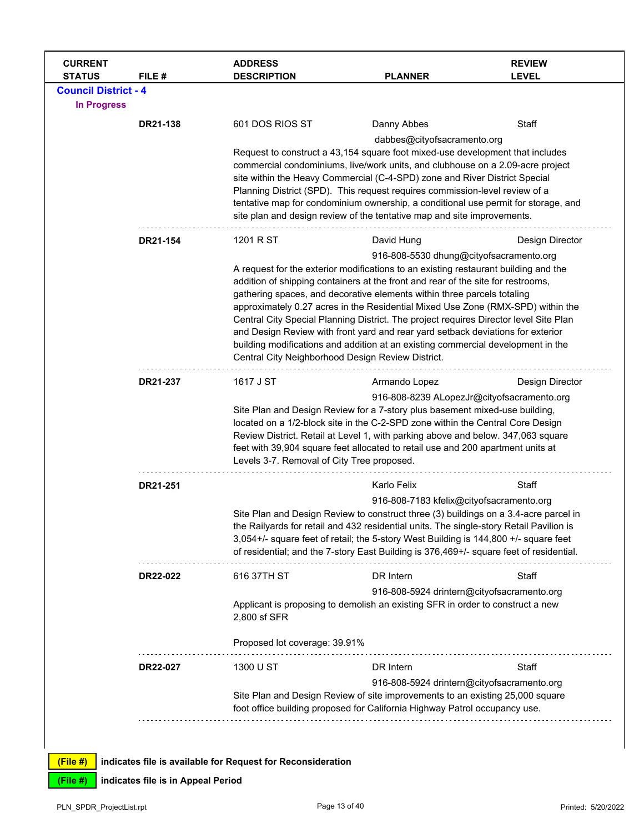| <b>CURRENT</b><br><b>STATUS</b> | FILE#    | <b>ADDRESS</b><br><b>DESCRIPTION</b>                                                                                                                                    | <b>PLANNER</b>                                                                                                                                                                  | <b>REVIEW</b><br><b>LEVEL</b> |  |  |
|---------------------------------|----------|-------------------------------------------------------------------------------------------------------------------------------------------------------------------------|---------------------------------------------------------------------------------------------------------------------------------------------------------------------------------|-------------------------------|--|--|
| <b>Council District - 4</b>     |          |                                                                                                                                                                         |                                                                                                                                                                                 |                               |  |  |
| <b>In Progress</b>              |          |                                                                                                                                                                         |                                                                                                                                                                                 |                               |  |  |
|                                 | DR21-138 | 601 DOS RIOS ST                                                                                                                                                         | Danny Abbes                                                                                                                                                                     | Staff                         |  |  |
|                                 |          |                                                                                                                                                                         | dabbes@cityofsacramento.org                                                                                                                                                     |                               |  |  |
|                                 |          |                                                                                                                                                                         | Request to construct a 43,154 square foot mixed-use development that includes                                                                                                   |                               |  |  |
|                                 |          |                                                                                                                                                                         | commercial condominiums, live/work units, and clubhouse on a 2.09-acre project<br>site within the Heavy Commercial (C-4-SPD) zone and River District Special                    |                               |  |  |
|                                 |          |                                                                                                                                                                         | Planning District (SPD). This request requires commission-level review of a                                                                                                     |                               |  |  |
|                                 |          |                                                                                                                                                                         | tentative map for condominium ownership, a conditional use permit for storage, and                                                                                              |                               |  |  |
|                                 |          |                                                                                                                                                                         | site plan and design review of the tentative map and site improvements.                                                                                                         |                               |  |  |
|                                 | DR21-154 | 1201 R ST                                                                                                                                                               | David Hung                                                                                                                                                                      | Design Director               |  |  |
|                                 |          |                                                                                                                                                                         | 916-808-5530 dhung@cityofsacramento.org                                                                                                                                         |                               |  |  |
|                                 |          | A request for the exterior modifications to an existing restaurant building and the<br>addition of shipping containers at the front and rear of the site for restrooms, |                                                                                                                                                                                 |                               |  |  |
|                                 |          |                                                                                                                                                                         | gathering spaces, and decorative elements within three parcels totaling                                                                                                         |                               |  |  |
|                                 |          |                                                                                                                                                                         | approximately 0.27 acres in the Residential Mixed Use Zone (RMX-SPD) within the                                                                                                 |                               |  |  |
|                                 |          |                                                                                                                                                                         | Central City Special Planning District. The project requires Director level Site Plan                                                                                           |                               |  |  |
|                                 |          | and Design Review with front yard and rear yard setback deviations for exterior<br>building modifications and addition at an existing commercial development in the     |                                                                                                                                                                                 |                               |  |  |
|                                 |          | Central City Neighborhood Design Review District.                                                                                                                       |                                                                                                                                                                                 |                               |  |  |
|                                 | DR21-237 | 1617 J ST                                                                                                                                                               | Armando Lopez                                                                                                                                                                   | Design Director               |  |  |
|                                 |          |                                                                                                                                                                         | 916-808-8239 ALopezJr@cityofsacramento.org                                                                                                                                      |                               |  |  |
|                                 |          |                                                                                                                                                                         | Site Plan and Design Review for a 7-story plus basement mixed-use building,                                                                                                     |                               |  |  |
|                                 |          |                                                                                                                                                                         | located on a 1/2-block site in the C-2-SPD zone within the Central Core Design<br>Review District. Retail at Level 1, with parking above and below. 347,063 square              |                               |  |  |
|                                 |          |                                                                                                                                                                         | feet with 39,904 square feet allocated to retail use and 200 apartment units at                                                                                                 |                               |  |  |
|                                 |          | Levels 3-7. Removal of City Tree proposed.                                                                                                                              |                                                                                                                                                                                 |                               |  |  |
|                                 | DR21-251 |                                                                                                                                                                         | Karlo Felix                                                                                                                                                                     | Staff                         |  |  |
|                                 |          |                                                                                                                                                                         | 916-808-7183 kfelix@cityofsacramento.org                                                                                                                                        |                               |  |  |
|                                 |          |                                                                                                                                                                         | Site Plan and Design Review to construct three (3) buildings on a 3.4-acre parcel in<br>the Railyards for retail and 432 residential units. The single-story Retail Pavilion is |                               |  |  |
|                                 |          |                                                                                                                                                                         | 3,054+/- square feet of retail; the 5-story West Building is 144,800 +/- square feet                                                                                            |                               |  |  |
|                                 |          |                                                                                                                                                                         | of residential; and the 7-story East Building is 376,469+/- square feet of residential.                                                                                         |                               |  |  |
|                                 | DR22-022 | 616 37TH ST                                                                                                                                                             | DR Intern                                                                                                                                                                       | Staff                         |  |  |
|                                 |          |                                                                                                                                                                         | 916-808-5924 drintern@cityofsacramento.org                                                                                                                                      |                               |  |  |
|                                 |          |                                                                                                                                                                         | Applicant is proposing to demolish an existing SFR in order to construct a new                                                                                                  |                               |  |  |
|                                 |          | 2,800 sf SFR                                                                                                                                                            |                                                                                                                                                                                 |                               |  |  |
|                                 |          | Proposed lot coverage: 39.91%                                                                                                                                           |                                                                                                                                                                                 |                               |  |  |
|                                 | DR22-027 | 1300 U ST                                                                                                                                                               | DR Intern                                                                                                                                                                       | Staff                         |  |  |
|                                 |          |                                                                                                                                                                         | 916-808-5924 drintern@cityofsacramento.org                                                                                                                                      |                               |  |  |
|                                 |          | Site Plan and Design Review of site improvements to an existing 25,000 square<br>foot office building proposed for California Highway Patrol occupancy use.             |                                                                                                                                                                                 |                               |  |  |
|                                 |          |                                                                                                                                                                         |                                                                                                                                                                                 |                               |  |  |
|                                 |          |                                                                                                                                                                         |                                                                                                                                                                                 |                               |  |  |
| $(Fila$ #)                      |          | I indicates file is available for Request for Reconsideration                                                                                                           |                                                                                                                                                                                 |                               |  |  |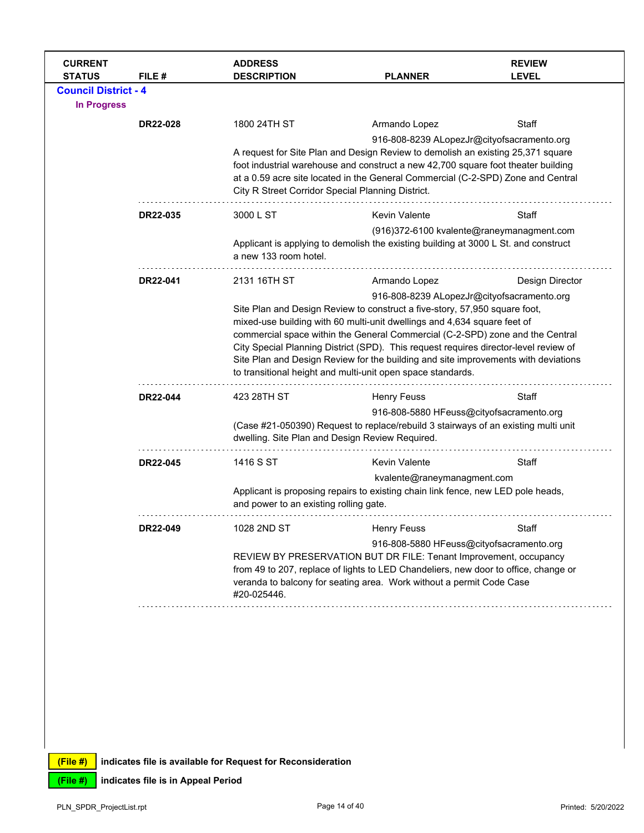| <b>CURRENT</b><br><b>STATUS</b>                   | FILE#    | <b>ADDRESS</b><br><b>DESCRIPTION</b>              | <b>PLANNER</b>                                                                                                                                                                                                                                                                                                                                                                                                                                                                                                                     | <b>REVIEW</b><br><b>LEVEL</b> |  |
|---------------------------------------------------|----------|---------------------------------------------------|------------------------------------------------------------------------------------------------------------------------------------------------------------------------------------------------------------------------------------------------------------------------------------------------------------------------------------------------------------------------------------------------------------------------------------------------------------------------------------------------------------------------------------|-------------------------------|--|
| <b>Council District - 4</b><br><b>In Progress</b> |          |                                                   |                                                                                                                                                                                                                                                                                                                                                                                                                                                                                                                                    |                               |  |
|                                                   | DR22-028 | 1800 24TH ST                                      | Armando Lopez                                                                                                                                                                                                                                                                                                                                                                                                                                                                                                                      | Staff                         |  |
|                                                   |          | City R Street Corridor Special Planning District. | 916-808-8239 ALopezJr@cityofsacramento.org<br>A request for Site Plan and Design Review to demolish an existing 25,371 square<br>foot industrial warehouse and construct a new 42,700 square foot theater building<br>at a 0.59 acre site located in the General Commercial (C-2-SPD) Zone and Central                                                                                                                                                                                                                             |                               |  |
|                                                   | DR22-035 | 3000 L ST                                         | Kevin Valente                                                                                                                                                                                                                                                                                                                                                                                                                                                                                                                      | Staff                         |  |
|                                                   |          | a new 133 room hotel.                             | (916)372-6100 kvalente@raneymanagment.com<br>Applicant is applying to demolish the existing building at 3000 L St. and construct                                                                                                                                                                                                                                                                                                                                                                                                   |                               |  |
|                                                   | DR22-041 | 2131 16TH ST                                      | Armando Lopez                                                                                                                                                                                                                                                                                                                                                                                                                                                                                                                      | Design Director               |  |
|                                                   |          |                                                   | 916-808-8239 ALopezJr@cityofsacramento.org<br>Site Plan and Design Review to construct a five-story, 57,950 square foot,<br>mixed-use building with 60 multi-unit dwellings and 4,634 square feet of<br>commercial space within the General Commercial (C-2-SPD) zone and the Central<br>City Special Planning District (SPD). This request requires director-level review of<br>Site Plan and Design Review for the building and site improvements with deviations<br>to transitional height and multi-unit open space standards. |                               |  |
|                                                   | DR22-044 | 423 28TH ST                                       | <b>Henry Feuss</b>                                                                                                                                                                                                                                                                                                                                                                                                                                                                                                                 | Staff                         |  |
|                                                   |          | dwelling. Site Plan and Design Review Required.   | 916-808-5880 HFeuss@cityofsacramento.org<br>(Case #21-050390) Request to replace/rebuild 3 stairways of an existing multi unit                                                                                                                                                                                                                                                                                                                                                                                                     |                               |  |
|                                                   | DR22-045 | 1416 S ST                                         | <b>Kevin Valente</b>                                                                                                                                                                                                                                                                                                                                                                                                                                                                                                               | Staff                         |  |
|                                                   |          | and power to an existing rolling gate.            | kvalente@raneymanagment.com<br>Applicant is proposing repairs to existing chain link fence, new LED pole heads,                                                                                                                                                                                                                                                                                                                                                                                                                    |                               |  |
|                                                   | DR22-049 | 1028 2ND ST                                       | <b>Henry Feuss</b>                                                                                                                                                                                                                                                                                                                                                                                                                                                                                                                 | Staff                         |  |
|                                                   |          | #20-025446.                                       | 916-808-5880 HFeuss@cityofsacramento.org<br>REVIEW BY PRESERVATION BUT DR FILE: Tenant Improvement, occupancy<br>from 49 to 207, replace of lights to LED Chandeliers, new door to office, change or<br>veranda to balcony for seating area. Work without a permit Code Case                                                                                                                                                                                                                                                       |                               |  |
|                                                   |          |                                                   |                                                                                                                                                                                                                                                                                                                                                                                                                                                                                                                                    |                               |  |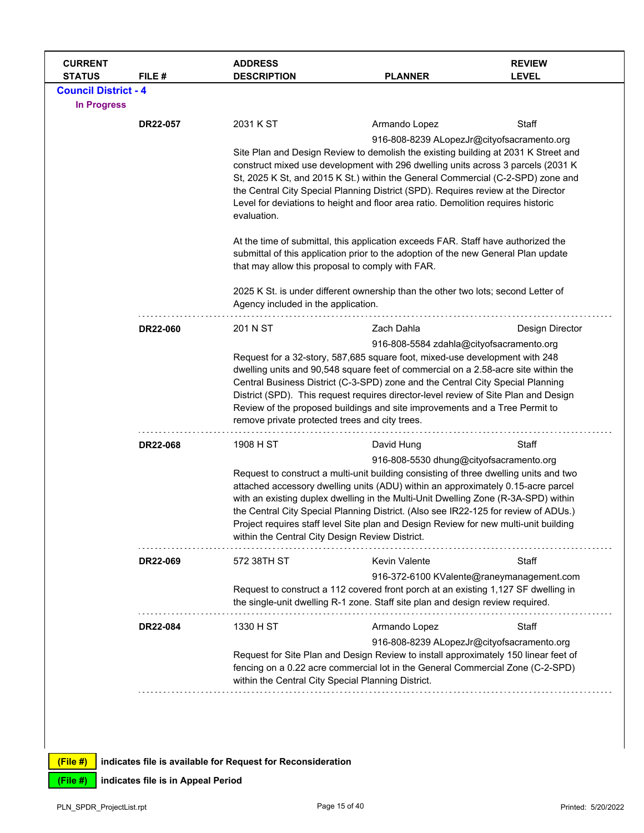| <b>CURRENT</b><br><b>STATUS</b> | FILE#           | <b>ADDRESS</b><br><b>DESCRIPTION</b>                                                                                                                                                                                                                                                                                                                                                                                                                                               | <b>PLANNER</b>                                                                                                                                                                                                                                                                                                                                                                                                                                                                                                                               | <b>REVIEW</b><br><b>LEVEL</b> |  |  |
|---------------------------------|-----------------|------------------------------------------------------------------------------------------------------------------------------------------------------------------------------------------------------------------------------------------------------------------------------------------------------------------------------------------------------------------------------------------------------------------------------------------------------------------------------------|----------------------------------------------------------------------------------------------------------------------------------------------------------------------------------------------------------------------------------------------------------------------------------------------------------------------------------------------------------------------------------------------------------------------------------------------------------------------------------------------------------------------------------------------|-------------------------------|--|--|
| <b>Council District - 4</b>     |                 |                                                                                                                                                                                                                                                                                                                                                                                                                                                                                    |                                                                                                                                                                                                                                                                                                                                                                                                                                                                                                                                              |                               |  |  |
| <b>In Progress</b>              |                 |                                                                                                                                                                                                                                                                                                                                                                                                                                                                                    |                                                                                                                                                                                                                                                                                                                                                                                                                                                                                                                                              |                               |  |  |
|                                 | DR22-057        | 2031 K ST                                                                                                                                                                                                                                                                                                                                                                                                                                                                          | Armando Lopez                                                                                                                                                                                                                                                                                                                                                                                                                                                                                                                                | Staff                         |  |  |
|                                 |                 | 916-808-8239 ALopezJr@cityofsacramento.org<br>Site Plan and Design Review to demolish the existing building at 2031 K Street and<br>construct mixed use development with 296 dwelling units across 3 parcels (2031 K)<br>St, 2025 K St, and 2015 K St.) within the General Commercial (C-2-SPD) zone and<br>the Central City Special Planning District (SPD). Requires review at the Director<br>Level for deviations to height and floor area ratio. Demolition requires historic |                                                                                                                                                                                                                                                                                                                                                                                                                                                                                                                                              |                               |  |  |
|                                 |                 | evaluation.<br>At the time of submittal, this application exceeds FAR. Staff have authorized the<br>submittal of this application prior to the adoption of the new General Plan update<br>that may allow this proposal to comply with FAR.                                                                                                                                                                                                                                         |                                                                                                                                                                                                                                                                                                                                                                                                                                                                                                                                              |                               |  |  |
|                                 |                 |                                                                                                                                                                                                                                                                                                                                                                                                                                                                                    |                                                                                                                                                                                                                                                                                                                                                                                                                                                                                                                                              |                               |  |  |
|                                 |                 |                                                                                                                                                                                                                                                                                                                                                                                                                                                                                    | 2025 K St. is under different ownership than the other two lots; second Letter of<br>Agency included in the application.                                                                                                                                                                                                                                                                                                                                                                                                                     |                               |  |  |
|                                 | DR22-060        | 201 N ST                                                                                                                                                                                                                                                                                                                                                                                                                                                                           | Zach Dahla                                                                                                                                                                                                                                                                                                                                                                                                                                                                                                                                   | Design Director               |  |  |
|                                 |                 |                                                                                                                                                                                                                                                                                                                                                                                                                                                                                    | 916-808-5584 zdahla@cityofsacramento.org<br>Request for a 32-story, 587,685 square foot, mixed-use development with 248<br>dwelling units and 90,548 square feet of commercial on a 2.58-acre site within the<br>Central Business District (C-3-SPD) zone and the Central City Special Planning<br>District (SPD). This request requires director-level review of Site Plan and Design<br>Review of the proposed buildings and site improvements and a Tree Permit to<br>remove private protected trees and city trees.                      |                               |  |  |
|                                 | DR22-068        | 1908 H ST                                                                                                                                                                                                                                                                                                                                                                                                                                                                          | David Hung                                                                                                                                                                                                                                                                                                                                                                                                                                                                                                                                   | Staff                         |  |  |
|                                 |                 |                                                                                                                                                                                                                                                                                                                                                                                                                                                                                    | 916-808-5530 dhung@cityofsacramento.org<br>Request to construct a multi-unit building consisting of three dwelling units and two<br>attached accessory dwelling units (ADU) within an approximately 0.15-acre parcel<br>with an existing duplex dwelling in the Multi-Unit Dwelling Zone (R-3A-SPD) within<br>the Central City Special Planning District. (Also see IR22-125 for review of ADUs.)<br>Project requires staff level Site plan and Design Review for new multi-unit building<br>within the Central City Design Review District. |                               |  |  |
|                                 | DR22-069        | 572 38TH ST                                                                                                                                                                                                                                                                                                                                                                                                                                                                        | <b>Kevin Valente</b>                                                                                                                                                                                                                                                                                                                                                                                                                                                                                                                         | Staff                         |  |  |
|                                 |                 |                                                                                                                                                                                                                                                                                                                                                                                                                                                                                    | 916-372-6100 KValente@raneymanagement.com<br>Request to construct a 112 covered front porch at an existing 1,127 SF dwelling in<br>the single-unit dwelling R-1 zone. Staff site plan and design review required.                                                                                                                                                                                                                                                                                                                            |                               |  |  |
|                                 | <b>DR22-084</b> | 1330 H ST                                                                                                                                                                                                                                                                                                                                                                                                                                                                          | Armando Lopez                                                                                                                                                                                                                                                                                                                                                                                                                                                                                                                                | Staff                         |  |  |
|                                 |                 |                                                                                                                                                                                                                                                                                                                                                                                                                                                                                    | 916-808-8239 ALopezJr@cityofsacramento.org<br>Request for Site Plan and Design Review to install approximately 150 linear feet of<br>fencing on a 0.22 acre commercial lot in the General Commercial Zone (C-2-SPD)<br>within the Central City Special Planning District.                                                                                                                                                                                                                                                                    |                               |  |  |
|                                 |                 |                                                                                                                                                                                                                                                                                                                                                                                                                                                                                    |                                                                                                                                                                                                                                                                                                                                                                                                                                                                                                                                              |                               |  |  |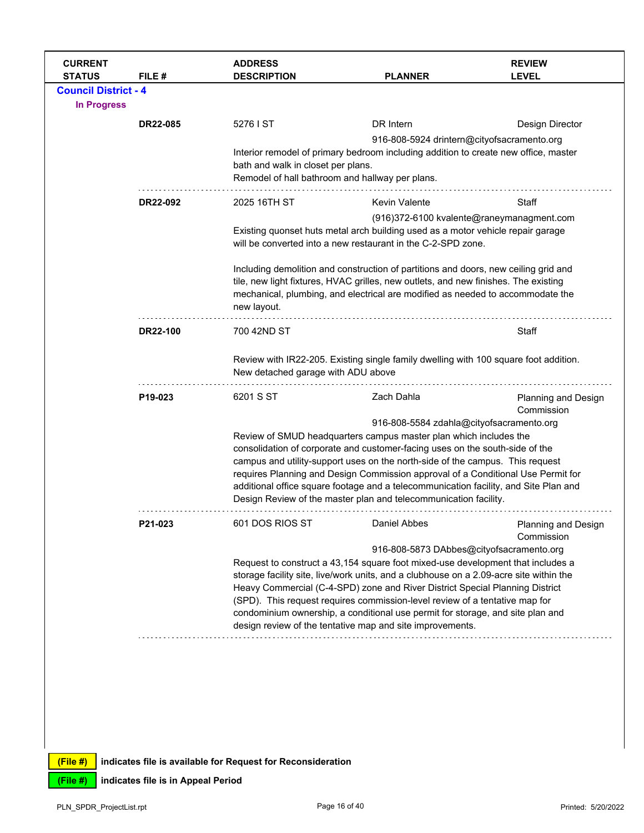| <b>CURRENT</b>                               |                 | <b>ADDRESS</b>                                                                        |                                                                                                                                                                                                                                                                                                                                                                                                                            | <b>REVIEW</b>                             |  |  |
|----------------------------------------------|-----------------|---------------------------------------------------------------------------------------|----------------------------------------------------------------------------------------------------------------------------------------------------------------------------------------------------------------------------------------------------------------------------------------------------------------------------------------------------------------------------------------------------------------------------|-------------------------------------------|--|--|
| <b>STATUS</b><br><b>Council District - 4</b> | FILE #          | <b>DESCRIPTION</b>                                                                    | <b>PLANNER</b>                                                                                                                                                                                                                                                                                                                                                                                                             | <b>LEVEL</b>                              |  |  |
| <b>In Progress</b>                           |                 |                                                                                       |                                                                                                                                                                                                                                                                                                                                                                                                                            |                                           |  |  |
|                                              | <b>DR22-085</b> | 5276 I ST                                                                             | DR Intern                                                                                                                                                                                                                                                                                                                                                                                                                  | Design Director                           |  |  |
|                                              |                 |                                                                                       | 916-808-5924 drintern@cityofsacramento.org                                                                                                                                                                                                                                                                                                                                                                                 |                                           |  |  |
|                                              |                 | bath and walk in closet per plans.<br>Remodel of hall bathroom and hallway per plans. | Interior remodel of primary bedroom including addition to create new office, master                                                                                                                                                                                                                                                                                                                                        |                                           |  |  |
|                                              | DR22-092        | 2025 16TH ST                                                                          | <b>Kevin Valente</b>                                                                                                                                                                                                                                                                                                                                                                                                       | Staff                                     |  |  |
|                                              |                 |                                                                                       |                                                                                                                                                                                                                                                                                                                                                                                                                            | (916)372-6100 kvalente@raneymanagment.com |  |  |
|                                              |                 |                                                                                       | Existing quonset huts metal arch building used as a motor vehicle repair garage<br>will be converted into a new restaurant in the C-2-SPD zone.                                                                                                                                                                                                                                                                            |                                           |  |  |
|                                              |                 | new layout.                                                                           | Including demolition and construction of partitions and doors, new ceiling grid and<br>tile, new light fixtures, HVAC grilles, new outlets, and new finishes. The existing<br>mechanical, plumbing, and electrical are modified as needed to accommodate the                                                                                                                                                               |                                           |  |  |
|                                              | DR22-100        | 700 42ND ST                                                                           |                                                                                                                                                                                                                                                                                                                                                                                                                            | Staff                                     |  |  |
|                                              |                 | New detached garage with ADU above                                                    | Review with IR22-205. Existing single family dwelling with 100 square foot addition.                                                                                                                                                                                                                                                                                                                                       |                                           |  |  |
|                                              | P19-023         | 6201 S ST                                                                             | Zach Dahla                                                                                                                                                                                                                                                                                                                                                                                                                 | Planning and Design<br>Commission         |  |  |
|                                              |                 |                                                                                       | 916-808-5584 zdahla@cityofsacramento.org                                                                                                                                                                                                                                                                                                                                                                                   |                                           |  |  |
|                                              |                 |                                                                                       | Review of SMUD headquarters campus master plan which includes the                                                                                                                                                                                                                                                                                                                                                          |                                           |  |  |
|                                              |                 |                                                                                       | consolidation of corporate and customer-facing uses on the south-side of the                                                                                                                                                                                                                                                                                                                                               |                                           |  |  |
|                                              |                 |                                                                                       | campus and utility-support uses on the north-side of the campus. This request                                                                                                                                                                                                                                                                                                                                              |                                           |  |  |
|                                              |                 |                                                                                       | requires Planning and Design Commission approval of a Conditional Use Permit for<br>additional office square footage and a telecommunication facility, and Site Plan and<br>Design Review of the master plan and telecommunication facility.                                                                                                                                                                               |                                           |  |  |
|                                              | P21-023         | 601 DOS RIOS ST                                                                       | Daniel Abbes                                                                                                                                                                                                                                                                                                                                                                                                               | Planning and Design<br>Commission         |  |  |
|                                              |                 |                                                                                       | 916-808-5873 DAbbes@cityofsacramento.org                                                                                                                                                                                                                                                                                                                                                                                   |                                           |  |  |
|                                              |                 |                                                                                       | Request to construct a 43,154 square foot mixed-use development that includes a<br>storage facility site, live/work units, and a clubhouse on a 2.09-acre site within the<br>Heavy Commercial (C-4-SPD) zone and River District Special Planning District<br>(SPD). This request requires commission-level review of a tentative map for<br>condominium ownership, a conditional use permit for storage, and site plan and |                                           |  |  |
|                                              |                 |                                                                                       |                                                                                                                                                                                                                                                                                                                                                                                                                            |                                           |  |  |
|                                              |                 |                                                                                       |                                                                                                                                                                                                                                                                                                                                                                                                                            |                                           |  |  |
|                                              |                 |                                                                                       |                                                                                                                                                                                                                                                                                                                                                                                                                            |                                           |  |  |
|                                              |                 |                                                                                       | design review of the tentative map and site improvements.                                                                                                                                                                                                                                                                                                                                                                  |                                           |  |  |
|                                              |                 |                                                                                       |                                                                                                                                                                                                                                                                                                                                                                                                                            |                                           |  |  |
|                                              |                 |                                                                                       |                                                                                                                                                                                                                                                                                                                                                                                                                            |                                           |  |  |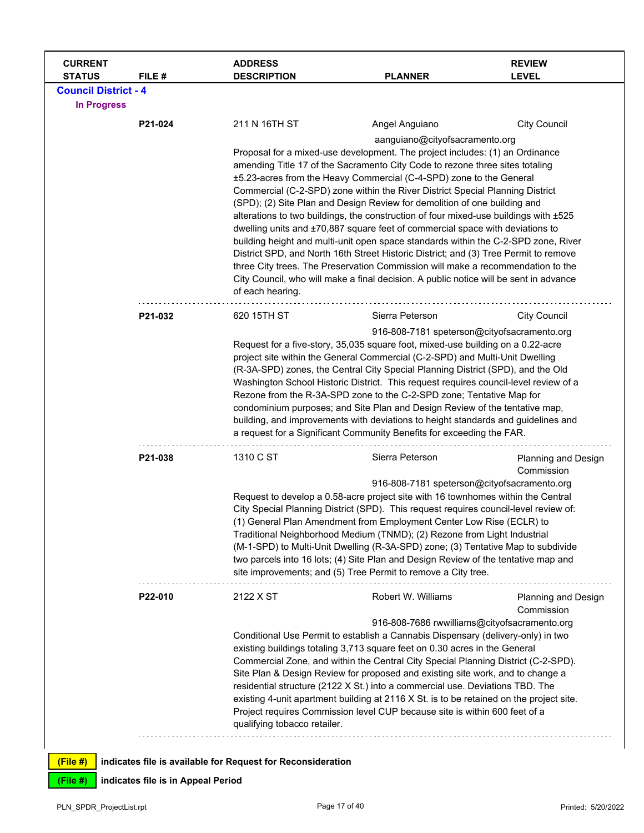| <b>CURRENT</b><br><b>STATUS</b> | FILE#                              | <b>ADDRESS</b><br><b>DESCRIPTION</b>                                                                                                                            | <b>PLANNER</b>                                                                                                                                                   | <b>REVIEW</b><br><b>LEVEL</b>     |  |  |  |
|---------------------------------|------------------------------------|-----------------------------------------------------------------------------------------------------------------------------------------------------------------|------------------------------------------------------------------------------------------------------------------------------------------------------------------|-----------------------------------|--|--|--|
| <b>Council District - 4</b>     |                                    |                                                                                                                                                                 |                                                                                                                                                                  |                                   |  |  |  |
| <b>In Progress</b>              |                                    |                                                                                                                                                                 |                                                                                                                                                                  |                                   |  |  |  |
|                                 | P21-024                            | 211 N 16TH ST                                                                                                                                                   | Angel Anguiano                                                                                                                                                   | <b>City Council</b>               |  |  |  |
|                                 |                                    |                                                                                                                                                                 | aanguiano@cityofsacramento.org                                                                                                                                   |                                   |  |  |  |
|                                 |                                    |                                                                                                                                                                 | Proposal for a mixed-use development. The project includes: (1) an Ordinance                                                                                     |                                   |  |  |  |
|                                 |                                    |                                                                                                                                                                 | amending Title 17 of the Sacramento City Code to rezone three sites totaling                                                                                     |                                   |  |  |  |
|                                 |                                    |                                                                                                                                                                 | ±5.23-acres from the Heavy Commercial (C-4-SPD) zone to the General<br>Commercial (C-2-SPD) zone within the River District Special Planning District             |                                   |  |  |  |
|                                 |                                    |                                                                                                                                                                 | (SPD); (2) Site Plan and Design Review for demolition of one building and                                                                                        |                                   |  |  |  |
|                                 |                                    |                                                                                                                                                                 | alterations to two buildings, the construction of four mixed-use buildings with ±525                                                                             |                                   |  |  |  |
|                                 |                                    |                                                                                                                                                                 | dwelling units and ±70,887 square feet of commercial space with deviations to                                                                                    |                                   |  |  |  |
|                                 |                                    |                                                                                                                                                                 | building height and multi-unit open space standards within the C-2-SPD zone, River                                                                               |                                   |  |  |  |
|                                 |                                    | District SPD, and North 16th Street Historic District; and (3) Tree Permit to remove                                                                            |                                                                                                                                                                  |                                   |  |  |  |
|                                 |                                    |                                                                                                                                                                 | three City trees. The Preservation Commission will make a recommendation to the                                                                                  |                                   |  |  |  |
|                                 |                                    | City Council, who will make a final decision. A public notice will be sent in advance<br>of each hearing.                                                       |                                                                                                                                                                  |                                   |  |  |  |
|                                 |                                    |                                                                                                                                                                 |                                                                                                                                                                  |                                   |  |  |  |
|                                 | P21-032                            | 620 15TH ST                                                                                                                                                     | Sierra Peterson                                                                                                                                                  | <b>City Council</b>               |  |  |  |
|                                 |                                    |                                                                                                                                                                 | 916-808-7181 speterson@cityofsacramento.org                                                                                                                      |                                   |  |  |  |
|                                 |                                    | Request for a five-story, 35,035 square foot, mixed-use building on a 0.22-acre                                                                                 |                                                                                                                                                                  |                                   |  |  |  |
|                                 |                                    | project site within the General Commercial (C-2-SPD) and Multi-Unit Dwelling                                                                                    |                                                                                                                                                                  |                                   |  |  |  |
|                                 |                                    |                                                                                                                                                                 | (R-3A-SPD) zones, the Central City Special Planning District (SPD), and the Old                                                                                  |                                   |  |  |  |
|                                 |                                    |                                                                                                                                                                 | Washington School Historic District. This request requires council-level review of a<br>Rezone from the R-3A-SPD zone to the C-2-SPD zone; Tentative Map for     |                                   |  |  |  |
|                                 |                                    |                                                                                                                                                                 |                                                                                                                                                                  |                                   |  |  |  |
|                                 |                                    |                                                                                                                                                                 | condominium purposes; and Site Plan and Design Review of the tentative map,<br>building, and improvements with deviations to height standards and guidelines and |                                   |  |  |  |
|                                 |                                    |                                                                                                                                                                 | a request for a Significant Community Benefits for exceeding the FAR.                                                                                            |                                   |  |  |  |
|                                 | P21-038                            | 1310 C ST                                                                                                                                                       | Sierra Peterson                                                                                                                                                  |                                   |  |  |  |
|                                 |                                    |                                                                                                                                                                 |                                                                                                                                                                  | Planning and Design<br>Commission |  |  |  |
|                                 |                                    |                                                                                                                                                                 | 916-808-7181 speterson@cityofsacramento.org                                                                                                                      |                                   |  |  |  |
|                                 |                                    |                                                                                                                                                                 | Request to develop a 0.58-acre project site with 16 townhomes within the Central                                                                                 |                                   |  |  |  |
|                                 |                                    |                                                                                                                                                                 | City Special Planning District (SPD). This request requires council-level review of:                                                                             |                                   |  |  |  |
|                                 |                                    |                                                                                                                                                                 | (1) General Plan Amendment from Employment Center Low Rise (ECLR) to<br>Traditional Neighborhood Medium (TNMD); (2) Rezone from Light Industrial                 |                                   |  |  |  |
|                                 |                                    |                                                                                                                                                                 | (M-1-SPD) to Multi-Unit Dwelling (R-3A-SPD) zone; (3) Tentative Map to subdivide                                                                                 |                                   |  |  |  |
|                                 |                                    |                                                                                                                                                                 | two parcels into 16 lots; (4) Site Plan and Design Review of the tentative map and                                                                               |                                   |  |  |  |
|                                 |                                    |                                                                                                                                                                 | site improvements; and (5) Tree Permit to remove a City tree.                                                                                                    |                                   |  |  |  |
|                                 | P22-010                            | 2122 X ST                                                                                                                                                       | Robert W. Williams                                                                                                                                               | Planning and Design<br>Commission |  |  |  |
|                                 |                                    |                                                                                                                                                                 | 916-808-7686 rwwilliams@cityofsacramento.org                                                                                                                     |                                   |  |  |  |
|                                 |                                    |                                                                                                                                                                 | Conditional Use Permit to establish a Cannabis Dispensary (delivery-only) in two                                                                                 |                                   |  |  |  |
|                                 |                                    |                                                                                                                                                                 | existing buildings totaling 3,713 square feet on 0.30 acres in the General                                                                                       |                                   |  |  |  |
|                                 |                                    |                                                                                                                                                                 | Commercial Zone, and within the Central City Special Planning District (C-2-SPD).                                                                                |                                   |  |  |  |
|                                 |                                    | Site Plan & Design Review for proposed and existing site work, and to change a<br>residential structure (2122 X St.) into a commercial use. Deviations TBD. The |                                                                                                                                                                  |                                   |  |  |  |
|                                 |                                    | existing 4-unit apartment building at 2116 X St. is to be retained on the project site.                                                                         |                                                                                                                                                                  |                                   |  |  |  |
|                                 |                                    |                                                                                                                                                                 | Project requires Commission level CUP because site is within 600 feet of a                                                                                       |                                   |  |  |  |
|                                 |                                    | qualifying tobacco retailer.                                                                                                                                    |                                                                                                                                                                  |                                   |  |  |  |
|                                 |                                    |                                                                                                                                                                 |                                                                                                                                                                  |                                   |  |  |  |
| (File#)                         |                                    | indicates file is available for Request for Reconsideration                                                                                                     |                                                                                                                                                                  |                                   |  |  |  |
| $(File \#)$                     | indicates file is in Appeal Period |                                                                                                                                                                 |                                                                                                                                                                  |                                   |  |  |  |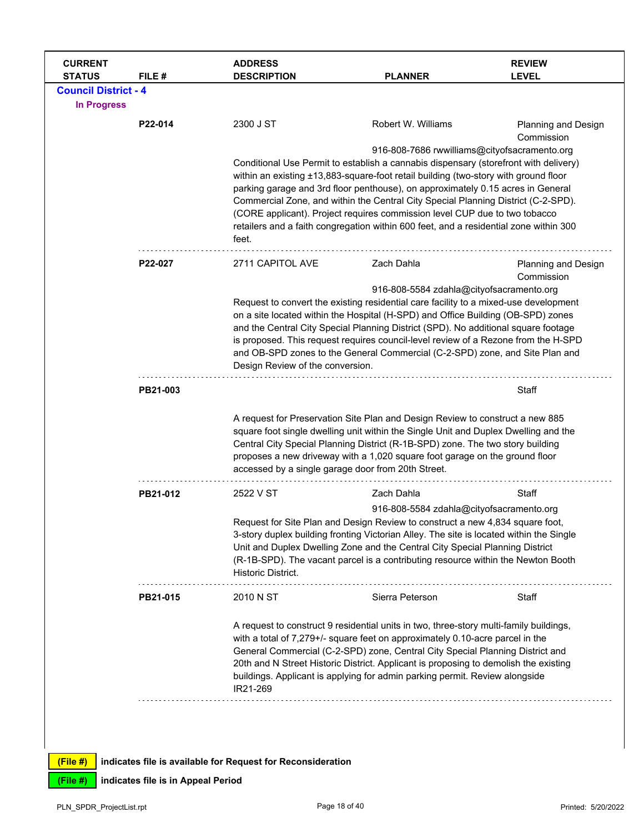| <b>CURRENT</b><br><b>STATUS</b>                   | FILE #                             | <b>ADDRESS</b><br><b>DESCRIPTION</b>                                                                                                                                                                                                                                                                                                                                                                                                                                                                                                                                                | <b>PLANNER</b>                                                                                                                                                                                                                                                                                                                                                                                                                                                                   | <b>REVIEW</b><br><b>LEVEL</b>            |  |
|---------------------------------------------------|------------------------------------|-------------------------------------------------------------------------------------------------------------------------------------------------------------------------------------------------------------------------------------------------------------------------------------------------------------------------------------------------------------------------------------------------------------------------------------------------------------------------------------------------------------------------------------------------------------------------------------|----------------------------------------------------------------------------------------------------------------------------------------------------------------------------------------------------------------------------------------------------------------------------------------------------------------------------------------------------------------------------------------------------------------------------------------------------------------------------------|------------------------------------------|--|
| <b>Council District - 4</b><br><b>In Progress</b> |                                    |                                                                                                                                                                                                                                                                                                                                                                                                                                                                                                                                                                                     |                                                                                                                                                                                                                                                                                                                                                                                                                                                                                  |                                          |  |
|                                                   | P22-014                            | 2300 J ST                                                                                                                                                                                                                                                                                                                                                                                                                                                                                                                                                                           | Robert W. Williams                                                                                                                                                                                                                                                                                                                                                                                                                                                               | Planning and Design<br>Commission        |  |
|                                                   |                                    | 916-808-7686 rwwilliams@cityofsacramento.org<br>Conditional Use Permit to establish a cannabis dispensary (storefront with delivery)<br>within an existing ±13,883-square-foot retail building (two-story with ground floor<br>parking garage and 3rd floor penthouse), on approximately 0.15 acres in General<br>Commercial Zone, and within the Central City Special Planning District (C-2-SPD).<br>(CORE applicant). Project requires commission level CUP due to two tobacco<br>retailers and a faith congregation within 600 feet, and a residential zone within 300<br>feet. |                                                                                                                                                                                                                                                                                                                                                                                                                                                                                  |                                          |  |
|                                                   | P22-027                            | 2711 CAPITOL AVE                                                                                                                                                                                                                                                                                                                                                                                                                                                                                                                                                                    | Zach Dahla                                                                                                                                                                                                                                                                                                                                                                                                                                                                       | <b>Planning and Design</b><br>Commission |  |
|                                                   |                                    | Design Review of the conversion.                                                                                                                                                                                                                                                                                                                                                                                                                                                                                                                                                    | 916-808-5584 zdahla@cityofsacramento.org<br>Request to convert the existing residential care facility to a mixed-use development<br>on a site located within the Hospital (H-SPD) and Office Building (OB-SPD) zones<br>and the Central City Special Planning District (SPD). No additional square footage<br>is proposed. This request requires council-level review of a Rezone from the H-SPD<br>and OB-SPD zones to the General Commercial (C-2-SPD) zone, and Site Plan and |                                          |  |
|                                                   | PB21-003                           |                                                                                                                                                                                                                                                                                                                                                                                                                                                                                                                                                                                     |                                                                                                                                                                                                                                                                                                                                                                                                                                                                                  | Staff                                    |  |
|                                                   |                                    | accessed by a single garage door from 20th Street.                                                                                                                                                                                                                                                                                                                                                                                                                                                                                                                                  | A request for Preservation Site Plan and Design Review to construct a new 885<br>square foot single dwelling unit within the Single Unit and Duplex Dwelling and the<br>Central City Special Planning District (R-1B-SPD) zone. The two story building<br>proposes a new driveway with a 1,020 square foot garage on the ground floor                                                                                                                                            |                                          |  |
|                                                   | PB21-012                           | 2522 V ST                                                                                                                                                                                                                                                                                                                                                                                                                                                                                                                                                                           | Zach Dahla                                                                                                                                                                                                                                                                                                                                                                                                                                                                       | Staff                                    |  |
|                                                   |                                    | Historic District.                                                                                                                                                                                                                                                                                                                                                                                                                                                                                                                                                                  | 916-808-5584 zdahla@cityofsacramento.org<br>Request for Site Plan and Design Review to construct a new 4,834 square foot,<br>3-story duplex building fronting Victorian Alley. The site is located within the Single<br>Unit and Duplex Dwelling Zone and the Central City Special Planning District<br>(R-1B-SPD). The vacant parcel is a contributing resource within the Newton Booth                                                                                         |                                          |  |
|                                                   | PB21-015                           | 2010 N ST                                                                                                                                                                                                                                                                                                                                                                                                                                                                                                                                                                           | Sierra Peterson                                                                                                                                                                                                                                                                                                                                                                                                                                                                  | Staff                                    |  |
|                                                   |                                    | IR21-269                                                                                                                                                                                                                                                                                                                                                                                                                                                                                                                                                                            | A request to construct 9 residential units in two, three-story multi-family buildings,<br>with a total of 7,279+/- square feet on approximately 0.10-acre parcel in the<br>General Commercial (C-2-SPD) zone, Central City Special Planning District and<br>20th and N Street Historic District. Applicant is proposing to demolish the existing<br>buildings. Applicant is applying for admin parking permit. Review alongside                                                  |                                          |  |
| (File#)                                           |                                    | indicates file is available for Request for Reconsideration                                                                                                                                                                                                                                                                                                                                                                                                                                                                                                                         |                                                                                                                                                                                                                                                                                                                                                                                                                                                                                  |                                          |  |
| (File #)                                          | indicates file is in Appeal Period |                                                                                                                                                                                                                                                                                                                                                                                                                                                                                                                                                                                     |                                                                                                                                                                                                                                                                                                                                                                                                                                                                                  |                                          |  |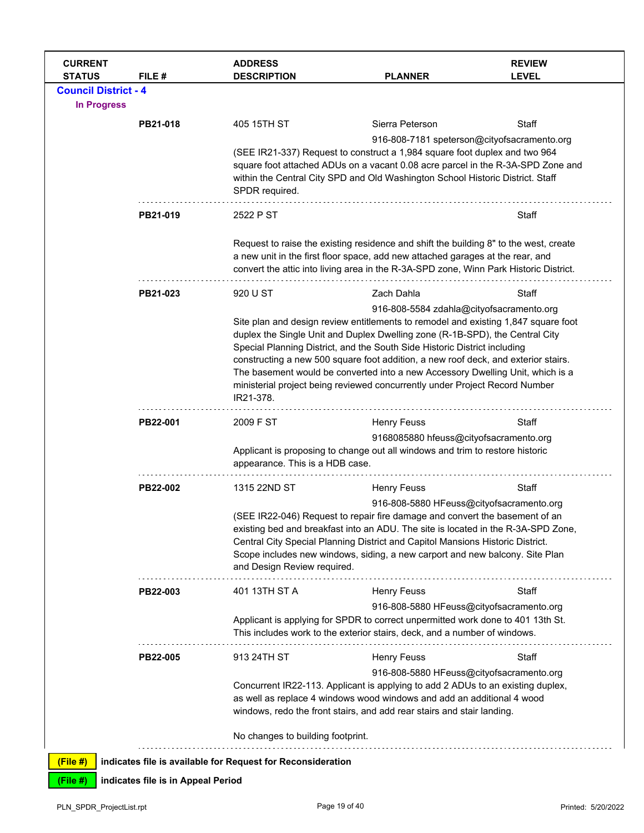| <b>CURRENT</b><br><b>STATUS</b> | FILE #                             | <b>ADDRESS</b><br><b>DESCRIPTION</b>                        | <b>PLANNER</b>                                                                                                                                                                                                                                                                                                                                                                                                                                                                                         | <b>REVIEW</b><br><b>LEVEL</b> |
|---------------------------------|------------------------------------|-------------------------------------------------------------|--------------------------------------------------------------------------------------------------------------------------------------------------------------------------------------------------------------------------------------------------------------------------------------------------------------------------------------------------------------------------------------------------------------------------------------------------------------------------------------------------------|-------------------------------|
| <b>Council District - 4</b>     |                                    |                                                             |                                                                                                                                                                                                                                                                                                                                                                                                                                                                                                        |                               |
| <b>In Progress</b>              |                                    |                                                             |                                                                                                                                                                                                                                                                                                                                                                                                                                                                                                        |                               |
|                                 | PB21-018                           | 405 15TH ST                                                 | Sierra Peterson                                                                                                                                                                                                                                                                                                                                                                                                                                                                                        | Staff                         |
|                                 |                                    | SPDR required.                                              | 916-808-7181 speterson@cityofsacramento.org<br>(SEE IR21-337) Request to construct a 1,984 square foot duplex and two 964<br>square foot attached ADUs on a vacant 0.08 acre parcel in the R-3A-SPD Zone and<br>within the Central City SPD and Old Washington School Historic District. Staff                                                                                                                                                                                                         |                               |
|                                 | PB21-019                           | 2522 P ST                                                   |                                                                                                                                                                                                                                                                                                                                                                                                                                                                                                        | Staff                         |
|                                 |                                    |                                                             | Request to raise the existing residence and shift the building 8" to the west, create<br>a new unit in the first floor space, add new attached garages at the rear, and<br>convert the attic into living area in the R-3A-SPD zone, Winn Park Historic District.                                                                                                                                                                                                                                       |                               |
|                                 | PB21-023                           | 920 U ST                                                    | Zach Dahla                                                                                                                                                                                                                                                                                                                                                                                                                                                                                             | Staff                         |
|                                 |                                    |                                                             | 916-808-5584 zdahla@cityofsacramento.org                                                                                                                                                                                                                                                                                                                                                                                                                                                               |                               |
|                                 |                                    | IR21-378.                                                   | Site plan and design review entitlements to remodel and existing 1,847 square foot<br>duplex the Single Unit and Duplex Dwelling zone (R-1B-SPD), the Central City<br>Special Planning District, and the South Side Historic District including<br>constructing a new 500 square foot addition, a new roof deck, and exterior stairs.<br>The basement would be converted into a new Accessory Dwelling Unit, which is a<br>ministerial project being reviewed concurrently under Project Record Number |                               |
|                                 | PB22-001                           | 2009 F ST                                                   | <b>Henry Feuss</b>                                                                                                                                                                                                                                                                                                                                                                                                                                                                                     | Staff                         |
|                                 |                                    |                                                             | 9168085880 hfeuss@cityofsacramento.org                                                                                                                                                                                                                                                                                                                                                                                                                                                                 |                               |
|                                 |                                    | appearance. This is a HDB case.                             | Applicant is proposing to change out all windows and trim to restore historic                                                                                                                                                                                                                                                                                                                                                                                                                          |                               |
|                                 | PB22-002                           | 1315 22ND ST                                                | <b>Henry Feuss</b>                                                                                                                                                                                                                                                                                                                                                                                                                                                                                     | Staff                         |
|                                 |                                    | and Design Review required.                                 | 916-808-5880 HFeuss@cityofsacramento.org<br>(SEE IR22-046) Request to repair fire damage and convert the basement of an<br>existing bed and breakfast into an ADU. The site is located in the R-3A-SPD Zone,<br>Central City Special Planning District and Capitol Mansions Historic District.<br>Scope includes new windows, siding, a new carport and new balcony. Site Plan                                                                                                                         |                               |
|                                 | PB22-003                           | 401 13TH ST A                                               | <b>Henry Feuss</b>                                                                                                                                                                                                                                                                                                                                                                                                                                                                                     | Staff                         |
|                                 |                                    |                                                             | 916-808-5880 HFeuss@cityofsacramento.org<br>Applicant is applying for SPDR to correct unpermitted work done to 401 13th St.<br>This includes work to the exterior stairs, deck, and a number of windows.                                                                                                                                                                                                                                                                                               |                               |
|                                 | PB22-005                           | 913 24TH ST                                                 | <b>Henry Feuss</b>                                                                                                                                                                                                                                                                                                                                                                                                                                                                                     | Staff                         |
|                                 |                                    | No changes to building footprint.                           | 916-808-5880 HFeuss@cityofsacramento.org<br>Concurrent IR22-113. Applicant is applying to add 2 ADUs to an existing duplex,<br>as well as replace 4 windows wood windows and add an additional 4 wood<br>windows, redo the front stairs, and add rear stairs and stair landing.                                                                                                                                                                                                                        |                               |
| (File #)                        |                                    | indicates file is available for Request for Reconsideration |                                                                                                                                                                                                                                                                                                                                                                                                                                                                                                        |                               |
| (File #)                        | indicates file is in Appeal Period |                                                             |                                                                                                                                                                                                                                                                                                                                                                                                                                                                                                        |                               |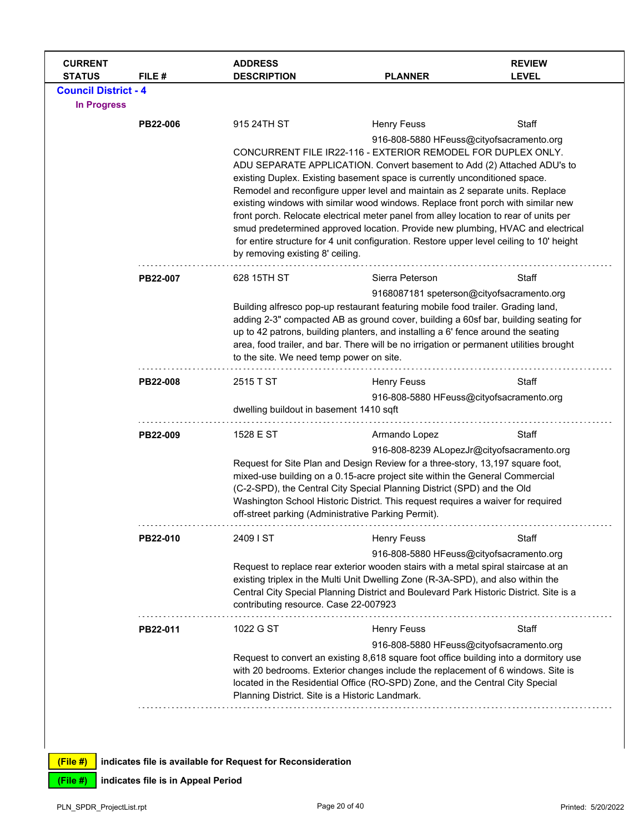| <b>CURRENT</b><br><b>STATUS</b> | FILE #   | <b>ADDRESS</b><br><b>DESCRIPTION</b>                                                                                                                                                                                                                                                                                                                                                         | <b>PLANNER</b>                                                                                                                                                                                                                                                                                                                                                                                                                                   | <b>REVIEW</b><br><b>LEVEL</b> |  |
|---------------------------------|----------|----------------------------------------------------------------------------------------------------------------------------------------------------------------------------------------------------------------------------------------------------------------------------------------------------------------------------------------------------------------------------------------------|--------------------------------------------------------------------------------------------------------------------------------------------------------------------------------------------------------------------------------------------------------------------------------------------------------------------------------------------------------------------------------------------------------------------------------------------------|-------------------------------|--|
| <b>Council District - 4</b>     |          |                                                                                                                                                                                                                                                                                                                                                                                              |                                                                                                                                                                                                                                                                                                                                                                                                                                                  |                               |  |
| <b>In Progress</b>              |          |                                                                                                                                                                                                                                                                                                                                                                                              |                                                                                                                                                                                                                                                                                                                                                                                                                                                  |                               |  |
|                                 | PB22-006 | 915 24TH ST                                                                                                                                                                                                                                                                                                                                                                                  | <b>Henry Feuss</b>                                                                                                                                                                                                                                                                                                                                                                                                                               | Staff                         |  |
|                                 |          |                                                                                                                                                                                                                                                                                                                                                                                              | 916-808-5880 HFeuss@cityofsacramento.org<br>CONCURRENT FILE IR22-116 - EXTERIOR REMODEL FOR DUPLEX ONLY.<br>ADU SEPARATE APPLICATION. Convert basement to Add (2) Attached ADU's to<br>existing Duplex. Existing basement space is currently unconditioned space.<br>Remodel and reconfigure upper level and maintain as 2 separate units. Replace                                                                                               |                               |  |
|                                 |          | existing windows with similar wood windows. Replace front porch with similar new<br>front porch. Relocate electrical meter panel from alley location to rear of units per<br>smud predetermined approved location. Provide new plumbing, HVAC and electrical<br>for entire structure for 4 unit configuration. Restore upper level ceiling to 10' height<br>by removing existing 8' ceiling. |                                                                                                                                                                                                                                                                                                                                                                                                                                                  |                               |  |
|                                 | PB22-007 | 628 15TH ST                                                                                                                                                                                                                                                                                                                                                                                  | Sierra Peterson                                                                                                                                                                                                                                                                                                                                                                                                                                  | Staff                         |  |
|                                 |          |                                                                                                                                                                                                                                                                                                                                                                                              | 9168087181 speterson@cityofsacramento.org<br>Building alfresco pop-up restaurant featuring mobile food trailer. Grading land,<br>adding 2-3" compacted AB as ground cover, building a 60sf bar, building seating for<br>up to 42 patrons, building planters, and installing a 6' fence around the seating<br>area, food trailer, and bar. There will be no irrigation or permanent utilities brought<br>to the site. We need temp power on site. |                               |  |
|                                 | PB22-008 | 2515 T ST                                                                                                                                                                                                                                                                                                                                                                                    | <b>Henry Feuss</b>                                                                                                                                                                                                                                                                                                                                                                                                                               | Staff                         |  |
|                                 |          | dwelling buildout in basement 1410 sqft                                                                                                                                                                                                                                                                                                                                                      | 916-808-5880 HFeuss@cityofsacramento.org                                                                                                                                                                                                                                                                                                                                                                                                         |                               |  |
|                                 | PB22-009 | 1528 E ST                                                                                                                                                                                                                                                                                                                                                                                    | Armando Lopez                                                                                                                                                                                                                                                                                                                                                                                                                                    | Staff                         |  |
|                                 |          |                                                                                                                                                                                                                                                                                                                                                                                              | 916-808-8239 ALopezJr@cityofsacramento.org<br>Request for Site Plan and Design Review for a three-story, 13,197 square foot,<br>mixed-use building on a 0.15-acre project site within the General Commercial<br>(C-2-SPD), the Central City Special Planning District (SPD) and the Old<br>Washington School Historic District. This request requires a waiver for required<br>off-street parking (Administrative Parking Permit).               |                               |  |
|                                 | PB22-010 | 2409 I ST                                                                                                                                                                                                                                                                                                                                                                                    | <b>Henry Feuss</b>                                                                                                                                                                                                                                                                                                                                                                                                                               | Staff                         |  |
|                                 |          | contributing resource. Case 22-007923                                                                                                                                                                                                                                                                                                                                                        | 916-808-5880 HFeuss@cityofsacramento.org<br>Request to replace rear exterior wooden stairs with a metal spiral staircase at an<br>existing triplex in the Multi Unit Dwelling Zone (R-3A-SPD), and also within the<br>Central City Special Planning District and Boulevard Park Historic District. Site is a                                                                                                                                     |                               |  |
|                                 | PB22-011 | 1022 G ST                                                                                                                                                                                                                                                                                                                                                                                    | <b>Henry Feuss</b>                                                                                                                                                                                                                                                                                                                                                                                                                               | Staff                         |  |
|                                 |          |                                                                                                                                                                                                                                                                                                                                                                                              | 916-808-5880 HFeuss@cityofsacramento.org<br>Request to convert an existing 8,618 square foot office building into a dormitory use<br>with 20 bedrooms. Exterior changes include the replacement of 6 windows. Site is<br>located in the Residential Office (RO-SPD) Zone, and the Central City Special<br>Planning District. Site is a Historic Landmark.                                                                                        |                               |  |
|                                 |          |                                                                                                                                                                                                                                                                                                                                                                                              |                                                                                                                                                                                                                                                                                                                                                                                                                                                  |                               |  |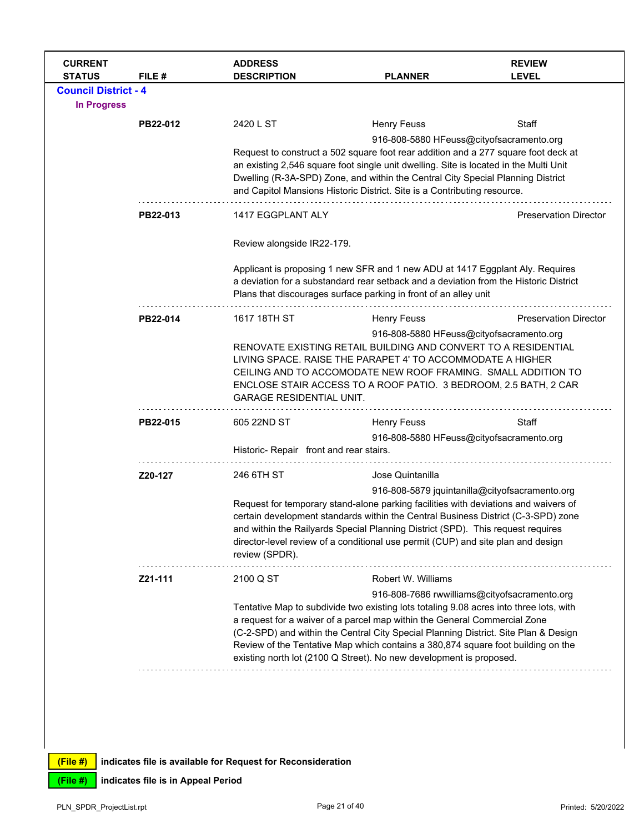| <b>CURRENT</b><br><b>STATUS</b> | FILE #   | <b>ADDRESS</b><br><b>DESCRIPTION</b>                                                | <b>PLANNER</b>                                                                                                                                                                                                                             | <b>REVIEW</b><br><b>LEVEL</b>                  |  |  |
|---------------------------------|----------|-------------------------------------------------------------------------------------|--------------------------------------------------------------------------------------------------------------------------------------------------------------------------------------------------------------------------------------------|------------------------------------------------|--|--|
| <b>Council District - 4</b>     |          |                                                                                     |                                                                                                                                                                                                                                            |                                                |  |  |
| <b>In Progress</b>              |          |                                                                                     |                                                                                                                                                                                                                                            |                                                |  |  |
|                                 | PB22-012 | 2420 L ST                                                                           | <b>Henry Feuss</b>                                                                                                                                                                                                                         | Staff                                          |  |  |
|                                 |          |                                                                                     | 916-808-5880 HFeuss@cityofsacramento.org                                                                                                                                                                                                   |                                                |  |  |
|                                 |          |                                                                                     | Request to construct a 502 square foot rear addition and a 277 square foot deck at<br>an existing 2,546 square foot single unit dwelling. Site is located in the Multi Unit                                                                |                                                |  |  |
|                                 |          |                                                                                     | Dwelling (R-3A-SPD) Zone, and within the Central City Special Planning District                                                                                                                                                            |                                                |  |  |
|                                 |          |                                                                                     | and Capitol Mansions Historic District. Site is a Contributing resource.                                                                                                                                                                   |                                                |  |  |
|                                 | PB22-013 | 1417 EGGPLANT ALY                                                                   |                                                                                                                                                                                                                                            | <b>Preservation Director</b>                   |  |  |
|                                 |          | Review alongside IR22-179.                                                          |                                                                                                                                                                                                                                            |                                                |  |  |
|                                 |          |                                                                                     | Applicant is proposing 1 new SFR and 1 new ADU at 1417 Eggplant Aly. Requires<br>a deviation for a substandard rear setback and a deviation from the Historic District<br>Plans that discourages surface parking in front of an alley unit |                                                |  |  |
|                                 | PB22-014 | 1617 18TH ST                                                                        | <b>Henry Feuss</b>                                                                                                                                                                                                                         | <b>Preservation Director</b>                   |  |  |
|                                 |          |                                                                                     | 916-808-5880 HFeuss@cityofsacramento.org                                                                                                                                                                                                   |                                                |  |  |
|                                 |          |                                                                                     | RENOVATE EXISTING RETAIL BUILDING AND CONVERT TO A RESIDENTIAL<br>LIVING SPACE. RAISE THE PARAPET 4' TO ACCOMMODATE A HIGHER                                                                                                               |                                                |  |  |
|                                 |          |                                                                                     | CEILING AND TO ACCOMODATE NEW ROOF FRAMING. SMALL ADDITION TO                                                                                                                                                                              |                                                |  |  |
|                                 |          |                                                                                     | ENCLOSE STAIR ACCESS TO A ROOF PATIO. 3 BEDROOM, 2.5 BATH, 2 CAR                                                                                                                                                                           |                                                |  |  |
|                                 |          | <b>GARAGE RESIDENTIAL UNIT.</b>                                                     |                                                                                                                                                                                                                                            |                                                |  |  |
|                                 | PB22-015 | 605 22ND ST                                                                         | Henry Feuss                                                                                                                                                                                                                                | Staff                                          |  |  |
|                                 |          |                                                                                     | 916-808-5880 HFeuss@cityofsacramento.org                                                                                                                                                                                                   |                                                |  |  |
|                                 |          | Historic- Repair front and rear stairs.                                             |                                                                                                                                                                                                                                            |                                                |  |  |
|                                 | Z20-127  | 246 6TH ST                                                                          | Jose Quintanilla                                                                                                                                                                                                                           |                                                |  |  |
|                                 |          |                                                                                     |                                                                                                                                                                                                                                            | 916-808-5879 jquintanilla@cityofsacramento.org |  |  |
|                                 |          |                                                                                     | Request for temporary stand-alone parking facilities with deviations and waivers of<br>certain development standards within the Central Business District (C-3-SPD) zone                                                                   |                                                |  |  |
|                                 |          |                                                                                     | and within the Railyards Special Planning District (SPD). This request requires                                                                                                                                                            |                                                |  |  |
|                                 |          | review (SPDR).                                                                      | director-level review of a conditional use permit (CUP) and site plan and design                                                                                                                                                           |                                                |  |  |
|                                 | Z21-111  | 2100 Q ST                                                                           | Robert W. Williams                                                                                                                                                                                                                         |                                                |  |  |
|                                 |          |                                                                                     |                                                                                                                                                                                                                                            | 916-808-7686 rwwilliams@cityofsacramento.org   |  |  |
|                                 |          |                                                                                     | Tentative Map to subdivide two existing lots totaling 9.08 acres into three lots, with<br>a request for a waiver of a parcel map within the General Commercial Zone                                                                        |                                                |  |  |
|                                 |          | (C-2-SPD) and within the Central City Special Planning District. Site Plan & Design |                                                                                                                                                                                                                                            |                                                |  |  |
|                                 |          |                                                                                     | Review of the Tentative Map which contains a 380,874 square foot building on the<br>existing north lot (2100 Q Street). No new development is proposed.                                                                                    |                                                |  |  |
|                                 |          |                                                                                     |                                                                                                                                                                                                                                            |                                                |  |  |
|                                 |          |                                                                                     |                                                                                                                                                                                                                                            |                                                |  |  |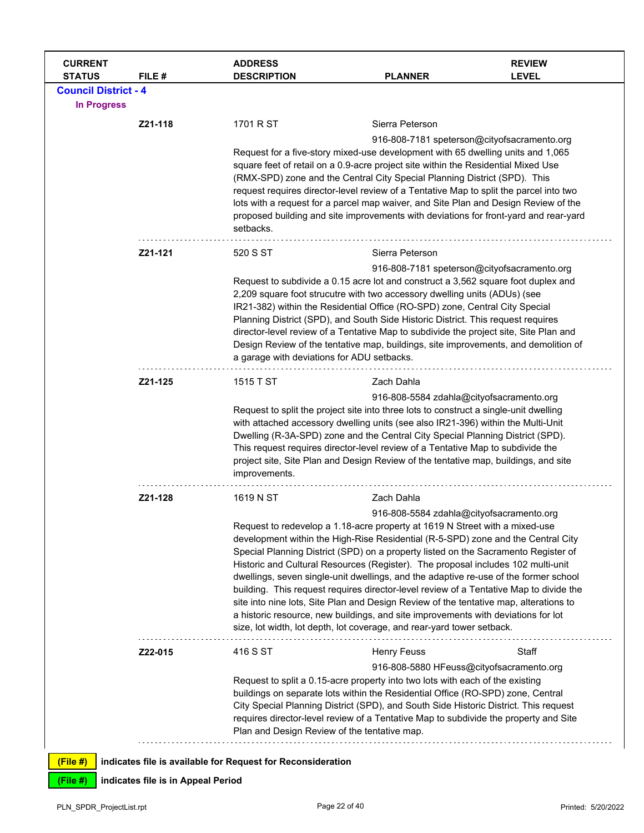| <b>CURRENT</b><br><b>STATUS</b> | FILE#                              | <b>ADDRESS</b><br><b>DESCRIPTION</b>                                                                                                                                          | <b>PLANNER</b>                                                                                                                                                             | <b>REVIEW</b><br><b>LEVEL</b>               |  |
|---------------------------------|------------------------------------|-------------------------------------------------------------------------------------------------------------------------------------------------------------------------------|----------------------------------------------------------------------------------------------------------------------------------------------------------------------------|---------------------------------------------|--|
| <b>Council District - 4</b>     |                                    |                                                                                                                                                                               |                                                                                                                                                                            |                                             |  |
| <b>In Progress</b>              |                                    |                                                                                                                                                                               |                                                                                                                                                                            |                                             |  |
|                                 | Z21-118                            | 1701 R ST                                                                                                                                                                     | Sierra Peterson                                                                                                                                                            |                                             |  |
|                                 |                                    |                                                                                                                                                                               |                                                                                                                                                                            | 916-808-7181 speterson@cityofsacramento.org |  |
|                                 |                                    |                                                                                                                                                                               | Request for a five-story mixed-use development with 65 dwelling units and 1,065<br>square feet of retail on a 0.9-acre project site within the Residential Mixed Use       |                                             |  |
|                                 |                                    |                                                                                                                                                                               | (RMX-SPD) zone and the Central City Special Planning District (SPD). This                                                                                                  |                                             |  |
|                                 |                                    | request requires director-level review of a Tentative Map to split the parcel into two<br>lots with a request for a parcel map waiver, and Site Plan and Design Review of the |                                                                                                                                                                            |                                             |  |
|                                 |                                    | setbacks.                                                                                                                                                                     | proposed building and site improvements with deviations for front-yard and rear-yard                                                                                       |                                             |  |
|                                 | Z21-121                            | 520 S ST                                                                                                                                                                      | Sierra Peterson                                                                                                                                                            |                                             |  |
|                                 |                                    |                                                                                                                                                                               | Request to subdivide a 0.15 acre lot and construct a 3,562 square foot duplex and                                                                                          | 916-808-7181 speterson@cityofsacramento.org |  |
|                                 |                                    |                                                                                                                                                                               | 2,209 square foot strucutre with two accessory dwelling units (ADUs) (see                                                                                                  |                                             |  |
|                                 |                                    |                                                                                                                                                                               | IR21-382) within the Residential Office (RO-SPD) zone, Central City Special                                                                                                |                                             |  |
|                                 |                                    | Planning District (SPD), and South Side Historic District. This request requires<br>director-level review of a Tentative Map to subdivide the project site, Site Plan and     |                                                                                                                                                                            |                                             |  |
|                                 |                                    | Design Review of the tentative map, buildings, site improvements, and demolition of                                                                                           |                                                                                                                                                                            |                                             |  |
|                                 |                                    | a garage with deviations for ADU setbacks.                                                                                                                                    |                                                                                                                                                                            |                                             |  |
|                                 | Z21-125                            | 1515 T ST                                                                                                                                                                     | Zach Dahla                                                                                                                                                                 |                                             |  |
|                                 |                                    |                                                                                                                                                                               | 916-808-5584 zdahla@cityofsacramento.org                                                                                                                                   |                                             |  |
|                                 |                                    |                                                                                                                                                                               | Request to split the project site into three lots to construct a single-unit dwelling<br>with attached accessory dwelling units (see also IR21-396) within the Multi-Unit  |                                             |  |
|                                 |                                    |                                                                                                                                                                               | Dwelling (R-3A-SPD) zone and the Central City Special Planning District (SPD).                                                                                             |                                             |  |
|                                 |                                    |                                                                                                                                                                               | This request requires director-level review of a Tentative Map to subdivide the                                                                                            |                                             |  |
|                                 |                                    | improvements.                                                                                                                                                                 | project site, Site Plan and Design Review of the tentative map, buildings, and site                                                                                        |                                             |  |
|                                 | Z21-128                            | 1619 N ST                                                                                                                                                                     | Zach Dahla                                                                                                                                                                 |                                             |  |
|                                 |                                    |                                                                                                                                                                               | 916-808-5584 zdahla@cityofsacramento.org<br>Request to redevelop a 1.18-acre property at 1619 N Street with a mixed-use                                                    |                                             |  |
|                                 |                                    |                                                                                                                                                                               | development within the High-Rise Residential (R-5-SPD) zone and the Central City                                                                                           |                                             |  |
|                                 |                                    |                                                                                                                                                                               | Special Planning District (SPD) on a property listed on the Sacramento Register of                                                                                         |                                             |  |
|                                 |                                    |                                                                                                                                                                               | Historic and Cultural Resources (Register). The proposal includes 102 multi-unit<br>dwellings, seven single-unit dwellings, and the adaptive re-use of the former school   |                                             |  |
|                                 |                                    |                                                                                                                                                                               | building. This request requires director-level review of a Tentative Map to divide the                                                                                     |                                             |  |
|                                 |                                    |                                                                                                                                                                               | site into nine lots, Site Plan and Design Review of the tentative map, alterations to<br>a historic resource, new buildings, and site improvements with deviations for lot |                                             |  |
|                                 |                                    |                                                                                                                                                                               | size, lot width, lot depth, lot coverage, and rear-yard tower setback.                                                                                                     |                                             |  |
|                                 | Z22-015                            | 416 S ST                                                                                                                                                                      | <b>Henry Feuss</b>                                                                                                                                                         | Staff                                       |  |
|                                 |                                    |                                                                                                                                                                               | 916-808-5880 HFeuss@cityofsacramento.org                                                                                                                                   |                                             |  |
|                                 |                                    |                                                                                                                                                                               | Request to split a 0.15-acre property into two lots with each of the existing<br>buildings on separate lots within the Residential Office (RO-SPD) zone, Central           |                                             |  |
|                                 |                                    |                                                                                                                                                                               | City Special Planning District (SPD), and South Side Historic District. This request                                                                                       |                                             |  |
|                                 |                                    |                                                                                                                                                                               | requires director-level review of a Tentative Map to subdivide the property and Site                                                                                       |                                             |  |
|                                 |                                    | Plan and Design Review of the tentative map.                                                                                                                                  |                                                                                                                                                                            |                                             |  |
| (File #)                        |                                    | indicates file is available for Request for Reconsideration                                                                                                                   |                                                                                                                                                                            |                                             |  |
| (File #)                        | indicates file is in Appeal Period |                                                                                                                                                                               |                                                                                                                                                                            |                                             |  |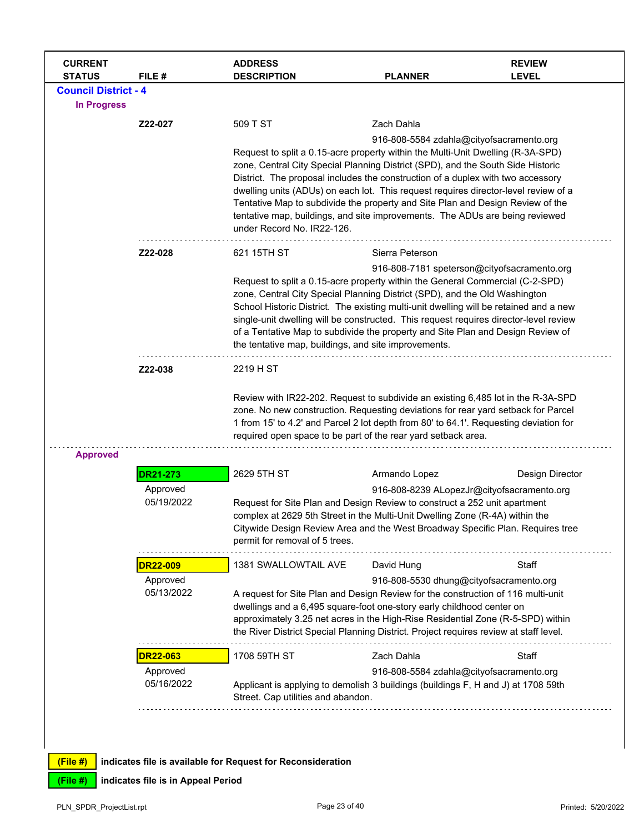| <b>CURRENT</b><br><b>STATUS</b>                   | FILE #                             | <b>ADDRESS</b><br><b>DESCRIPTION</b>                                                                                                                                                                                                                                                                                                                                                                                                                                                                                                         | <b>PLANNER</b>                                              | <b>REVIEW</b><br><b>LEVEL</b> |
|---------------------------------------------------|------------------------------------|----------------------------------------------------------------------------------------------------------------------------------------------------------------------------------------------------------------------------------------------------------------------------------------------------------------------------------------------------------------------------------------------------------------------------------------------------------------------------------------------------------------------------------------------|-------------------------------------------------------------|-------------------------------|
| <b>Council District - 4</b><br><b>In Progress</b> |                                    |                                                                                                                                                                                                                                                                                                                                                                                                                                                                                                                                              |                                                             |                               |
|                                                   | Z22-027                            | 509 T ST                                                                                                                                                                                                                                                                                                                                                                                                                                                                                                                                     | Zach Dahla                                                  |                               |
|                                                   |                                    | Request to split a 0.15-acre property within the Multi-Unit Dwelling (R-3A-SPD)<br>zone, Central City Special Planning District (SPD), and the South Side Historic<br>District. The proposal includes the construction of a duplex with two accessory<br>dwelling units (ADUs) on each lot. This request requires director-level review of a<br>Tentative Map to subdivide the property and Site Plan and Design Review of the<br>tentative map, buildings, and site improvements. The ADUs are being reviewed<br>under Record No. IR22-126. | 916-808-5584 zdahla@cityofsacramento.org                    |                               |
|                                                   | Z22-028                            | 621 15TH ST                                                                                                                                                                                                                                                                                                                                                                                                                                                                                                                                  | Sierra Peterson                                             |                               |
|                                                   |                                    | Request to split a 0.15-acre property within the General Commercial (C-2-SPD)<br>zone, Central City Special Planning District (SPD), and the Old Washington<br>School Historic District. The existing multi-unit dwelling will be retained and a new<br>single-unit dwelling will be constructed. This request requires director-level review<br>of a Tentative Map to subdivide the property and Site Plan and Design Review of<br>the tentative map, buildings, and site improvements.                                                     | 916-808-7181 speterson@cityofsacramento.org                 |                               |
|                                                   | Z22-038                            | 2219 H ST                                                                                                                                                                                                                                                                                                                                                                                                                                                                                                                                    |                                                             |                               |
|                                                   |                                    | Review with IR22-202. Request to subdivide an existing 6,485 lot in the R-3A-SPD<br>zone. No new construction. Requesting deviations for rear yard setback for Parcel<br>1 from 15' to 4.2' and Parcel 2 lot depth from 80' to 64.1'. Requesting deviation for<br>required open space to be part of the rear yard setback area.                                                                                                                                                                                                              |                                                             |                               |
| <b>Approved</b>                                   |                                    | 2629 5TH ST                                                                                                                                                                                                                                                                                                                                                                                                                                                                                                                                  |                                                             | Design Director               |
|                                                   | <b>DR21-273</b><br>Approved        |                                                                                                                                                                                                                                                                                                                                                                                                                                                                                                                                              | Armando Lopez<br>916-808-8239 ALopezJr@cityofsacramento.org |                               |
|                                                   | 05/19/2022                         | Request for Site Plan and Design Review to construct a 252 unit apartment<br>complex at 2629 5th Street in the Multi-Unit Dwelling Zone (R-4A) within the<br>Citywide Design Review Area and the West Broadway Specific Plan. Requires tree<br>permit for removal of 5 trees.                                                                                                                                                                                                                                                                |                                                             |                               |
|                                                   | <b>DR22-009</b>                    | 1381 SWALLOWTAIL AVE                                                                                                                                                                                                                                                                                                                                                                                                                                                                                                                         | David Hung                                                  | Staff                         |
|                                                   | Approved<br>05/13/2022             | A request for Site Plan and Design Review for the construction of 116 multi-unit<br>dwellings and a 6,495 square-foot one-story early childhood center on<br>approximately 3.25 net acres in the High-Rise Residential Zone (R-5-SPD) within<br>the River District Special Planning District. Project requires review at staff level.                                                                                                                                                                                                        | 916-808-5530 dhung@cityofsacramento.org                     |                               |
|                                                   | <b>DR22-063</b>                    | 1708 59TH ST                                                                                                                                                                                                                                                                                                                                                                                                                                                                                                                                 | Zach Dahla                                                  | Staff                         |
|                                                   | Approved<br>05/16/2022             | Applicant is applying to demolish 3 buildings (buildings F, H and J) at 1708 59th<br>Street. Cap utilities and abandon.                                                                                                                                                                                                                                                                                                                                                                                                                      | 916-808-5584 zdahla@cityofsacramento.org                    |                               |
| (File#)<br>(File #)                               | indicates file is in Appeal Period | indicates file is available for Request for Reconsideration                                                                                                                                                                                                                                                                                                                                                                                                                                                                                  |                                                             |                               |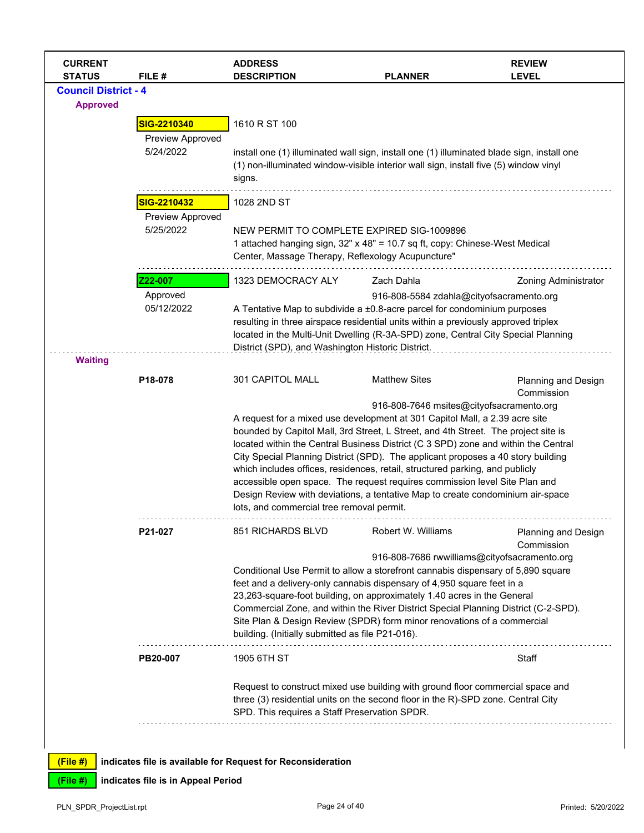| <b>CURRENT</b><br><b>STATUS</b> | FILE #           | <b>ADDRESS</b><br><b>DESCRIPTION</b>                                                                                                                             | <b>PLANNER</b>                           | <b>REVIEW</b><br><b>LEVEL</b>                |  |
|---------------------------------|------------------|------------------------------------------------------------------------------------------------------------------------------------------------------------------|------------------------------------------|----------------------------------------------|--|
| <b>Council District - 4</b>     |                  |                                                                                                                                                                  |                                          |                                              |  |
| <b>Approved</b>                 |                  |                                                                                                                                                                  |                                          |                                              |  |
|                                 | SIG-2210340      | 1610 R ST 100                                                                                                                                                    |                                          |                                              |  |
|                                 | Preview Approved |                                                                                                                                                                  |                                          |                                              |  |
|                                 | 5/24/2022        | install one (1) illuminated wall sign, install one (1) illuminated blade sign, install one                                                                       |                                          |                                              |  |
|                                 |                  | (1) non-illuminated window-visible interior wall sign, install five (5) window vinyl                                                                             |                                          |                                              |  |
|                                 |                  | signs.                                                                                                                                                           |                                          |                                              |  |
|                                 | SIG-2210432      | 1028 2ND ST                                                                                                                                                      |                                          |                                              |  |
|                                 | Preview Approved |                                                                                                                                                                  |                                          |                                              |  |
|                                 | 5/25/2022        | NEW PERMIT TO COMPLETE EXPIRED SIG-1009896                                                                                                                       |                                          |                                              |  |
|                                 |                  | 1 attached hanging sign, 32" x 48" = 10.7 sq ft, copy: Chinese-West Medical                                                                                      |                                          |                                              |  |
|                                 |                  | Center, Massage Therapy, Reflexology Acupuncture"                                                                                                                |                                          |                                              |  |
|                                 | Z22-007          | 1323 DEMOCRACY ALY                                                                                                                                               | Zach Dahla                               | <b>Zoning Administrator</b>                  |  |
|                                 | Approved         |                                                                                                                                                                  | 916-808-5584 zdahla@cityofsacramento.org |                                              |  |
|                                 | 05/12/2022       | A Tentative Map to subdivide a ±0.8-acre parcel for condominium purposes                                                                                         |                                          |                                              |  |
|                                 |                  | resulting in three airspace residential units within a previously approved triplex                                                                               |                                          |                                              |  |
|                                 |                  | located in the Multi-Unit Dwelling (R-3A-SPD) zone, Central City Special Planning                                                                                |                                          |                                              |  |
| <b>Waiting</b>                  |                  | District (SPD), and Washington Historic District.                                                                                                                |                                          |                                              |  |
|                                 |                  |                                                                                                                                                                  |                                          |                                              |  |
|                                 | P18-078          | 301 CAPITOL MALL                                                                                                                                                 | <b>Matthew Sites</b>                     | Planning and Design<br>Commission            |  |
|                                 |                  |                                                                                                                                                                  | 916-808-7646 msites@cityofsacramento.org |                                              |  |
|                                 |                  | A request for a mixed use development at 301 Capitol Mall, a 2.39 acre site                                                                                      |                                          |                                              |  |
|                                 |                  | bounded by Capitol Mall, 3rd Street, L Street, and 4th Street. The project site is                                                                               |                                          |                                              |  |
|                                 |                  | located within the Central Business District (C 3 SPD) zone and within the Central                                                                               |                                          |                                              |  |
|                                 |                  | City Special Planning District (SPD). The applicant proposes a 40 story building<br>which includes offices, residences, retail, structured parking, and publicly |                                          |                                              |  |
|                                 |                  | accessible open space. The request requires commission level Site Plan and                                                                                       |                                          |                                              |  |
|                                 |                  | Design Review with deviations, a tentative Map to create condominium air-space                                                                                   |                                          |                                              |  |
|                                 |                  | lots, and commercial tree removal permit.                                                                                                                        |                                          |                                              |  |
|                                 | P21-027          | 851 RICHARDS BLVD                                                                                                                                                | Robert W. Williams                       | Planning and Design                          |  |
|                                 |                  |                                                                                                                                                                  |                                          | Commission                                   |  |
|                                 |                  |                                                                                                                                                                  |                                          | 916-808-7686 rwwilliams@cityofsacramento.org |  |
|                                 |                  | Conditional Use Permit to allow a storefront cannabis dispensary of 5,890 square                                                                                 |                                          |                                              |  |
|                                 |                  | feet and a delivery-only cannabis dispensary of 4,950 square feet in a<br>23,263-square-foot building, on approximately 1.40 acres in the General                |                                          |                                              |  |
|                                 |                  | Commercial Zone, and within the River District Special Planning District (C-2-SPD).                                                                              |                                          |                                              |  |
|                                 |                  | Site Plan & Design Review (SPDR) form minor renovations of a commercial                                                                                          |                                          |                                              |  |
|                                 |                  | building. (Initially submitted as file P21-016).                                                                                                                 |                                          |                                              |  |
|                                 | PB20-007         | 1905 6TH ST                                                                                                                                                      |                                          | Staff                                        |  |
|                                 |                  | Request to construct mixed use building with ground floor commercial space and                                                                                   |                                          |                                              |  |
|                                 |                  | three (3) residential units on the second floor in the R)-SPD zone. Central City                                                                                 |                                          |                                              |  |
|                                 |                  | SPD. This requires a Staff Preservation SPDR.                                                                                                                    |                                          |                                              |  |
|                                 |                  |                                                                                                                                                                  |                                          |                                              |  |
|                                 |                  |                                                                                                                                                                  |                                          |                                              |  |
| (File#)                         |                  | indicates file is available for Request for Reconsideration                                                                                                      |                                          |                                              |  |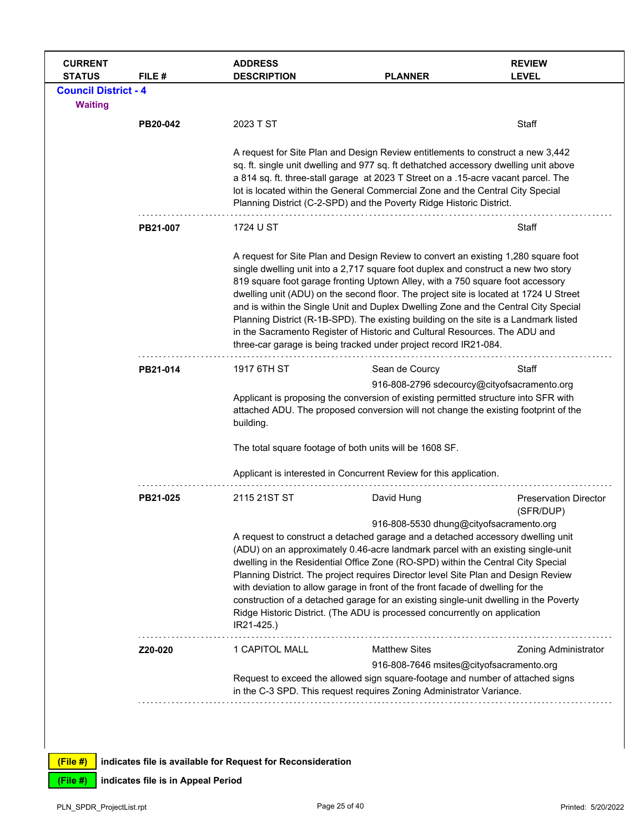|                                               | FILE #   | <b>ADDRESS</b><br><b>DESCRIPTION</b> | <b>PLANNER</b>                                                                                                                                                                                                                                                                                                                                                                                                                                                                                                                                                                                                                                                                       | <b>REVIEW</b><br><b>LEVEL</b> |
|-----------------------------------------------|----------|--------------------------------------|--------------------------------------------------------------------------------------------------------------------------------------------------------------------------------------------------------------------------------------------------------------------------------------------------------------------------------------------------------------------------------------------------------------------------------------------------------------------------------------------------------------------------------------------------------------------------------------------------------------------------------------------------------------------------------------|-------------------------------|
| <b>Council District - 4</b><br><b>Waiting</b> |          |                                      |                                                                                                                                                                                                                                                                                                                                                                                                                                                                                                                                                                                                                                                                                      |                               |
|                                               | PB20-042 | 2023 T ST                            |                                                                                                                                                                                                                                                                                                                                                                                                                                                                                                                                                                                                                                                                                      | Staff                         |
|                                               |          |                                      | A request for Site Plan and Design Review entitlements to construct a new 3,442<br>sq. ft. single unit dwelling and 977 sq. ft dethatched accessory dwelling unit above<br>a 814 sq. ft. three-stall garage at 2023 T Street on a .15-acre vacant parcel. The<br>lot is located within the General Commercial Zone and the Central City Special<br>Planning District (C-2-SPD) and the Poverty Ridge Historic District.                                                                                                                                                                                                                                                              |                               |
|                                               | PB21-007 | 1724 U ST                            |                                                                                                                                                                                                                                                                                                                                                                                                                                                                                                                                                                                                                                                                                      | Staff                         |
|                                               |          |                                      | A request for Site Plan and Design Review to convert an existing 1,280 square foot<br>single dwelling unit into a 2,717 square foot duplex and construct a new two story<br>819 square foot garage fronting Uptown Alley, with a 750 square foot accessory<br>dwelling unit (ADU) on the second floor. The project site is located at 1724 U Street<br>and is within the Single Unit and Duplex Dwelling Zone and the Central City Special<br>Planning District (R-1B-SPD). The existing building on the site is a Landmark listed<br>in the Sacramento Register of Historic and Cultural Resources. The ADU and<br>three-car garage is being tracked under project record IR21-084. |                               |
|                                               | PB21-014 | 1917 6TH ST                          | Sean de Courcy                                                                                                                                                                                                                                                                                                                                                                                                                                                                                                                                                                                                                                                                       | Staff                         |
|                                               |          | building.                            | 916-808-2796 sdecourcy@cityofsacramento.org<br>Applicant is proposing the conversion of existing permitted structure into SFR with<br>attached ADU. The proposed conversion will not change the existing footprint of the<br>The total square footage of both units will be 1608 SF.<br>Applicant is interested in Concurrent Review for this application.                                                                                                                                                                                                                                                                                                                           |                               |
|                                               |          | 2115 21ST ST                         | David Hung                                                                                                                                                                                                                                                                                                                                                                                                                                                                                                                                                                                                                                                                           | <b>Preservation Director</b>  |
|                                               | PB21-025 |                                      |                                                                                                                                                                                                                                                                                                                                                                                                                                                                                                                                                                                                                                                                                      |                               |
|                                               |          | IR21-425.)                           | 916-808-5530 dhung@cityofsacramento.org<br>A request to construct a detached garage and a detached accessory dwelling unit<br>(ADU) on an approximately 0.46-acre landmark parcel with an existing single-unit<br>dwelling in the Residential Office Zone (RO-SPD) within the Central City Special<br>Planning District. The project requires Director level Site Plan and Design Review<br>with deviation to allow garage in front of the front facade of dwelling for the<br>construction of a detached garage for an existing single-unit dwelling in the Poverty<br>Ridge Historic District. (The ADU is processed concurrently on application                                   | (SFR/DUP)                     |
|                                               | Z20-020  | 1 CAPITOL MALL                       | <b>Matthew Sites</b>                                                                                                                                                                                                                                                                                                                                                                                                                                                                                                                                                                                                                                                                 | <b>Zoning Administrator</b>   |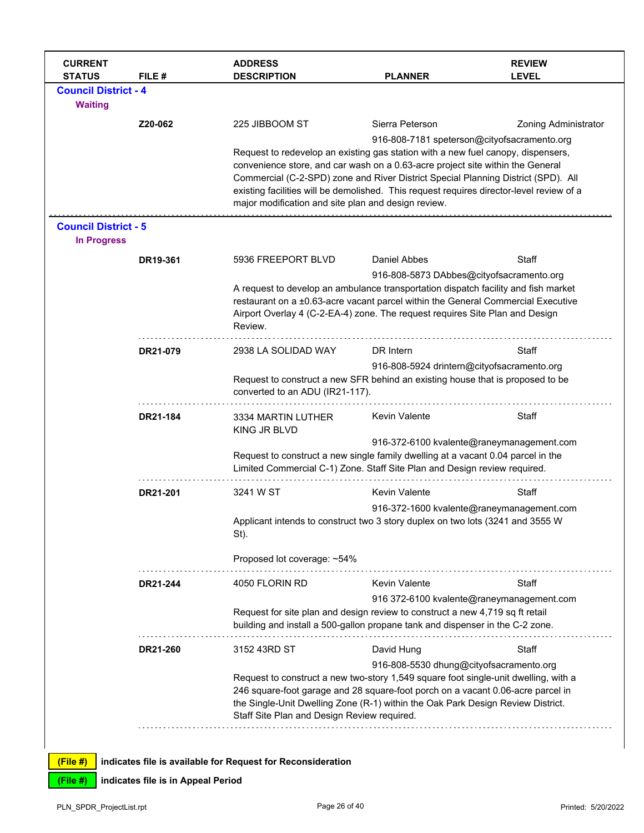| <b>CURRENT</b><br><b>STATUS</b>                   | FILE #   | <b>ADDRESS</b><br><b>DESCRIPTION</b>                                                                                                                                                                                                                                                                                                                                                                       | <b>PLANNER</b>                              | <b>REVIEW</b><br><b>LEVEL</b>             |
|---------------------------------------------------|----------|------------------------------------------------------------------------------------------------------------------------------------------------------------------------------------------------------------------------------------------------------------------------------------------------------------------------------------------------------------------------------------------------------------|---------------------------------------------|-------------------------------------------|
| <b>Council District - 4</b>                       |          |                                                                                                                                                                                                                                                                                                                                                                                                            |                                             |                                           |
| <b>Waiting</b>                                    |          |                                                                                                                                                                                                                                                                                                                                                                                                            |                                             |                                           |
|                                                   | Z20-062  | 225 JIBBOOM ST                                                                                                                                                                                                                                                                                                                                                                                             | Sierra Peterson                             | <b>Zoning Administrator</b>               |
|                                                   |          |                                                                                                                                                                                                                                                                                                                                                                                                            | 916-808-7181 speterson@cityofsacramento.org |                                           |
|                                                   |          | Request to redevelop an existing gas station with a new fuel canopy, dispensers,<br>convenience store, and car wash on a 0.63-acre project site within the General<br>Commercial (C-2-SPD) zone and River District Special Planning District (SPD). All<br>existing facilities will be demolished. This request requires director-level review of a<br>major modification and site plan and design review. |                                             |                                           |
| <b>Council District - 5</b><br><b>In Progress</b> |          |                                                                                                                                                                                                                                                                                                                                                                                                            |                                             |                                           |
|                                                   | DR19-361 | 5936 FREEPORT BLVD                                                                                                                                                                                                                                                                                                                                                                                         | Daniel Abbes                                | Staff                                     |
|                                                   |          |                                                                                                                                                                                                                                                                                                                                                                                                            | 916-808-5873 DAbbes@cityofsacramento.org    |                                           |
|                                                   |          | A request to develop an ambulance transportation dispatch facility and fish market<br>restaurant on a ±0.63-acre vacant parcel within the General Commercial Executive<br>Airport Overlay 4 (C-2-EA-4) zone. The request requires Site Plan and Design<br>Review.                                                                                                                                          |                                             |                                           |
|                                                   | DR21-079 | 2938 LA SOLIDAD WAY                                                                                                                                                                                                                                                                                                                                                                                        | DR Intern                                   | Staff                                     |
|                                                   |          |                                                                                                                                                                                                                                                                                                                                                                                                            | 916-808-5924 drintern@cityofsacramento.org  |                                           |
|                                                   |          | Request to construct a new SFR behind an existing house that is proposed to be<br>converted to an ADU (IR21-117).                                                                                                                                                                                                                                                                                          |                                             |                                           |
|                                                   | DR21-184 | 3334 MARTIN LUTHER<br>KING JR BLVD                                                                                                                                                                                                                                                                                                                                                                         | Kevin Valente                               | Staff                                     |
|                                                   |          | Request to construct a new single family dwelling at a vacant 0.04 parcel in the<br>Limited Commercial C-1) Zone. Staff Site Plan and Design review required.                                                                                                                                                                                                                                              |                                             | 916-372-6100 kvalente@raneymanagement.com |
|                                                   | DR21-201 | 3241 W ST                                                                                                                                                                                                                                                                                                                                                                                                  | <b>Kevin Valente</b>                        | Staff                                     |
|                                                   |          |                                                                                                                                                                                                                                                                                                                                                                                                            |                                             | 916-372-1600 kvalente@raneymanagement.com |
|                                                   |          | Applicant intends to construct two 3 story duplex on two lots (3241 and 3555 W<br>St).                                                                                                                                                                                                                                                                                                                     |                                             |                                           |
|                                                   |          | Proposed lot coverage: ~54%                                                                                                                                                                                                                                                                                                                                                                                |                                             |                                           |
|                                                   | DR21-244 | 4050 FLORIN RD                                                                                                                                                                                                                                                                                                                                                                                             | <b>Kevin Valente</b>                        | Staff                                     |
|                                                   |          |                                                                                                                                                                                                                                                                                                                                                                                                            | 916 372-6100 kvalente@raneymanagement.com   |                                           |
|                                                   |          | Request for site plan and design review to construct a new 4,719 sq ft retail<br>building and install a 500-gallon propane tank and dispenser in the C-2 zone.                                                                                                                                                                                                                                             |                                             |                                           |
|                                                   | DR21-260 | 3152 43RD ST                                                                                                                                                                                                                                                                                                                                                                                               | David Hung                                  | Staff                                     |
|                                                   |          | 916-808-5530 dhung@cityofsacramento.org<br>Request to construct a new two-story 1,549 square foot single-unit dwelling, with a<br>246 square-foot garage and 28 square-foot porch on a vacant 0.06-acre parcel in<br>the Single-Unit Dwelling Zone (R-1) within the Oak Park Design Review District.<br>Staff Site Plan and Design Review required.                                                        |                                             |                                           |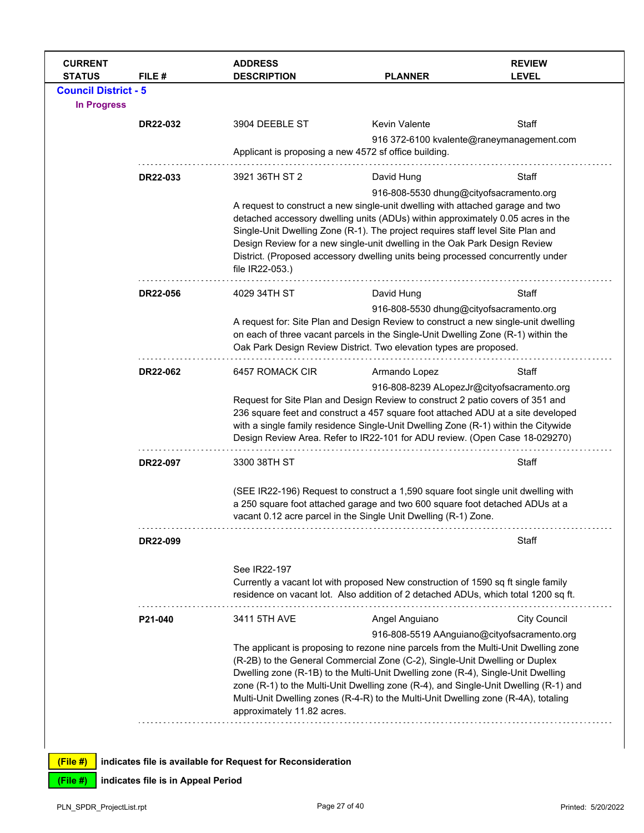| <b>CURRENT</b><br><b>STATUS</b>                   | FILE #                             | <b>ADDRESS</b><br><b>DESCRIPTION</b>                        | <b>PLANNER</b>                                                                                                                                                                                                                                                                                                                                                                                                                                                   | <b>REVIEW</b><br><b>LEVEL</b>               |  |
|---------------------------------------------------|------------------------------------|-------------------------------------------------------------|------------------------------------------------------------------------------------------------------------------------------------------------------------------------------------------------------------------------------------------------------------------------------------------------------------------------------------------------------------------------------------------------------------------------------------------------------------------|---------------------------------------------|--|
| <b>Council District - 5</b><br><b>In Progress</b> |                                    |                                                             |                                                                                                                                                                                                                                                                                                                                                                                                                                                                  |                                             |  |
|                                                   | DR22-032                           | 3904 DEEBLE ST                                              | Kevin Valente                                                                                                                                                                                                                                                                                                                                                                                                                                                    | Staff                                       |  |
|                                                   |                                    |                                                             | Applicant is proposing a new 4572 sf office building.                                                                                                                                                                                                                                                                                                                                                                                                            | 916 372-6100 kvalente@raneymanagement.com   |  |
|                                                   | DR22-033                           | 3921 36TH ST 2                                              | David Hung                                                                                                                                                                                                                                                                                                                                                                                                                                                       | Staff                                       |  |
|                                                   |                                    | file IR22-053.)                                             | 916-808-5530 dhung@cityofsacramento.org<br>A request to construct a new single-unit dwelling with attached garage and two<br>detached accessory dwelling units (ADUs) within approximately 0.05 acres in the<br>Single-Unit Dwelling Zone (R-1). The project requires staff level Site Plan and<br>Design Review for a new single-unit dwelling in the Oak Park Design Review<br>District. (Proposed accessory dwelling units being processed concurrently under |                                             |  |
|                                                   | DR22-056                           | 4029 34TH ST                                                | David Hung                                                                                                                                                                                                                                                                                                                                                                                                                                                       | Staff                                       |  |
|                                                   |                                    |                                                             | 916-808-5530 dhung@cityofsacramento.org<br>A request for: Site Plan and Design Review to construct a new single-unit dwelling<br>on each of three vacant parcels in the Single-Unit Dwelling Zone (R-1) within the<br>Oak Park Design Review District. Two elevation types are proposed.                                                                                                                                                                         |                                             |  |
|                                                   | DR22-062                           | 6457 ROMACK CIR                                             | Armando Lopez                                                                                                                                                                                                                                                                                                                                                                                                                                                    | Staff                                       |  |
|                                                   |                                    |                                                             | 916-808-8239 ALopezJr@cityofsacramento.org<br>Request for Site Plan and Design Review to construct 2 patio covers of 351 and<br>236 square feet and construct a 457 square foot attached ADU at a site developed<br>with a single family residence Single-Unit Dwelling Zone (R-1) within the Citywide<br>Design Review Area. Refer to IR22-101 for ADU review. (Open Case 18-029270)                                                                            |                                             |  |
|                                                   | DR22-097                           | 3300 38TH ST                                                |                                                                                                                                                                                                                                                                                                                                                                                                                                                                  | Staff                                       |  |
|                                                   |                                    |                                                             | (SEE IR22-196) Request to construct a 1,590 square foot single unit dwelling with<br>a 250 square foot attached garage and two 600 square foot detached ADUs at a<br>vacant 0.12 acre parcel in the Single Unit Dwelling (R-1) Zone.                                                                                                                                                                                                                             |                                             |  |
|                                                   | DR22-099                           |                                                             |                                                                                                                                                                                                                                                                                                                                                                                                                                                                  | Staff                                       |  |
|                                                   |                                    | See IR22-197                                                | Currently a vacant lot with proposed New construction of 1590 sq ft single family<br>residence on vacant lot. Also addition of 2 detached ADUs, which total 1200 sq ft.                                                                                                                                                                                                                                                                                          |                                             |  |
|                                                   | P21-040                            | 3411 5TH AVE                                                | Angel Anguiano                                                                                                                                                                                                                                                                                                                                                                                                                                                   | <b>City Council</b>                         |  |
|                                                   |                                    | approximately 11.82 acres.                                  | The applicant is proposing to rezone nine parcels from the Multi-Unit Dwelling zone<br>(R-2B) to the General Commercial Zone (C-2), Single-Unit Dwelling or Duplex<br>Dwelling zone (R-1B) to the Multi-Unit Dwelling zone (R-4), Single-Unit Dwelling<br>zone (R-1) to the Multi-Unit Dwelling zone (R-4), and Single-Unit Dwelling (R-1) and<br>Multi-Unit Dwelling zones (R-4-R) to the Multi-Unit Dwelling zone (R-4A), totaling                             | 916-808-5519 AAnguiano@cityofsacramento.org |  |
| (File#)                                           |                                    | indicates file is available for Request for Reconsideration |                                                                                                                                                                                                                                                                                                                                                                                                                                                                  |                                             |  |
| (File #)                                          | indicates file is in Appeal Period |                                                             |                                                                                                                                                                                                                                                                                                                                                                                                                                                                  |                                             |  |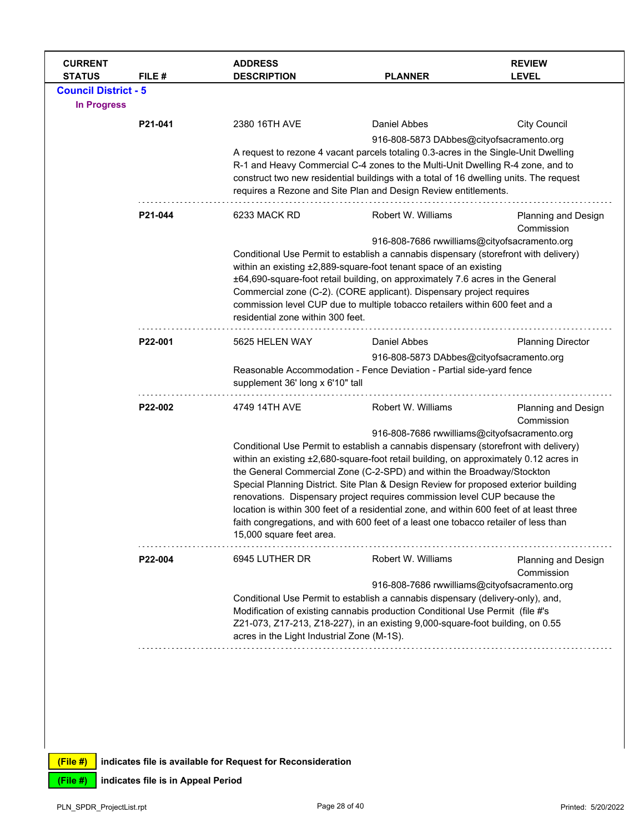| <b>Council District - 5</b><br><b>In Progress</b><br>2380 16TH AVE<br>Daniel Abbes<br><b>City Council</b><br>P21-041<br>916-808-5873 DAbbes@cityofsacramento.org<br>A request to rezone 4 vacant parcels totaling 0.3-acres in the Single-Unit Dwelling<br>R-1 and Heavy Commercial C-4 zones to the Multi-Unit Dwelling R-4 zone, and to<br>construct two new residential buildings with a total of 16 dwelling units. The request<br>requires a Rezone and Site Plan and Design Review entitlements.<br>6233 MACK RD<br>Robert W. Williams<br>P21-044<br><b>Planning and Design</b><br>Commission<br>916-808-7686 rwwilliams@cityofsacramento.org<br>Conditional Use Permit to establish a cannabis dispensary (storefront with delivery)<br>within an existing ±2,889-square-foot tenant space of an existing<br>±64,690-square-foot retail building, on approximately 7.6 acres in the General<br>Commercial zone (C-2). (CORE applicant). Dispensary project requires<br>commission level CUP due to multiple tobacco retailers within 600 feet and a<br>residential zone within 300 feet.<br>P22-001<br>5625 HELEN WAY<br>Daniel Abbes<br><b>Planning Director</b><br>916-808-5873 DAbbes@cityofsacramento.org<br>Reasonable Accommodation - Fence Deviation - Partial side-yard fence<br>supplement 36' long x 6'10" tall<br>Robert W. Williams<br>4749 14TH AVE<br>P22-002<br>Planning and Design<br>Commission<br>916-808-7686 rwwilliams@cityofsacramento.org<br>Conditional Use Permit to establish a cannabis dispensary (storefront with delivery)<br>within an existing ±2,680-square-foot retail building, on approximately 0.12 acres in<br>the General Commercial Zone (C-2-SPD) and within the Broadway/Stockton<br>Special Planning District. Site Plan & Design Review for proposed exterior building<br>renovations. Dispensary project requires commission level CUP because the<br>location is within 300 feet of a residential zone, and within 600 feet of at least three<br>faith congregations, and with 600 feet of a least one tobacco retailer of less than<br>15,000 square feet area.<br>Robert W. Williams<br>P22-004<br>6945 LUTHER DR<br>Planning and Design<br>Commission<br>916-808-7686 rwwilliams@cityofsacramento.org<br>Conditional Use Permit to establish a cannabis dispensary (delivery-only), and,<br>Modification of existing cannabis production Conditional Use Permit (file #'s<br>Z21-073, Z17-213, Z18-227), in an existing 9,000-square-foot building, on 0.55<br>acres in the Light Industrial Zone (M-1S). | <b>CURRENT</b><br><b>STATUS</b> | FILE # | <b>ADDRESS</b><br><b>DESCRIPTION</b> | <b>PLANNER</b> | <b>REVIEW</b><br><b>LEVEL</b> |  |  |
|-------------------------------------------------------------------------------------------------------------------------------------------------------------------------------------------------------------------------------------------------------------------------------------------------------------------------------------------------------------------------------------------------------------------------------------------------------------------------------------------------------------------------------------------------------------------------------------------------------------------------------------------------------------------------------------------------------------------------------------------------------------------------------------------------------------------------------------------------------------------------------------------------------------------------------------------------------------------------------------------------------------------------------------------------------------------------------------------------------------------------------------------------------------------------------------------------------------------------------------------------------------------------------------------------------------------------------------------------------------------------------------------------------------------------------------------------------------------------------------------------------------------------------------------------------------------------------------------------------------------------------------------------------------------------------------------------------------------------------------------------------------------------------------------------------------------------------------------------------------------------------------------------------------------------------------------------------------------------------------------------------------------------------------------------------------------------------------------------------------------------------------------------------------------------------------------------------------------------------------------------------------------------------------------------------------------------------------------------------------------------------------------------------------------------------------------------------------------------------------------------------------------------------------------------------------------|---------------------------------|--------|--------------------------------------|----------------|-------------------------------|--|--|
|                                                                                                                                                                                                                                                                                                                                                                                                                                                                                                                                                                                                                                                                                                                                                                                                                                                                                                                                                                                                                                                                                                                                                                                                                                                                                                                                                                                                                                                                                                                                                                                                                                                                                                                                                                                                                                                                                                                                                                                                                                                                                                                                                                                                                                                                                                                                                                                                                                                                                                                                                                   |                                 |        |                                      |                |                               |  |  |
|                                                                                                                                                                                                                                                                                                                                                                                                                                                                                                                                                                                                                                                                                                                                                                                                                                                                                                                                                                                                                                                                                                                                                                                                                                                                                                                                                                                                                                                                                                                                                                                                                                                                                                                                                                                                                                                                                                                                                                                                                                                                                                                                                                                                                                                                                                                                                                                                                                                                                                                                                                   |                                 |        |                                      |                |                               |  |  |
|                                                                                                                                                                                                                                                                                                                                                                                                                                                                                                                                                                                                                                                                                                                                                                                                                                                                                                                                                                                                                                                                                                                                                                                                                                                                                                                                                                                                                                                                                                                                                                                                                                                                                                                                                                                                                                                                                                                                                                                                                                                                                                                                                                                                                                                                                                                                                                                                                                                                                                                                                                   |                                 |        |                                      |                |                               |  |  |
|                                                                                                                                                                                                                                                                                                                                                                                                                                                                                                                                                                                                                                                                                                                                                                                                                                                                                                                                                                                                                                                                                                                                                                                                                                                                                                                                                                                                                                                                                                                                                                                                                                                                                                                                                                                                                                                                                                                                                                                                                                                                                                                                                                                                                                                                                                                                                                                                                                                                                                                                                                   |                                 |        |                                      |                |                               |  |  |
|                                                                                                                                                                                                                                                                                                                                                                                                                                                                                                                                                                                                                                                                                                                                                                                                                                                                                                                                                                                                                                                                                                                                                                                                                                                                                                                                                                                                                                                                                                                                                                                                                                                                                                                                                                                                                                                                                                                                                                                                                                                                                                                                                                                                                                                                                                                                                                                                                                                                                                                                                                   |                                 |        |                                      |                |                               |  |  |
|                                                                                                                                                                                                                                                                                                                                                                                                                                                                                                                                                                                                                                                                                                                                                                                                                                                                                                                                                                                                                                                                                                                                                                                                                                                                                                                                                                                                                                                                                                                                                                                                                                                                                                                                                                                                                                                                                                                                                                                                                                                                                                                                                                                                                                                                                                                                                                                                                                                                                                                                                                   |                                 |        |                                      |                |                               |  |  |
|                                                                                                                                                                                                                                                                                                                                                                                                                                                                                                                                                                                                                                                                                                                                                                                                                                                                                                                                                                                                                                                                                                                                                                                                                                                                                                                                                                                                                                                                                                                                                                                                                                                                                                                                                                                                                                                                                                                                                                                                                                                                                                                                                                                                                                                                                                                                                                                                                                                                                                                                                                   |                                 |        |                                      |                |                               |  |  |
|                                                                                                                                                                                                                                                                                                                                                                                                                                                                                                                                                                                                                                                                                                                                                                                                                                                                                                                                                                                                                                                                                                                                                                                                                                                                                                                                                                                                                                                                                                                                                                                                                                                                                                                                                                                                                                                                                                                                                                                                                                                                                                                                                                                                                                                                                                                                                                                                                                                                                                                                                                   |                                 |        |                                      |                |                               |  |  |
|                                                                                                                                                                                                                                                                                                                                                                                                                                                                                                                                                                                                                                                                                                                                                                                                                                                                                                                                                                                                                                                                                                                                                                                                                                                                                                                                                                                                                                                                                                                                                                                                                                                                                                                                                                                                                                                                                                                                                                                                                                                                                                                                                                                                                                                                                                                                                                                                                                                                                                                                                                   |                                 |        |                                      |                |                               |  |  |
|                                                                                                                                                                                                                                                                                                                                                                                                                                                                                                                                                                                                                                                                                                                                                                                                                                                                                                                                                                                                                                                                                                                                                                                                                                                                                                                                                                                                                                                                                                                                                                                                                                                                                                                                                                                                                                                                                                                                                                                                                                                                                                                                                                                                                                                                                                                                                                                                                                                                                                                                                                   |                                 |        |                                      |                |                               |  |  |
|                                                                                                                                                                                                                                                                                                                                                                                                                                                                                                                                                                                                                                                                                                                                                                                                                                                                                                                                                                                                                                                                                                                                                                                                                                                                                                                                                                                                                                                                                                                                                                                                                                                                                                                                                                                                                                                                                                                                                                                                                                                                                                                                                                                                                                                                                                                                                                                                                                                                                                                                                                   |                                 |        |                                      |                |                               |  |  |
|                                                                                                                                                                                                                                                                                                                                                                                                                                                                                                                                                                                                                                                                                                                                                                                                                                                                                                                                                                                                                                                                                                                                                                                                                                                                                                                                                                                                                                                                                                                                                                                                                                                                                                                                                                                                                                                                                                                                                                                                                                                                                                                                                                                                                                                                                                                                                                                                                                                                                                                                                                   |                                 |        |                                      |                |                               |  |  |
|                                                                                                                                                                                                                                                                                                                                                                                                                                                                                                                                                                                                                                                                                                                                                                                                                                                                                                                                                                                                                                                                                                                                                                                                                                                                                                                                                                                                                                                                                                                                                                                                                                                                                                                                                                                                                                                                                                                                                                                                                                                                                                                                                                                                                                                                                                                                                                                                                                                                                                                                                                   |                                 |        |                                      |                |                               |  |  |
|                                                                                                                                                                                                                                                                                                                                                                                                                                                                                                                                                                                                                                                                                                                                                                                                                                                                                                                                                                                                                                                                                                                                                                                                                                                                                                                                                                                                                                                                                                                                                                                                                                                                                                                                                                                                                                                                                                                                                                                                                                                                                                                                                                                                                                                                                                                                                                                                                                                                                                                                                                   |                                 |        |                                      |                |                               |  |  |
|                                                                                                                                                                                                                                                                                                                                                                                                                                                                                                                                                                                                                                                                                                                                                                                                                                                                                                                                                                                                                                                                                                                                                                                                                                                                                                                                                                                                                                                                                                                                                                                                                                                                                                                                                                                                                                                                                                                                                                                                                                                                                                                                                                                                                                                                                                                                                                                                                                                                                                                                                                   |                                 |        |                                      |                |                               |  |  |
|                                                                                                                                                                                                                                                                                                                                                                                                                                                                                                                                                                                                                                                                                                                                                                                                                                                                                                                                                                                                                                                                                                                                                                                                                                                                                                                                                                                                                                                                                                                                                                                                                                                                                                                                                                                                                                                                                                                                                                                                                                                                                                                                                                                                                                                                                                                                                                                                                                                                                                                                                                   |                                 |        |                                      |                |                               |  |  |
|                                                                                                                                                                                                                                                                                                                                                                                                                                                                                                                                                                                                                                                                                                                                                                                                                                                                                                                                                                                                                                                                                                                                                                                                                                                                                                                                                                                                                                                                                                                                                                                                                                                                                                                                                                                                                                                                                                                                                                                                                                                                                                                                                                                                                                                                                                                                                                                                                                                                                                                                                                   |                                 |        |                                      |                |                               |  |  |
|                                                                                                                                                                                                                                                                                                                                                                                                                                                                                                                                                                                                                                                                                                                                                                                                                                                                                                                                                                                                                                                                                                                                                                                                                                                                                                                                                                                                                                                                                                                                                                                                                                                                                                                                                                                                                                                                                                                                                                                                                                                                                                                                                                                                                                                                                                                                                                                                                                                                                                                                                                   |                                 |        |                                      |                |                               |  |  |
|                                                                                                                                                                                                                                                                                                                                                                                                                                                                                                                                                                                                                                                                                                                                                                                                                                                                                                                                                                                                                                                                                                                                                                                                                                                                                                                                                                                                                                                                                                                                                                                                                                                                                                                                                                                                                                                                                                                                                                                                                                                                                                                                                                                                                                                                                                                                                                                                                                                                                                                                                                   |                                 |        |                                      |                |                               |  |  |
|                                                                                                                                                                                                                                                                                                                                                                                                                                                                                                                                                                                                                                                                                                                                                                                                                                                                                                                                                                                                                                                                                                                                                                                                                                                                                                                                                                                                                                                                                                                                                                                                                                                                                                                                                                                                                                                                                                                                                                                                                                                                                                                                                                                                                                                                                                                                                                                                                                                                                                                                                                   |                                 |        |                                      |                |                               |  |  |
|                                                                                                                                                                                                                                                                                                                                                                                                                                                                                                                                                                                                                                                                                                                                                                                                                                                                                                                                                                                                                                                                                                                                                                                                                                                                                                                                                                                                                                                                                                                                                                                                                                                                                                                                                                                                                                                                                                                                                                                                                                                                                                                                                                                                                                                                                                                                                                                                                                                                                                                                                                   |                                 |        |                                      |                |                               |  |  |
|                                                                                                                                                                                                                                                                                                                                                                                                                                                                                                                                                                                                                                                                                                                                                                                                                                                                                                                                                                                                                                                                                                                                                                                                                                                                                                                                                                                                                                                                                                                                                                                                                                                                                                                                                                                                                                                                                                                                                                                                                                                                                                                                                                                                                                                                                                                                                                                                                                                                                                                                                                   |                                 |        |                                      |                |                               |  |  |
|                                                                                                                                                                                                                                                                                                                                                                                                                                                                                                                                                                                                                                                                                                                                                                                                                                                                                                                                                                                                                                                                                                                                                                                                                                                                                                                                                                                                                                                                                                                                                                                                                                                                                                                                                                                                                                                                                                                                                                                                                                                                                                                                                                                                                                                                                                                                                                                                                                                                                                                                                                   |                                 |        |                                      |                |                               |  |  |
|                                                                                                                                                                                                                                                                                                                                                                                                                                                                                                                                                                                                                                                                                                                                                                                                                                                                                                                                                                                                                                                                                                                                                                                                                                                                                                                                                                                                                                                                                                                                                                                                                                                                                                                                                                                                                                                                                                                                                                                                                                                                                                                                                                                                                                                                                                                                                                                                                                                                                                                                                                   |                                 |        |                                      |                |                               |  |  |
|                                                                                                                                                                                                                                                                                                                                                                                                                                                                                                                                                                                                                                                                                                                                                                                                                                                                                                                                                                                                                                                                                                                                                                                                                                                                                                                                                                                                                                                                                                                                                                                                                                                                                                                                                                                                                                                                                                                                                                                                                                                                                                                                                                                                                                                                                                                                                                                                                                                                                                                                                                   |                                 |        |                                      |                |                               |  |  |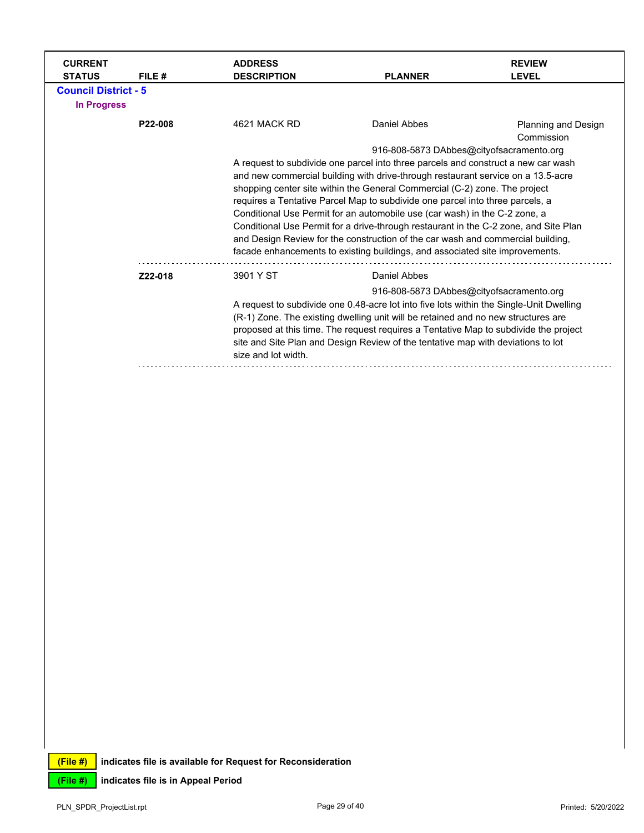| <b>CURRENT</b><br><b>STATUS</b>                   | FILE #  | <b>ADDRESS</b><br><b>DESCRIPTION</b>                                             | <b>PLANNER</b>                                                                          | <b>REVIEW</b><br><b>LEVEL</b>     |  |
|---------------------------------------------------|---------|----------------------------------------------------------------------------------|-----------------------------------------------------------------------------------------|-----------------------------------|--|
| <b>Council District - 5</b><br><b>In Progress</b> |         |                                                                                  |                                                                                         |                                   |  |
|                                                   | P22-008 | 4621 MACK RD                                                                     | Daniel Abbes                                                                            | Planning and Design<br>Commission |  |
|                                                   |         |                                                                                  | 916-808-5873 DAbbes@cityofsacramento.org                                                |                                   |  |
|                                                   |         |                                                                                  | A request to subdivide one parcel into three parcels and construct a new car wash       |                                   |  |
|                                                   |         | and new commercial building with drive-through restaurant service on a 13.5-acre |                                                                                         |                                   |  |
|                                                   |         | shopping center site within the General Commercial (C-2) zone. The project       |                                                                                         |                                   |  |
|                                                   |         | requires a Tentative Parcel Map to subdivide one parcel into three parcels, a    |                                                                                         |                                   |  |
|                                                   |         | Conditional Use Permit for an automobile use (car wash) in the C-2 zone, a       |                                                                                         |                                   |  |
|                                                   |         |                                                                                  | Conditional Use Permit for a drive-through restaurant in the C-2 zone, and Site Plan    |                                   |  |
|                                                   |         |                                                                                  | and Design Review for the construction of the car wash and commercial building,         |                                   |  |
|                                                   |         |                                                                                  | facade enhancements to existing buildings, and associated site improvements.            |                                   |  |
|                                                   | Z22-018 | 3901 Y ST                                                                        | Daniel Abbes                                                                            |                                   |  |
|                                                   |         |                                                                                  | 916-808-5873 DAbbes@cityofsacramento.org                                                |                                   |  |
|                                                   |         |                                                                                  | A request to subdivide one 0.48-acre lot into five lots within the Single-Unit Dwelling |                                   |  |
|                                                   |         |                                                                                  | (R-1) Zone. The existing dwelling unit will be retained and no new structures are       |                                   |  |
|                                                   |         |                                                                                  | proposed at this time. The request requires a Tentative Map to subdivide the project    |                                   |  |
|                                                   |         |                                                                                  | site and Site Plan and Design Review of the tentative map with deviations to lot        |                                   |  |
|                                                   |         | size and lot width.                                                              |                                                                                         |                                   |  |
|                                                   |         |                                                                                  |                                                                                         |                                   |  |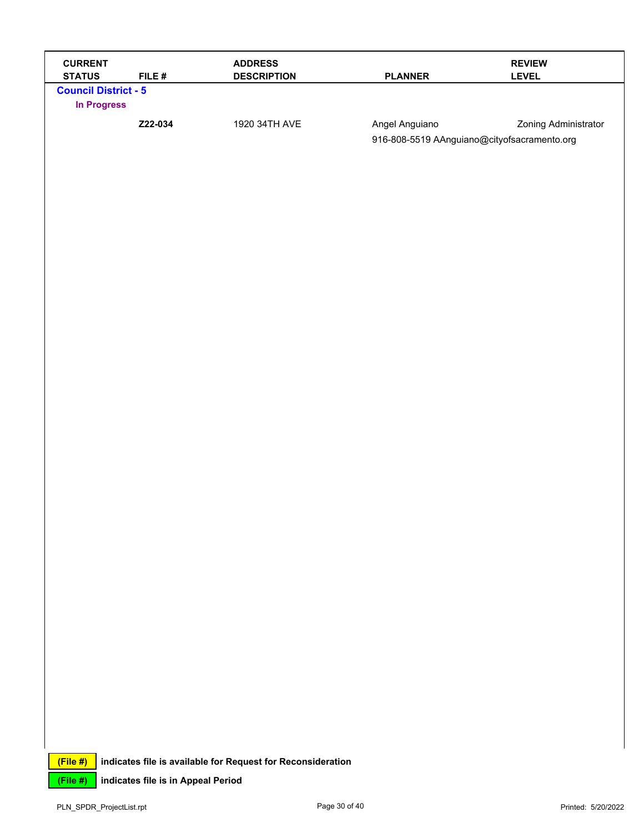| <b>CURRENT</b><br><b>STATUS</b>                   | FILE#                              | <b>ADDRESS</b><br><b>DESCRIPTION</b>                        | <b>PLANNER</b>                                                | <b>REVIEW</b><br><b>LEVEL</b> |
|---------------------------------------------------|------------------------------------|-------------------------------------------------------------|---------------------------------------------------------------|-------------------------------|
| <b>Council District - 5</b><br><b>In Progress</b> |                                    |                                                             |                                                               |                               |
|                                                   | Z22-034                            | 1920 34TH AVE                                               | Angel Anguiano<br>916-808-5519 AAnguiano@cityofsacramento.org | Zoning Administrator          |
|                                                   |                                    |                                                             |                                                               |                               |
|                                                   |                                    |                                                             |                                                               |                               |
|                                                   |                                    |                                                             |                                                               |                               |
|                                                   |                                    |                                                             |                                                               |                               |
|                                                   |                                    |                                                             |                                                               |                               |
|                                                   |                                    |                                                             |                                                               |                               |
|                                                   |                                    |                                                             |                                                               |                               |
|                                                   |                                    |                                                             |                                                               |                               |
|                                                   |                                    |                                                             |                                                               |                               |
|                                                   |                                    |                                                             |                                                               |                               |
|                                                   |                                    |                                                             |                                                               |                               |
|                                                   |                                    |                                                             |                                                               |                               |
|                                                   |                                    |                                                             |                                                               |                               |
|                                                   |                                    |                                                             |                                                               |                               |
|                                                   |                                    |                                                             |                                                               |                               |
|                                                   |                                    |                                                             |                                                               |                               |
|                                                   |                                    |                                                             |                                                               |                               |
|                                                   |                                    |                                                             |                                                               |                               |
|                                                   |                                    |                                                             |                                                               |                               |
| (File#)                                           |                                    | indicates file is available for Request for Reconsideration |                                                               |                               |
| (File #)                                          | indicates file is in Appeal Period |                                                             |                                                               |                               |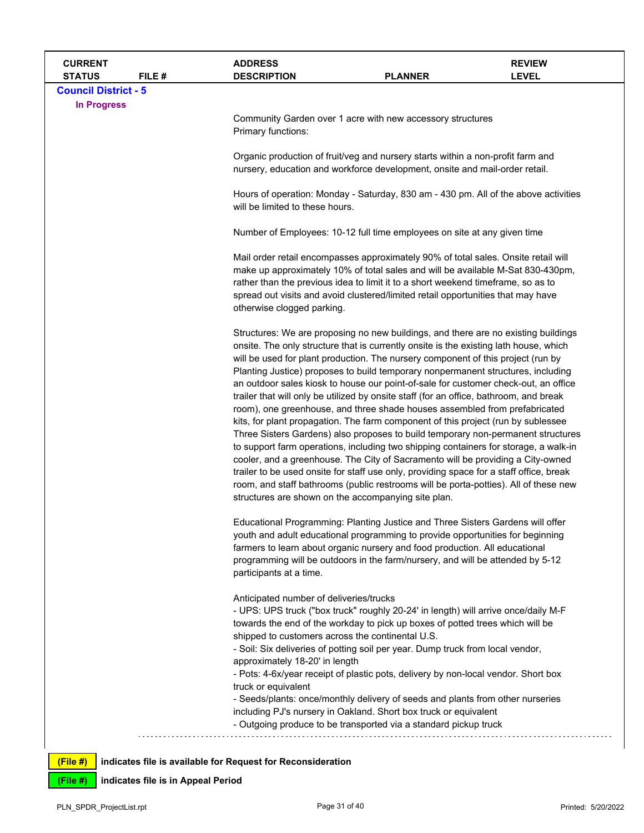| <b>CURRENT</b><br><b>STATUS</b> | FILE# | <b>ADDRESS</b><br><b>DESCRIPTION</b>                                                        | <b>PLANNER</b>                                                                                                                                                                                                                                                                                                                                                                                                                                                                                                                                                                                                                                                                                                                                                                                                                                                                                                                                                                                                                                                                                                                                            | <b>REVIEW</b><br><b>LEVEL</b> |  |  |
|---------------------------------|-------|---------------------------------------------------------------------------------------------|-----------------------------------------------------------------------------------------------------------------------------------------------------------------------------------------------------------------------------------------------------------------------------------------------------------------------------------------------------------------------------------------------------------------------------------------------------------------------------------------------------------------------------------------------------------------------------------------------------------------------------------------------------------------------------------------------------------------------------------------------------------------------------------------------------------------------------------------------------------------------------------------------------------------------------------------------------------------------------------------------------------------------------------------------------------------------------------------------------------------------------------------------------------|-------------------------------|--|--|
| <b>Council District - 5</b>     |       |                                                                                             |                                                                                                                                                                                                                                                                                                                                                                                                                                                                                                                                                                                                                                                                                                                                                                                                                                                                                                                                                                                                                                                                                                                                                           |                               |  |  |
| <b>In Progress</b>              |       | Primary functions:                                                                          | Community Garden over 1 acre with new accessory structures                                                                                                                                                                                                                                                                                                                                                                                                                                                                                                                                                                                                                                                                                                                                                                                                                                                                                                                                                                                                                                                                                                |                               |  |  |
|                                 |       |                                                                                             | Organic production of fruit/veg and nursery starts within a non-profit farm and<br>nursery, education and workforce development, onsite and mail-order retail.                                                                                                                                                                                                                                                                                                                                                                                                                                                                                                                                                                                                                                                                                                                                                                                                                                                                                                                                                                                            |                               |  |  |
|                                 |       | will be limited to these hours.                                                             | Hours of operation: Monday - Saturday, 830 am - 430 pm. All of the above activities                                                                                                                                                                                                                                                                                                                                                                                                                                                                                                                                                                                                                                                                                                                                                                                                                                                                                                                                                                                                                                                                       |                               |  |  |
|                                 |       |                                                                                             | Number of Employees: 10-12 full time employees on site at any given time                                                                                                                                                                                                                                                                                                                                                                                                                                                                                                                                                                                                                                                                                                                                                                                                                                                                                                                                                                                                                                                                                  |                               |  |  |
|                                 |       | otherwise clogged parking.                                                                  | Mail order retail encompasses approximately 90% of total sales. Onsite retail will<br>make up approximately 10% of total sales and will be available M-Sat 830-430pm,<br>rather than the previous idea to limit it to a short weekend timeframe, so as to<br>spread out visits and avoid clustered/limited retail opportunities that may have                                                                                                                                                                                                                                                                                                                                                                                                                                                                                                                                                                                                                                                                                                                                                                                                             |                               |  |  |
|                                 |       | structures are shown on the accompanying site plan.                                         | Structures: We are proposing no new buildings, and there are no existing buildings<br>onsite. The only structure that is currently onsite is the existing lath house, which<br>will be used for plant production. The nursery component of this project (run by<br>Planting Justice) proposes to build temporary nonpermanent structures, including<br>an outdoor sales kiosk to house our point-of-sale for customer check-out, an office<br>trailer that will only be utilized by onsite staff (for an office, bathroom, and break<br>room), one greenhouse, and three shade houses assembled from prefabricated<br>kits, for plant propagation. The farm component of this project (run by sublessee<br>Three Sisters Gardens) also proposes to build temporary non-permanent structures<br>to support farm operations, including two shipping containers for storage, a walk-in<br>cooler, and a greenhouse. The City of Sacramento will be providing a City-owned<br>trailer to be used onsite for staff use only, providing space for a staff office, break<br>room, and staff bathrooms (public restrooms will be porta-potties). All of these new |                               |  |  |
|                                 |       | participants at a time.                                                                     | Educational Programming: Planting Justice and Three Sisters Gardens will offer<br>youth and adult educational programming to provide opportunities for beginning<br>farmers to learn about organic nursery and food production. All educational<br>programming will be outdoors in the farm/nursery, and will be attended by 5-12                                                                                                                                                                                                                                                                                                                                                                                                                                                                                                                                                                                                                                                                                                                                                                                                                         |                               |  |  |
|                                 |       | Anticipated number of deliveries/trucks<br>shipped to customers across the continental U.S. | - UPS: UPS truck ("box truck" roughly 20-24' in length) will arrive once/daily M-F<br>towards the end of the workday to pick up boxes of potted trees which will be                                                                                                                                                                                                                                                                                                                                                                                                                                                                                                                                                                                                                                                                                                                                                                                                                                                                                                                                                                                       |                               |  |  |
|                                 |       | approximately 18-20' in length                                                              | - Soil: Six deliveries of potting soil per year. Dump truck from local vendor,<br>- Pots: 4-6x/year receipt of plastic pots, delivery by non-local vendor. Short box                                                                                                                                                                                                                                                                                                                                                                                                                                                                                                                                                                                                                                                                                                                                                                                                                                                                                                                                                                                      |                               |  |  |
|                                 |       | truck or equivalent                                                                         | - Seeds/plants: once/monthly delivery of seeds and plants from other nurseries<br>including PJ's nursery in Oakland. Short box truck or equivalent<br>- Outgoing produce to be transported via a standard pickup truck                                                                                                                                                                                                                                                                                                                                                                                                                                                                                                                                                                                                                                                                                                                                                                                                                                                                                                                                    |                               |  |  |
| (File#)                         |       | indicates file is available for Request for Reconsideration                                 |                                                                                                                                                                                                                                                                                                                                                                                                                                                                                                                                                                                                                                                                                                                                                                                                                                                                                                                                                                                                                                                                                                                                                           |                               |  |  |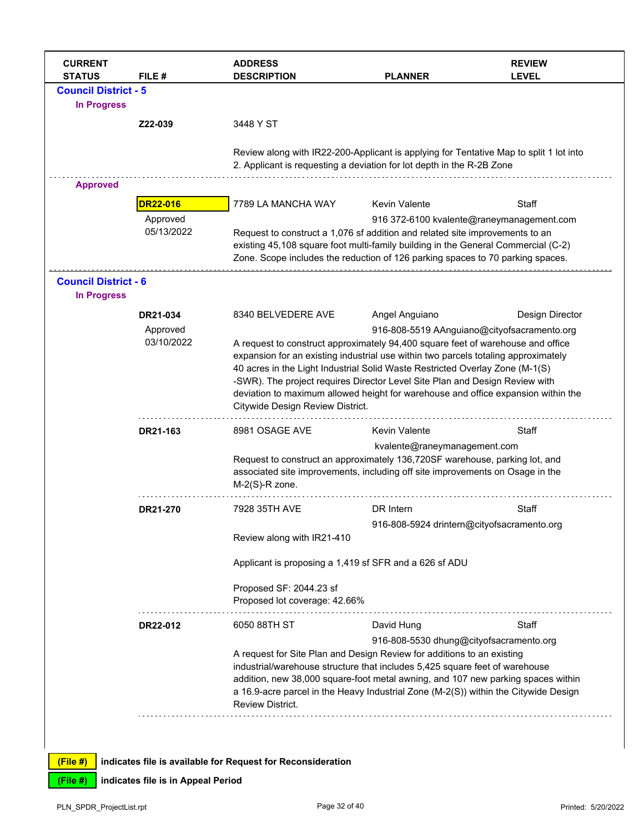| <b>CURRENT</b><br><b>STATUS</b> | FILE#           | <b>ADDRESS</b><br><b>DESCRIPTION</b>                                                                                                                                                                                                                | <b>PLANNER</b>                          | <b>REVIEW</b><br><b>LEVEL</b>               |
|---------------------------------|-----------------|-----------------------------------------------------------------------------------------------------------------------------------------------------------------------------------------------------------------------------------------------------|-----------------------------------------|---------------------------------------------|
| <b>Council District - 5</b>     |                 |                                                                                                                                                                                                                                                     |                                         |                                             |
| <b>In Progress</b>              |                 |                                                                                                                                                                                                                                                     |                                         |                                             |
|                                 | Z22-039         | 3448 Y ST                                                                                                                                                                                                                                           |                                         |                                             |
|                                 |                 | Review along with IR22-200-Applicant is applying for Tentative Map to split 1 lot into<br>2. Applicant is requesting a deviation for lot depth in the R-2B Zone                                                                                     |                                         |                                             |
| <b>Approved</b>                 |                 |                                                                                                                                                                                                                                                     |                                         |                                             |
|                                 | <b>DR22-016</b> | 7789 LA MANCHA WAY                                                                                                                                                                                                                                  | <b>Kevin Valente</b>                    | Staff                                       |
|                                 | Approved        |                                                                                                                                                                                                                                                     |                                         | 916 372-6100 kvalente@raneymanagement.com   |
|                                 | 05/13/2022      | Request to construct a 1,076 sf addition and related site improvements to an<br>existing 45,108 square foot multi-family building in the General Commercial (C-2)<br>Zone. Scope includes the reduction of 126 parking spaces to 70 parking spaces. |                                         |                                             |
| <b>Council District - 6</b>     |                 |                                                                                                                                                                                                                                                     |                                         |                                             |
| <b>In Progress</b>              |                 |                                                                                                                                                                                                                                                     |                                         |                                             |
|                                 | DR21-034        | 8340 BELVEDERE AVE                                                                                                                                                                                                                                  | Angel Anguiano                          | Design Director                             |
|                                 | Approved        |                                                                                                                                                                                                                                                     |                                         | 916-808-5519 AAnguiano@cityofsacramento.org |
|                                 | 03/10/2022      | A request to construct approximately 94,400 square feet of warehouse and office                                                                                                                                                                     |                                         |                                             |
|                                 |                 | expansion for an existing industrial use within two parcels totaling approximately                                                                                                                                                                  |                                         |                                             |
|                                 |                 | 40 acres in the Light Industrial Solid Waste Restricted Overlay Zone (M-1(S)                                                                                                                                                                        |                                         |                                             |
|                                 |                 | -SWR). The project requires Director Level Site Plan and Design Review with                                                                                                                                                                         |                                         |                                             |
|                                 |                 | deviation to maximum allowed height for warehouse and office expansion within the                                                                                                                                                                   |                                         |                                             |
|                                 |                 | Citywide Design Review District.                                                                                                                                                                                                                    |                                         |                                             |
|                                 | DR21-163        | 8981 OSAGE AVE                                                                                                                                                                                                                                      | <b>Kevin Valente</b>                    | Staff                                       |
|                                 |                 |                                                                                                                                                                                                                                                     | kvalente@raneymanagement.com            |                                             |
|                                 |                 | Request to construct an approximately 136,720SF warehouse, parking lot, and<br>associated site improvements, including off site improvements on Osage in the<br>$M-2(S)$ -R zone.                                                                   |                                         |                                             |
|                                 | DR21-270        | 7928 35TH AVE                                                                                                                                                                                                                                       | DR Intern                               | Staff                                       |
|                                 |                 |                                                                                                                                                                                                                                                     |                                         |                                             |
|                                 |                 | Review along with IR21-410                                                                                                                                                                                                                          |                                         | 916-808-5924 drintern@cityofsacramento.org  |
|                                 |                 | Applicant is proposing a 1,419 sf SFR and a 626 sf ADU                                                                                                                                                                                              |                                         |                                             |
|                                 |                 | Proposed SF: 2044.23 sf                                                                                                                                                                                                                             |                                         |                                             |
|                                 |                 | Proposed lot coverage: 42.66%                                                                                                                                                                                                                       |                                         |                                             |
|                                 | DR22-012        | 6050 88TH ST                                                                                                                                                                                                                                        | David Hung                              | Staff                                       |
|                                 |                 |                                                                                                                                                                                                                                                     | 916-808-5530 dhung@cityofsacramento.org |                                             |
|                                 |                 | A request for Site Plan and Design Review for additions to an existing                                                                                                                                                                              |                                         |                                             |
|                                 |                 | industrial/warehouse structure that includes 5,425 square feet of warehouse<br>addition, new 38,000 square-foot metal awning, and 107 new parking spaces within                                                                                     |                                         |                                             |
|                                 |                 | a 16.9-acre parcel in the Heavy Industrial Zone (M-2(S)) within the Citywide Design                                                                                                                                                                 |                                         |                                             |
|                                 |                 | <b>Review District.</b>                                                                                                                                                                                                                             |                                         |                                             |
|                                 |                 |                                                                                                                                                                                                                                                     |                                         |                                             |
|                                 |                 |                                                                                                                                                                                                                                                     |                                         |                                             |
|                                 |                 |                                                                                                                                                                                                                                                     |                                         |                                             |
| (File#)                         |                 | indicates file is available for Request for Reconsideration                                                                                                                                                                                         |                                         |                                             |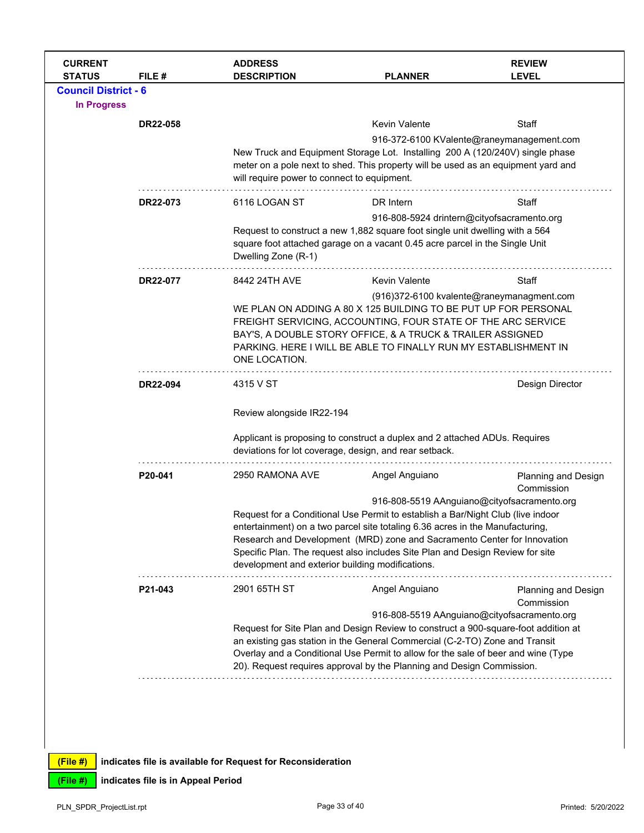| <b>CURRENT</b><br><b>ADDRESS</b><br><b>REVIEW</b><br><b>STATUS</b><br>FILE #<br><b>DESCRIPTION</b><br><b>PLANNER</b><br><b>LEVEL</b>                             |  |  |  |  |  |
|------------------------------------------------------------------------------------------------------------------------------------------------------------------|--|--|--|--|--|
| <b>Council District - 6</b>                                                                                                                                      |  |  |  |  |  |
| <b>In Progress</b>                                                                                                                                               |  |  |  |  |  |
| <b>Kevin Valente</b><br><b>Staff</b><br><b>DR22-058</b>                                                                                                          |  |  |  |  |  |
| 916-372-6100 KValente@raneymanagement.com                                                                                                                        |  |  |  |  |  |
| New Truck and Equipment Storage Lot. Installing 200 A (120/240V) single phase                                                                                    |  |  |  |  |  |
| meter on a pole next to shed. This property will be used as an equipment yard and                                                                                |  |  |  |  |  |
| will require power to connect to equipment.                                                                                                                      |  |  |  |  |  |
| 6116 LOGAN ST<br>DR Intern<br>DR22-073<br>Staff                                                                                                                  |  |  |  |  |  |
| 916-808-5924 drintern@cityofsacramento.org                                                                                                                       |  |  |  |  |  |
| Request to construct a new 1,882 square foot single unit dwelling with a 564                                                                                     |  |  |  |  |  |
| square foot attached garage on a vacant 0.45 acre parcel in the Single Unit                                                                                      |  |  |  |  |  |
| Dwelling Zone (R-1)                                                                                                                                              |  |  |  |  |  |
| 8442 24TH AVE<br><b>Kevin Valente</b><br>Staff<br>DR22-077                                                                                                       |  |  |  |  |  |
| (916)372-6100 kvalente@raneymanagment.com                                                                                                                        |  |  |  |  |  |
| WE PLAN ON ADDING A 80 X 125 BUILDING TO BE PUT UP FOR PERSONAL                                                                                                  |  |  |  |  |  |
| FREIGHT SERVICING, ACCOUNTING, FOUR STATE OF THE ARC SERVICE                                                                                                     |  |  |  |  |  |
| BAY'S, A DOUBLE STORY OFFICE, & A TRUCK & TRAILER ASSIGNED<br>PARKING. HERE I WILL BE ABLE TO FINALLY RUN MY ESTABLISHMENT IN                                    |  |  |  |  |  |
| ONE LOCATION.                                                                                                                                                    |  |  |  |  |  |
|                                                                                                                                                                  |  |  |  |  |  |
| DR22-094<br>4315 V ST<br>Design Director                                                                                                                         |  |  |  |  |  |
| Review alongside IR22-194                                                                                                                                        |  |  |  |  |  |
|                                                                                                                                                                  |  |  |  |  |  |
| Applicant is proposing to construct a duplex and 2 attached ADUs. Requires<br>deviations for lot coverage, design, and rear setback.                             |  |  |  |  |  |
|                                                                                                                                                                  |  |  |  |  |  |
| 2950 RAMONA AVE<br>Angel Anguiano<br>P20-041<br>Planning and Design                                                                                              |  |  |  |  |  |
| Commission                                                                                                                                                       |  |  |  |  |  |
| 916-808-5519 AAnguiano@cityofsacramento.org                                                                                                                      |  |  |  |  |  |
| Request for a Conditional Use Permit to establish a Bar/Night Club (live indoor<br>entertainment) on a two parcel site totaling 6.36 acres in the Manufacturing, |  |  |  |  |  |
| Research and Development (MRD) zone and Sacramento Center for Innovation                                                                                         |  |  |  |  |  |
| Specific Plan. The request also includes Site Plan and Design Review for site                                                                                    |  |  |  |  |  |
| development and exterior building modifications.<br>.                                                                                                            |  |  |  |  |  |
| 2901 65TH ST<br>Angel Anguiano<br>P21-043<br>Planning and Design                                                                                                 |  |  |  |  |  |
| Commission                                                                                                                                                       |  |  |  |  |  |
| 916-808-5519 AAnguiano@cityofsacramento.org                                                                                                                      |  |  |  |  |  |
| Request for Site Plan and Design Review to construct a 900-square-foot addition at                                                                               |  |  |  |  |  |
| an existing gas station in the General Commercial (C-2-TO) Zone and Transit<br>Overlay and a Conditional Use Permit to allow for the sale of beer and wine (Type |  |  |  |  |  |
| 20). Request requires approval by the Planning and Design Commission.                                                                                            |  |  |  |  |  |
|                                                                                                                                                                  |  |  |  |  |  |
|                                                                                                                                                                  |  |  |  |  |  |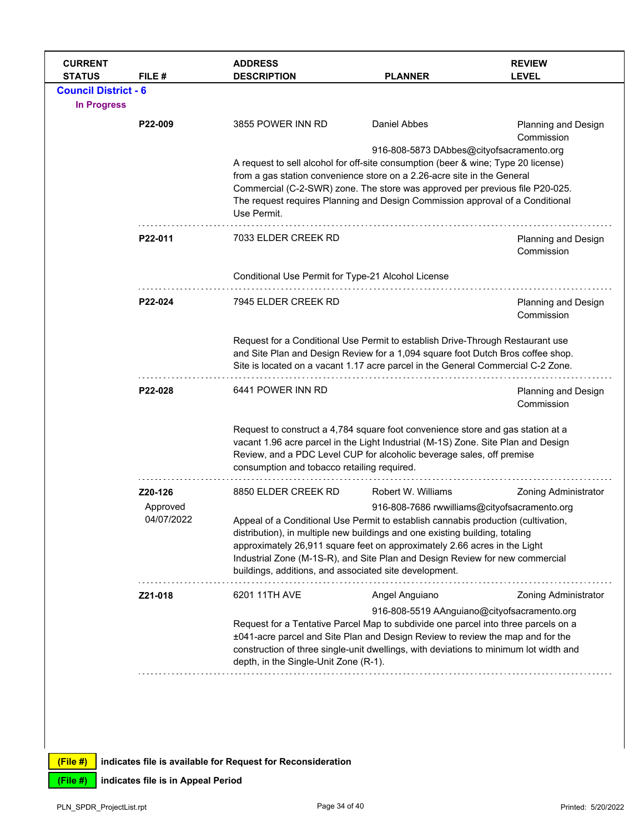| <b>CURRENT</b><br><b>STATUS</b>                   | FILE#                  | <b>ADDRESS</b><br><b>DESCRIPTION</b>                                                                                                                                                                                                                                                                                                                                                     | <b>PLANNER</b>                                                                                                                                                                                                                                                                                 | <b>REVIEW</b><br><b>LEVEL</b>            |  |  |
|---------------------------------------------------|------------------------|------------------------------------------------------------------------------------------------------------------------------------------------------------------------------------------------------------------------------------------------------------------------------------------------------------------------------------------------------------------------------------------|------------------------------------------------------------------------------------------------------------------------------------------------------------------------------------------------------------------------------------------------------------------------------------------------|------------------------------------------|--|--|
| <b>Council District - 6</b><br><b>In Progress</b> |                        |                                                                                                                                                                                                                                                                                                                                                                                          |                                                                                                                                                                                                                                                                                                |                                          |  |  |
|                                                   | P22-009                | 3855 POWER INN RD                                                                                                                                                                                                                                                                                                                                                                        | <b>Daniel Abbes</b>                                                                                                                                                                                                                                                                            | Planning and Design<br>Commission        |  |  |
|                                                   |                        | 916-808-5873 DAbbes@cityofsacramento.org<br>A request to sell alcohol for off-site consumption (beer & wine; Type 20 license)<br>from a gas station convenience store on a 2.26-acre site in the General<br>Commercial (C-2-SWR) zone. The store was approved per previous file P20-025.<br>The request requires Planning and Design Commission approval of a Conditional<br>Use Permit. |                                                                                                                                                                                                                                                                                                |                                          |  |  |
|                                                   | P22-011                | 7033 ELDER CREEK RD                                                                                                                                                                                                                                                                                                                                                                      |                                                                                                                                                                                                                                                                                                | Planning and Design<br>Commission        |  |  |
|                                                   |                        | Conditional Use Permit for Type-21 Alcohol License                                                                                                                                                                                                                                                                                                                                       |                                                                                                                                                                                                                                                                                                |                                          |  |  |
|                                                   | P22-024                | 7945 ELDER CREEK RD                                                                                                                                                                                                                                                                                                                                                                      | Planning and Design<br>Commission                                                                                                                                                                                                                                                              |                                          |  |  |
|                                                   |                        | Request for a Conditional Use Permit to establish Drive-Through Restaurant use<br>and Site Plan and Design Review for a 1,094 square foot Dutch Bros coffee shop.<br>Site is located on a vacant 1.17 acre parcel in the General Commercial C-2 Zone.                                                                                                                                    |                                                                                                                                                                                                                                                                                                |                                          |  |  |
|                                                   | P22-028                | 6441 POWER INN RD                                                                                                                                                                                                                                                                                                                                                                        |                                                                                                                                                                                                                                                                                                | <b>Planning and Design</b><br>Commission |  |  |
|                                                   |                        | consumption and tobacco retailing required.                                                                                                                                                                                                                                                                                                                                              | Request to construct a 4,784 square foot convenience store and gas station at a<br>vacant 1.96 acre parcel in the Light Industrial (M-1S) Zone. Site Plan and Design<br>Review, and a PDC Level CUP for alcoholic beverage sales, off premise                                                  |                                          |  |  |
|                                                   | Z20-126                | 8850 ELDER CREEK RD                                                                                                                                                                                                                                                                                                                                                                      | Robert W. Williams                                                                                                                                                                                                                                                                             | <b>Zoning Administrator</b>              |  |  |
|                                                   | Approved<br>04/07/2022 |                                                                                                                                                                                                                                                                                                                                                                                          | 916-808-7686 rwwilliams@cityofsacramento.org<br>Appeal of a Conditional Use Permit to establish cannabis production (cultivation,<br>distribution), in multiple new buildings and one existing building, totaling<br>approximately 26,911 square feet on approximately 2.66 acres in the Light |                                          |  |  |
|                                                   |                        | buildings, additions, and associated site development.                                                                                                                                                                                                                                                                                                                                   | Industrial Zone (M-1S-R), and Site Plan and Design Review for new commercial                                                                                                                                                                                                                   |                                          |  |  |
|                                                   | Z21-018                | 6201 11TH AVE                                                                                                                                                                                                                                                                                                                                                                            | Angel Anguiano                                                                                                                                                                                                                                                                                 | <b>Zoning Administrator</b>              |  |  |
|                                                   |                        | 916-808-5519 AAnguiano@cityofsacramento.org<br>Request for a Tentative Parcel Map to subdivide one parcel into three parcels on a<br>±041-acre parcel and Site Plan and Design Review to review the map and for the<br>construction of three single-unit dwellings, with deviations to minimum lot width and<br>depth, in the Single-Unit Zone (R-1).                                    |                                                                                                                                                                                                                                                                                                |                                          |  |  |
|                                                   |                        |                                                                                                                                                                                                                                                                                                                                                                                          |                                                                                                                                                                                                                                                                                                |                                          |  |  |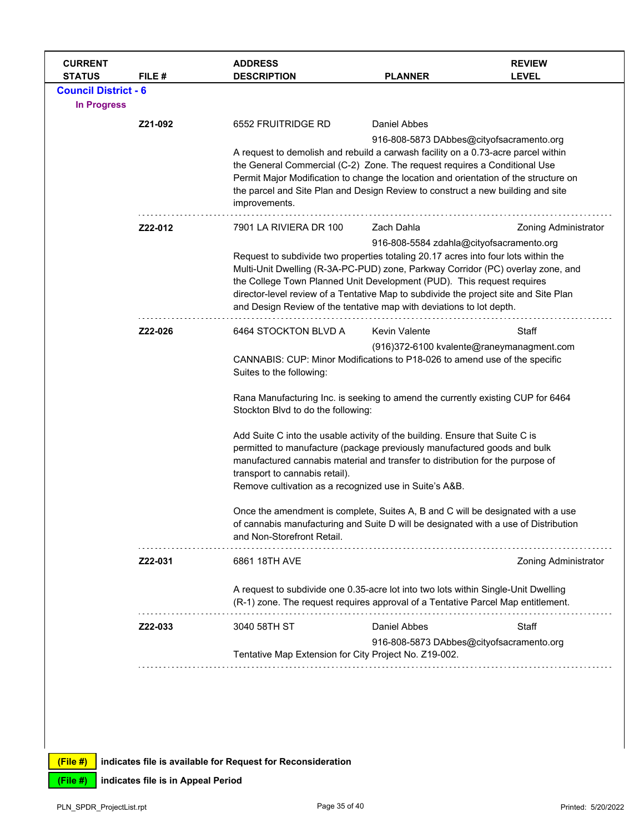| <b>CURRENT</b><br><b>STATUS</b> | FILE#   | <b>ADDRESS</b><br><b>DESCRIPTION</b>                                                                                                                                   | <b>PLANNER</b>                           | <b>REVIEW</b><br><b>LEVEL</b>             |  |  |
|---------------------------------|---------|------------------------------------------------------------------------------------------------------------------------------------------------------------------------|------------------------------------------|-------------------------------------------|--|--|
| <b>Council District - 6</b>     |         |                                                                                                                                                                        |                                          |                                           |  |  |
| <b>In Progress</b>              |         |                                                                                                                                                                        |                                          |                                           |  |  |
|                                 | Z21-092 | 6552 FRUITRIDGE RD                                                                                                                                                     | Daniel Abbes                             |                                           |  |  |
|                                 |         | 916-808-5873 DAbbes@cityofsacramento.org                                                                                                                               |                                          |                                           |  |  |
|                                 |         | A request to demolish and rebuild a carwash facility on a 0.73-acre parcel within                                                                                      |                                          |                                           |  |  |
|                                 |         | the General Commercial (C-2) Zone. The request requires a Conditional Use<br>Permit Major Modification to change the location and orientation of the structure on      |                                          |                                           |  |  |
|                                 |         | the parcel and Site Plan and Design Review to construct a new building and site                                                                                        |                                          |                                           |  |  |
|                                 |         | improvements.                                                                                                                                                          |                                          |                                           |  |  |
|                                 | Z22-012 | 7901 LA RIVIERA DR 100                                                                                                                                                 | Zach Dahla                               | <b>Zoning Administrator</b>               |  |  |
|                                 |         |                                                                                                                                                                        | 916-808-5584 zdahla@cityofsacramento.org |                                           |  |  |
|                                 |         | Request to subdivide two properties totaling 20.17 acres into four lots within the<br>Multi-Unit Dwelling (R-3A-PC-PUD) zone, Parkway Corridor (PC) overlay zone, and  |                                          |                                           |  |  |
|                                 |         | the College Town Planned Unit Development (PUD). This request requires                                                                                                 |                                          |                                           |  |  |
|                                 |         | director-level review of a Tentative Map to subdivide the project site and Site Plan                                                                                   |                                          |                                           |  |  |
|                                 |         | and Design Review of the tentative map with deviations to lot depth.                                                                                                   |                                          |                                           |  |  |
|                                 | Z22-026 | 6464 STOCKTON BLVD A                                                                                                                                                   | <b>Kevin Valente</b>                     | Staff                                     |  |  |
|                                 |         |                                                                                                                                                                        |                                          | (916)372-6100 kvalente@raneymanagment.com |  |  |
|                                 |         | CANNABIS: CUP: Minor Modifications to P18-026 to amend use of the specific<br>Suites to the following:                                                                 |                                          |                                           |  |  |
|                                 |         | Rana Manufacturing Inc. is seeking to amend the currently existing CUP for 6464<br>Stockton Blvd to do the following:                                                  |                                          |                                           |  |  |
|                                 |         | Add Suite C into the usable activity of the building. Ensure that Suite C is                                                                                           |                                          |                                           |  |  |
|                                 |         | permitted to manufacture (package previously manufactured goods and bulk                                                                                               |                                          |                                           |  |  |
|                                 |         | manufactured cannabis material and transfer to distribution for the purpose of                                                                                         |                                          |                                           |  |  |
|                                 |         | transport to cannabis retail).<br>Remove cultivation as a recognized use in Suite's A&B.                                                                               |                                          |                                           |  |  |
|                                 |         |                                                                                                                                                                        |                                          |                                           |  |  |
|                                 |         | Once the amendment is complete, Suites A, B and C will be designated with a use                                                                                        |                                          |                                           |  |  |
|                                 |         | of cannabis manufacturing and Suite D will be designated with a use of Distribution                                                                                    |                                          |                                           |  |  |
|                                 |         | and Non-Storefront Retail.                                                                                                                                             |                                          |                                           |  |  |
|                                 | Z22-031 | 6861 18TH AVE                                                                                                                                                          |                                          | <b>Zoning Administrator</b>               |  |  |
|                                 |         | A request to subdivide one 0.35-acre lot into two lots within Single-Unit Dwelling<br>(R-1) zone. The request requires approval of a Tentative Parcel Map entitlement. |                                          |                                           |  |  |
|                                 | Z22-033 | 3040 58TH ST                                                                                                                                                           | <b>Daniel Abbes</b>                      | Staff                                     |  |  |
|                                 |         | 916-808-5873 DAbbes@cityofsacramento.org<br>Tentative Map Extension for City Project No. Z19-002.                                                                      |                                          |                                           |  |  |
|                                 |         |                                                                                                                                                                        |                                          |                                           |  |  |
|                                 |         |                                                                                                                                                                        |                                          |                                           |  |  |
|                                 |         |                                                                                                                                                                        |                                          |                                           |  |  |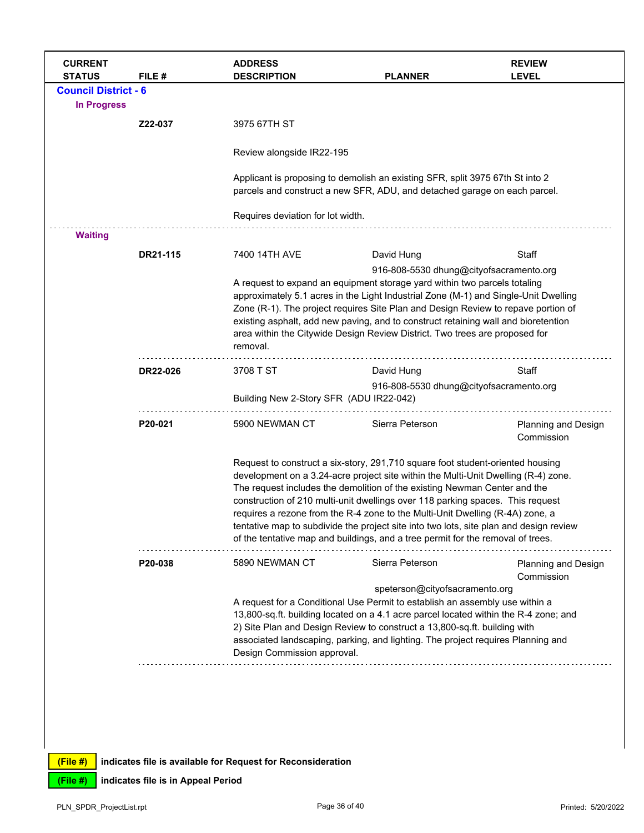| <b>CURRENT</b><br><b>STATUS</b> | FILE#    | <b>ADDRESS</b><br><b>DESCRIPTION</b>                                                                                                                                                                                                                                                                                                                                                                   | <b>PLANNER</b>                                                                                                                                                                                                                                                                                                                                                                                                                                                                                                                                                                                    | <b>REVIEW</b><br><b>LEVEL</b>            |
|---------------------------------|----------|--------------------------------------------------------------------------------------------------------------------------------------------------------------------------------------------------------------------------------------------------------------------------------------------------------------------------------------------------------------------------------------------------------|---------------------------------------------------------------------------------------------------------------------------------------------------------------------------------------------------------------------------------------------------------------------------------------------------------------------------------------------------------------------------------------------------------------------------------------------------------------------------------------------------------------------------------------------------------------------------------------------------|------------------------------------------|
| <b>Council District - 6</b>     |          |                                                                                                                                                                                                                                                                                                                                                                                                        |                                                                                                                                                                                                                                                                                                                                                                                                                                                                                                                                                                                                   |                                          |
| <b>In Progress</b>              |          |                                                                                                                                                                                                                                                                                                                                                                                                        |                                                                                                                                                                                                                                                                                                                                                                                                                                                                                                                                                                                                   |                                          |
|                                 | Z22-037  | 3975 67TH ST                                                                                                                                                                                                                                                                                                                                                                                           |                                                                                                                                                                                                                                                                                                                                                                                                                                                                                                                                                                                                   |                                          |
|                                 |          | Review alongside IR22-195                                                                                                                                                                                                                                                                                                                                                                              |                                                                                                                                                                                                                                                                                                                                                                                                                                                                                                                                                                                                   |                                          |
|                                 |          |                                                                                                                                                                                                                                                                                                                                                                                                        | Applicant is proposing to demolish an existing SFR, split 3975 67th St into 2<br>parcels and construct a new SFR, ADU, and detached garage on each parcel.                                                                                                                                                                                                                                                                                                                                                                                                                                        |                                          |
|                                 |          | Requires deviation for lot width.                                                                                                                                                                                                                                                                                                                                                                      |                                                                                                                                                                                                                                                                                                                                                                                                                                                                                                                                                                                                   |                                          |
| <b>Waiting</b>                  |          |                                                                                                                                                                                                                                                                                                                                                                                                        |                                                                                                                                                                                                                                                                                                                                                                                                                                                                                                                                                                                                   |                                          |
|                                 | DR21-115 | 7400 14TH AVE                                                                                                                                                                                                                                                                                                                                                                                          | David Hung                                                                                                                                                                                                                                                                                                                                                                                                                                                                                                                                                                                        | Staff                                    |
|                                 |          | removal.                                                                                                                                                                                                                                                                                                                                                                                               | 916-808-5530 dhung@cityofsacramento.org<br>A request to expand an equipment storage yard within two parcels totaling<br>approximately 5.1 acres in the Light Industrial Zone (M-1) and Single-Unit Dwelling<br>Zone (R-1). The project requires Site Plan and Design Review to repave portion of<br>existing asphalt, add new paving, and to construct retaining wall and bioretention<br>area within the Citywide Design Review District. Two trees are proposed for                                                                                                                             |                                          |
|                                 | DR22-026 | 3708 T ST                                                                                                                                                                                                                                                                                                                                                                                              | David Hung                                                                                                                                                                                                                                                                                                                                                                                                                                                                                                                                                                                        | Staff                                    |
|                                 |          | Building New 2-Story SFR (ADU IR22-042)                                                                                                                                                                                                                                                                                                                                                                | 916-808-5530 dhung@cityofsacramento.org                                                                                                                                                                                                                                                                                                                                                                                                                                                                                                                                                           |                                          |
|                                 | P20-021  | 5900 NEWMAN CT                                                                                                                                                                                                                                                                                                                                                                                         | Sierra Peterson                                                                                                                                                                                                                                                                                                                                                                                                                                                                                                                                                                                   | <b>Planning and Design</b><br>Commission |
|                                 |          |                                                                                                                                                                                                                                                                                                                                                                                                        | Request to construct a six-story, 291,710 square foot student-oriented housing<br>development on a 3.24-acre project site within the Multi-Unit Dwelling (R-4) zone.<br>The request includes the demolition of the existing Newman Center and the<br>construction of 210 multi-unit dwellings over 118 parking spaces. This request<br>requires a rezone from the R-4 zone to the Multi-Unit Dwelling (R-4A) zone, a<br>tentative map to subdivide the project site into two lots, site plan and design review<br>of the tentative map and buildings, and a tree permit for the removal of trees. |                                          |
|                                 | P20-038  | 5890 NEWMAN CT                                                                                                                                                                                                                                                                                                                                                                                         | Sierra Peterson                                                                                                                                                                                                                                                                                                                                                                                                                                                                                                                                                                                   | Planning and Design<br>Commission        |
|                                 |          | speterson@cityofsacramento.org<br>A request for a Conditional Use Permit to establish an assembly use within a<br>13,800-sq.ft. building located on a 4.1 acre parcel located within the R-4 zone; and<br>2) Site Plan and Design Review to construct a 13,800-sq.ft. building with<br>associated landscaping, parking, and lighting. The project requires Planning and<br>Design Commission approval. |                                                                                                                                                                                                                                                                                                                                                                                                                                                                                                                                                                                                   |                                          |
|                                 |          |                                                                                                                                                                                                                                                                                                                                                                                                        |                                                                                                                                                                                                                                                                                                                                                                                                                                                                                                                                                                                                   |                                          |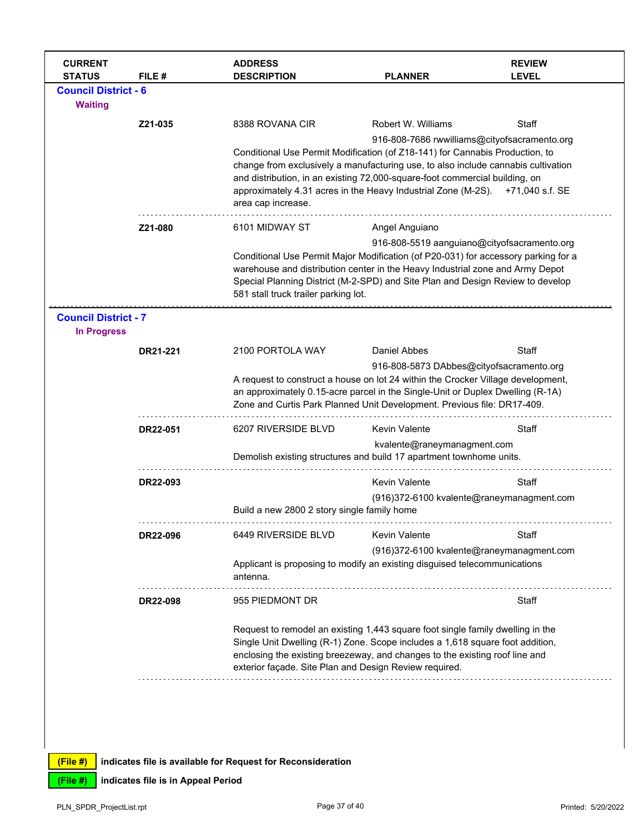| <b>CURRENT</b><br><b>STATUS</b>                   | FILE #          | <b>ADDRESS</b><br><b>DESCRIPTION</b>                                                                                                                                                                                                                                                                                                                                                                       | <b>PLANNER</b>                                                                                                         | <b>REVIEW</b><br><b>LEVEL</b> |  |
|---------------------------------------------------|-----------------|------------------------------------------------------------------------------------------------------------------------------------------------------------------------------------------------------------------------------------------------------------------------------------------------------------------------------------------------------------------------------------------------------------|------------------------------------------------------------------------------------------------------------------------|-------------------------------|--|
| <b>Council District - 6</b><br><b>Waiting</b>     |                 |                                                                                                                                                                                                                                                                                                                                                                                                            |                                                                                                                        |                               |  |
|                                                   | Z21-035         | 8388 ROVANA CIR                                                                                                                                                                                                                                                                                                                                                                                            | Robert W. Williams                                                                                                     | Staff                         |  |
|                                                   |                 | 916-808-7686 rwwilliams@cityofsacramento.org<br>Conditional Use Permit Modification (of Z18-141) for Cannabis Production, to<br>change from exclusively a manufacturing use, to also include cannabis cultivation<br>and distribution, in an existing 72,000-square-foot commercial building, on<br>approximately 4.31 acres in the Heavy Industrial Zone (M-2S).<br>+71,040 s.f. SE<br>area cap increase. |                                                                                                                        |                               |  |
|                                                   | Z21-080         | 6101 MIDWAY ST                                                                                                                                                                                                                                                                                                                                                                                             | Angel Anguiano                                                                                                         |                               |  |
|                                                   |                 | 916-808-5519 aanguiano@cityofsacramento.org<br>Conditional Use Permit Major Modification (of P20-031) for accessory parking for a<br>warehouse and distribution center in the Heavy Industrial zone and Army Depot<br>Special Planning District (M-2-SPD) and Site Plan and Design Review to develop<br>581 stall truck trailer parking lot.                                                               |                                                                                                                        |                               |  |
| <b>Council District - 7</b><br><b>In Progress</b> |                 |                                                                                                                                                                                                                                                                                                                                                                                                            |                                                                                                                        |                               |  |
|                                                   | DR21-221        | 2100 PORTOLA WAY                                                                                                                                                                                                                                                                                                                                                                                           | <b>Daniel Abbes</b>                                                                                                    | <b>Staff</b>                  |  |
|                                                   |                 | 916-808-5873 DAbbes@cityofsacramento.org<br>A request to construct a house on lot 24 within the Crocker Village development,<br>an approximately 0.15-acre parcel in the Single-Unit or Duplex Dwelling (R-1A)<br>Zone and Curtis Park Planned Unit Development. Previous file: DR17-409.                                                                                                                  |                                                                                                                        |                               |  |
|                                                   | DR22-051        | 6207 RIVERSIDE BLVD                                                                                                                                                                                                                                                                                                                                                                                        | <b>Kevin Valente</b>                                                                                                   | Staff                         |  |
|                                                   |                 | Demolish existing structures and build 17 apartment townhome units.                                                                                                                                                                                                                                                                                                                                        | kvalente@raneymanagment.com                                                                                            |                               |  |
|                                                   | DR22-093        |                                                                                                                                                                                                                                                                                                                                                                                                            | <b>Kevin Valente</b>                                                                                                   | Staff                         |  |
|                                                   |                 | Build a new 2800 2 story single family home                                                                                                                                                                                                                                                                                                                                                                | (916)372-6100 kvalente@raneymanagment.com                                                                              |                               |  |
|                                                   | DR22-096        | 6449 RIVERSIDE BLVD                                                                                                                                                                                                                                                                                                                                                                                        | <b>Kevin Valente</b>                                                                                                   | Staff                         |  |
|                                                   |                 | antenna.                                                                                                                                                                                                                                                                                                                                                                                                   | (916)372-6100 kvalente@raneymanagment.com<br>Applicant is proposing to modify an existing disguised telecommunications |                               |  |
|                                                   | <b>DR22-098</b> | 955 PIEDMONT DR                                                                                                                                                                                                                                                                                                                                                                                            |                                                                                                                        | Staff                         |  |
|                                                   |                 | Request to remodel an existing 1,443 square foot single family dwelling in the<br>Single Unit Dwelling (R-1) Zone. Scope includes a 1,618 square foot addition,<br>enclosing the existing breezeway, and changes to the existing roof line and<br>exterior façade. Site Plan and Design Review required.                                                                                                   |                                                                                                                        |                               |  |
|                                                   |                 |                                                                                                                                                                                                                                                                                                                                                                                                            |                                                                                                                        |                               |  |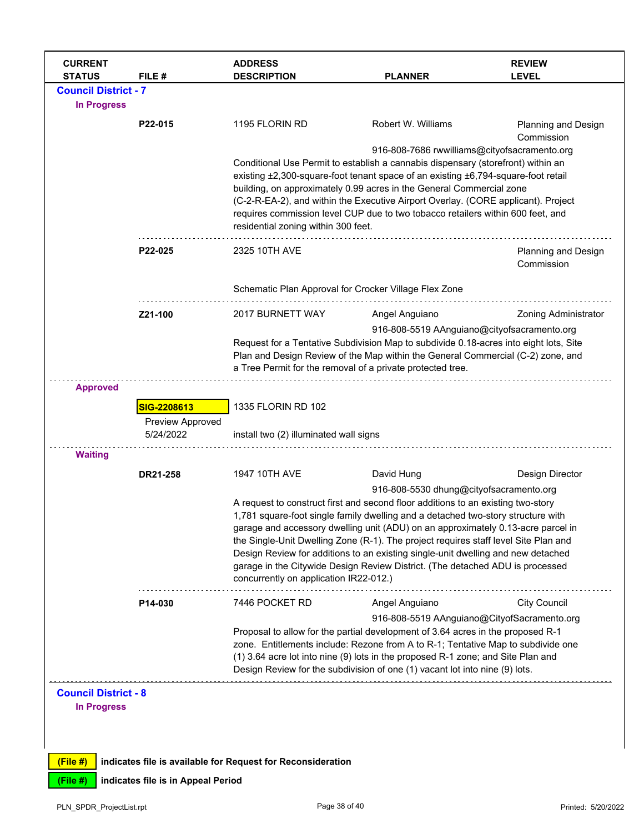| <b>CURRENT</b><br><b>STATUS</b> | FILE #                             | <b>ADDRESS</b><br><b>DESCRIPTION</b>                                                                                                                                                                                                                                                                                                                                                                                                                                                                                                                                                                      | <b>PLANNER</b>                                                                                                                                                                                                                                                                        | <b>REVIEW</b><br><b>LEVEL</b>     |  |
|---------------------------------|------------------------------------|-----------------------------------------------------------------------------------------------------------------------------------------------------------------------------------------------------------------------------------------------------------------------------------------------------------------------------------------------------------------------------------------------------------------------------------------------------------------------------------------------------------------------------------------------------------------------------------------------------------|---------------------------------------------------------------------------------------------------------------------------------------------------------------------------------------------------------------------------------------------------------------------------------------|-----------------------------------|--|
| <b>Council District - 7</b>     |                                    |                                                                                                                                                                                                                                                                                                                                                                                                                                                                                                                                                                                                           |                                                                                                                                                                                                                                                                                       |                                   |  |
| <b>In Progress</b>              |                                    |                                                                                                                                                                                                                                                                                                                                                                                                                                                                                                                                                                                                           |                                                                                                                                                                                                                                                                                       |                                   |  |
|                                 | P22-015                            | 1195 FLORIN RD                                                                                                                                                                                                                                                                                                                                                                                                                                                                                                                                                                                            | Robert W. Williams                                                                                                                                                                                                                                                                    | Planning and Design<br>Commission |  |
|                                 |                                    | 916-808-7686 rwwilliams@cityofsacramento.org<br>Conditional Use Permit to establish a cannabis dispensary (storefront) within an<br>existing ±2,300-square-foot tenant space of an existing ±6,794-square-foot retail<br>building, on approximately 0.99 acres in the General Commercial zone<br>(C-2-R-EA-2), and within the Executive Airport Overlay. (CORE applicant). Project<br>requires commission level CUP due to two tobacco retailers within 600 feet, and<br>residential zoning within 300 feet.                                                                                              |                                                                                                                                                                                                                                                                                       |                                   |  |
|                                 | P22-025                            | 2325 10TH AVE                                                                                                                                                                                                                                                                                                                                                                                                                                                                                                                                                                                             |                                                                                                                                                                                                                                                                                       | Planning and Design<br>Commission |  |
|                                 |                                    | Schematic Plan Approval for Crocker Village Flex Zone                                                                                                                                                                                                                                                                                                                                                                                                                                                                                                                                                     |                                                                                                                                                                                                                                                                                       |                                   |  |
|                                 | Z21-100                            | 2017 BURNETT WAY                                                                                                                                                                                                                                                                                                                                                                                                                                                                                                                                                                                          | Angel Anguiano                                                                                                                                                                                                                                                                        | <b>Zoning Administrator</b>       |  |
|                                 |                                    |                                                                                                                                                                                                                                                                                                                                                                                                                                                                                                                                                                                                           | 916-808-5519 AAnguiano@cityofsacramento.org<br>Request for a Tentative Subdivision Map to subdivide 0.18-acres into eight lots, Site<br>Plan and Design Review of the Map within the General Commercial (C-2) zone, and<br>a Tree Permit for the removal of a private protected tree. |                                   |  |
| <b>Approved</b>                 |                                    |                                                                                                                                                                                                                                                                                                                                                                                                                                                                                                                                                                                                           |                                                                                                                                                                                                                                                                                       |                                   |  |
|                                 | SIG-2208613                        | 1335 FLORIN RD 102<br>install two (2) illuminated wall signs                                                                                                                                                                                                                                                                                                                                                                                                                                                                                                                                              |                                                                                                                                                                                                                                                                                       |                                   |  |
|                                 | Preview Approved<br>5/24/2022      |                                                                                                                                                                                                                                                                                                                                                                                                                                                                                                                                                                                                           |                                                                                                                                                                                                                                                                                       |                                   |  |
| <b>Waiting</b>                  |                                    |                                                                                                                                                                                                                                                                                                                                                                                                                                                                                                                                                                                                           |                                                                                                                                                                                                                                                                                       |                                   |  |
|                                 | DR21-258                           | 1947 10TH AVE                                                                                                                                                                                                                                                                                                                                                                                                                                                                                                                                                                                             | David Hung                                                                                                                                                                                                                                                                            | Design Director                   |  |
|                                 |                                    | 916-808-5530 dhung@cityofsacramento.org<br>A request to construct first and second floor additions to an existing two-story<br>1,781 square-foot single family dwelling and a detached two-story structure with<br>garage and accessory dwelling unit (ADU) on an approximately 0.13-acre parcel in<br>the Single-Unit Dwelling Zone (R-1). The project requires staff level Site Plan and<br>Design Review for additions to an existing single-unit dwelling and new detached<br>garage in the Citywide Design Review District. (The detached ADU is processed<br>concurrently on application IR22-012.) |                                                                                                                                                                                                                                                                                       |                                   |  |
|                                 | P14-030                            | 7446 POCKET RD                                                                                                                                                                                                                                                                                                                                                                                                                                                                                                                                                                                            | Angel Anguiano                                                                                                                                                                                                                                                                        | <b>City Council</b>               |  |
|                                 |                                    | 916-808-5519 AAnguiano@CityofSacramento.org<br>Proposal to allow for the partial development of 3.64 acres in the proposed R-1<br>zone. Entitlements include: Rezone from A to R-1; Tentative Map to subdivide one<br>(1) 3.64 acre lot into nine (9) lots in the proposed R-1 zone; and Site Plan and<br>Design Review for the subdivision of one (1) vacant lot into nine (9) lots.                                                                                                                                                                                                                     |                                                                                                                                                                                                                                                                                       |                                   |  |
| <b>Council District - 8</b>     |                                    |                                                                                                                                                                                                                                                                                                                                                                                                                                                                                                                                                                                                           |                                                                                                                                                                                                                                                                                       |                                   |  |
| <b>In Progress</b>              |                                    |                                                                                                                                                                                                                                                                                                                                                                                                                                                                                                                                                                                                           |                                                                                                                                                                                                                                                                                       |                                   |  |
|                                 |                                    |                                                                                                                                                                                                                                                                                                                                                                                                                                                                                                                                                                                                           |                                                                                                                                                                                                                                                                                       |                                   |  |
|                                 |                                    |                                                                                                                                                                                                                                                                                                                                                                                                                                                                                                                                                                                                           |                                                                                                                                                                                                                                                                                       |                                   |  |
| (File#)                         |                                    | indicates file is available for Request for Reconsideration                                                                                                                                                                                                                                                                                                                                                                                                                                                                                                                                               |                                                                                                                                                                                                                                                                                       |                                   |  |
| (File #)                        | indicates file is in Appeal Period |                                                                                                                                                                                                                                                                                                                                                                                                                                                                                                                                                                                                           |                                                                                                                                                                                                                                                                                       |                                   |  |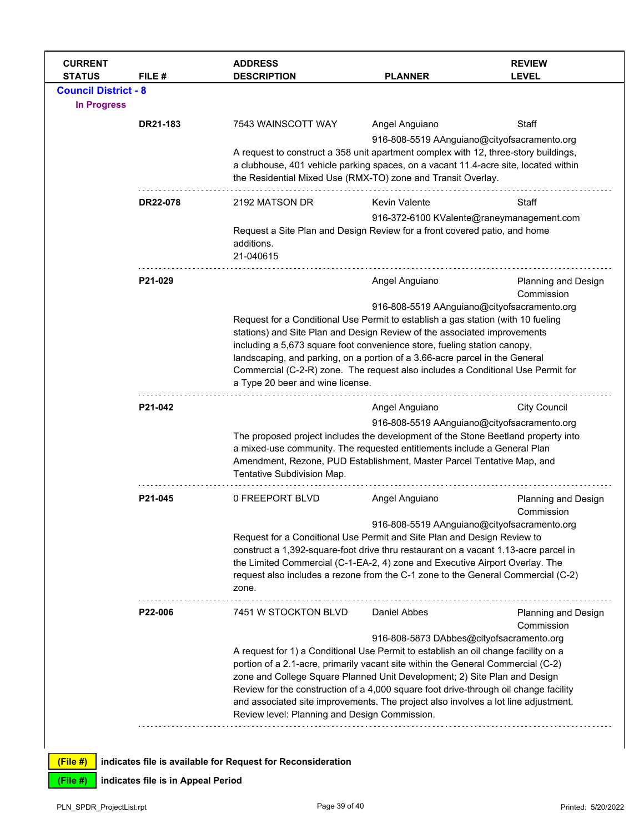| <b>CURRENT</b><br><b>STATUS</b> | FILE #   | <b>ADDRESS</b><br><b>DESCRIPTION</b>                                                                                                                                                                                                                                                                                 | <b>PLANNER</b>                                                                                                                                                                                                                                                                                                                                                                                                                                                                     | <b>REVIEW</b><br><b>LEVEL</b>               |  |
|---------------------------------|----------|----------------------------------------------------------------------------------------------------------------------------------------------------------------------------------------------------------------------------------------------------------------------------------------------------------------------|------------------------------------------------------------------------------------------------------------------------------------------------------------------------------------------------------------------------------------------------------------------------------------------------------------------------------------------------------------------------------------------------------------------------------------------------------------------------------------|---------------------------------------------|--|
| <b>Council District - 8</b>     |          |                                                                                                                                                                                                                                                                                                                      |                                                                                                                                                                                                                                                                                                                                                                                                                                                                                    |                                             |  |
| <b>In Progress</b>              |          |                                                                                                                                                                                                                                                                                                                      |                                                                                                                                                                                                                                                                                                                                                                                                                                                                                    |                                             |  |
|                                 | DR21-183 | 7543 WAINSCOTT WAY                                                                                                                                                                                                                                                                                                   | Angel Anguiano                                                                                                                                                                                                                                                                                                                                                                                                                                                                     | Staff                                       |  |
|                                 |          |                                                                                                                                                                                                                                                                                                                      |                                                                                                                                                                                                                                                                                                                                                                                                                                                                                    | 916-808-5519 AAnguiano@cityofsacramento.org |  |
|                                 |          | A request to construct a 358 unit apartment complex with 12, three-story buildings,<br>a clubhouse, 401 vehicle parking spaces, on a vacant 11.4-acre site, located within<br>the Residential Mixed Use (RMX-TO) zone and Transit Overlay.                                                                           |                                                                                                                                                                                                                                                                                                                                                                                                                                                                                    |                                             |  |
|                                 | DR22-078 | 2192 MATSON DR                                                                                                                                                                                                                                                                                                       | <b>Kevin Valente</b>                                                                                                                                                                                                                                                                                                                                                                                                                                                               | Staff                                       |  |
|                                 |          | additions.<br>21-040615                                                                                                                                                                                                                                                                                              | 916-372-6100 KValente@raneymanagement.com<br>Request a Site Plan and Design Review for a front covered patio, and home                                                                                                                                                                                                                                                                                                                                                             |                                             |  |
|                                 | P21-029  |                                                                                                                                                                                                                                                                                                                      | Angel Anguiano                                                                                                                                                                                                                                                                                                                                                                                                                                                                     | Planning and Design                         |  |
|                                 |          | a Type 20 beer and wine license.                                                                                                                                                                                                                                                                                     | Commission<br>916-808-5519 AAnguiano@cityofsacramento.org<br>Request for a Conditional Use Permit to establish a gas station (with 10 fueling<br>stations) and Site Plan and Design Review of the associated improvements<br>including a 5,673 square foot convenience store, fueling station canopy,<br>landscaping, and parking, on a portion of a 3.66-acre parcel in the General<br>Commercial (C-2-R) zone. The request also includes a Conditional Use Permit for            |                                             |  |
|                                 | P21-042  |                                                                                                                                                                                                                                                                                                                      | Angel Anguiano                                                                                                                                                                                                                                                                                                                                                                                                                                                                     | <b>City Council</b>                         |  |
|                                 |          | 916-808-5519 AAnguiano@cityofsacramento.org<br>The proposed project includes the development of the Stone Beetland property into<br>a mixed-use community. The requested entitlements include a General Plan<br>Amendment, Rezone, PUD Establishment, Master Parcel Tentative Map, and<br>Tentative Subdivision Map. |                                                                                                                                                                                                                                                                                                                                                                                                                                                                                    |                                             |  |
|                                 | P21-045  | 0 FREEPORT BLVD                                                                                                                                                                                                                                                                                                      | Angel Anguiano                                                                                                                                                                                                                                                                                                                                                                                                                                                                     | <b>Planning and Design</b><br>Commission    |  |
|                                 |          | zone.                                                                                                                                                                                                                                                                                                                | 916-808-5519 AAnguiano@cityofsacramento.org<br>Request for a Conditional Use Permit and Site Plan and Design Review to<br>construct a 1,392-square-foot drive thru restaurant on a vacant 1.13-acre parcel in<br>the Limited Commercial (C-1-EA-2, 4) zone and Executive Airport Overlay. The<br>request also includes a rezone from the C-1 zone to the General Commercial (C-2)                                                                                                  |                                             |  |
|                                 | P22-006  | 7451 W STOCKTON BLVD                                                                                                                                                                                                                                                                                                 | Daniel Abbes                                                                                                                                                                                                                                                                                                                                                                                                                                                                       | Planning and Design<br>Commission           |  |
|                                 |          |                                                                                                                                                                                                                                                                                                                      | 916-808-5873 DAbbes@cityofsacramento.org                                                                                                                                                                                                                                                                                                                                                                                                                                           |                                             |  |
|                                 |          |                                                                                                                                                                                                                                                                                                                      | A request for 1) a Conditional Use Permit to establish an oil change facility on a<br>portion of a 2.1-acre, primarily vacant site within the General Commercial (C-2)<br>zone and College Square Planned Unit Development; 2) Site Plan and Design<br>Review for the construction of a 4,000 square foot drive-through oil change facility<br>and associated site improvements. The project also involves a lot line adjustment.<br>Review level: Planning and Design Commission. |                                             |  |
| (File #)                        |          | indicates file is available for Request for Reconsideration                                                                                                                                                                                                                                                          |                                                                                                                                                                                                                                                                                                                                                                                                                                                                                    |                                             |  |